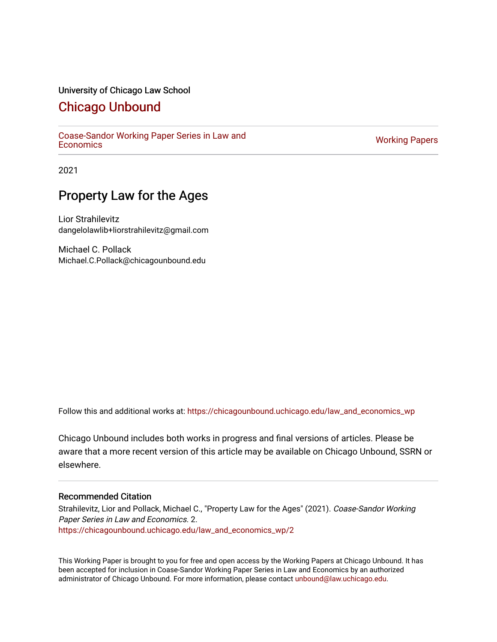### University of Chicago Law School

## [Chicago Unbound](https://chicagounbound.uchicago.edu/)

[Coase-Sandor Working Paper Series in Law and](https://chicagounbound.uchicago.edu/law_and_economics_wp) [Economics](https://chicagounbound.uchicago.edu/law_and_economics_wp) [Working Papers](https://chicagounbound.uchicago.edu/working_papers) 

2021

## Property Law for the Ages

Lior Strahilevitz dangelolawlib+liorstrahilevitz@gmail.com

Michael C. Pollack Michael.C.Pollack@chicagounbound.edu

Follow this and additional works at: [https://chicagounbound.uchicago.edu/law\\_and\\_economics\\_wp](https://chicagounbound.uchicago.edu/law_and_economics_wp?utm_source=chicagounbound.uchicago.edu%2Flaw_and_economics_wp%2F2&utm_medium=PDF&utm_campaign=PDFCoverPages) 

Chicago Unbound includes both works in progress and final versions of articles. Please be aware that a more recent version of this article may be available on Chicago Unbound, SSRN or elsewhere.

### Recommended Citation

Strahilevitz, Lior and Pollack, Michael C., "Property Law for the Ages" (2021). Coase-Sandor Working Paper Series in Law and Economics. 2. [https://chicagounbound.uchicago.edu/law\\_and\\_economics\\_wp/2](https://chicagounbound.uchicago.edu/law_and_economics_wp/2?utm_source=chicagounbound.uchicago.edu%2Flaw_and_economics_wp%2F2&utm_medium=PDF&utm_campaign=PDFCoverPages)

This Working Paper is brought to you for free and open access by the Working Papers at Chicago Unbound. It has been accepted for inclusion in Coase-Sandor Working Paper Series in Law and Economics by an authorized administrator of Chicago Unbound. For more information, please contact [unbound@law.uchicago.edu](mailto:unbound@law.uchicago.edu).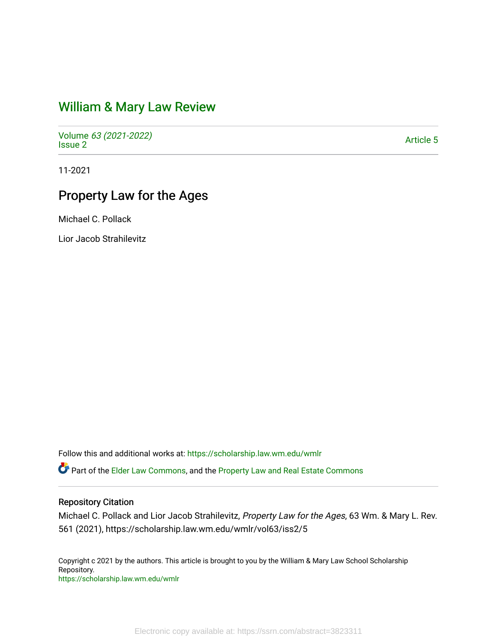## [William & Mary Law Review](https://scholarship.law.wm.edu/wmlr)

Volume [63 \(2021-2022\)](https://scholarship.law.wm.edu/wmlr/vol63)  volume os (2027-2022)<br>[Issue 2](https://scholarship.law.wm.edu/wmlr/vol63/iss2)

11-2021

# Property Law for the Ages

Michael C. Pollack

Lior Jacob Strahilevitz

Follow this and additional works at: [https://scholarship.law.wm.edu/wmlr](https://scholarship.law.wm.edu/wmlr?utm_source=scholarship.law.wm.edu%2Fwmlr%2Fvol63%2Fiss2%2F5&utm_medium=PDF&utm_campaign=PDFCoverPages)

**C** Part of the [Elder Law Commons](http://network.bepress.com/hgg/discipline/842?utm_source=scholarship.law.wm.edu%2Fwmlr%2Fvol63%2Fiss2%2F5&utm_medium=PDF&utm_campaign=PDFCoverPages), and the Property Law and Real Estate Commons

#### Repository Citation

Michael C. Pollack and Lior Jacob Strahilevitz, Property Law for the Ages, 63 Wm. & Mary L. Rev. 561 (2021), https://scholarship.law.wm.edu/wmlr/vol63/iss2/5

Copyright c 2021 by the authors. This article is brought to you by the William & Mary Law School Scholarship Repository. <https://scholarship.law.wm.edu/wmlr>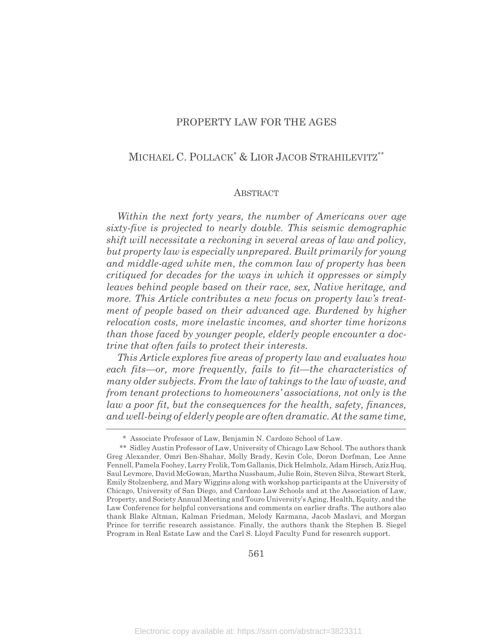### PROPERTY LAW FOR THE AGES

### MICHAEL C. POLLACK<sup>\*</sup> & LIOR JACOB STRAHILEVITZ<sup>\*\*</sup>

#### **ABSTRACT**

*Within the next forty years, the number of Americans over age sixty-five is projected to nearly double. This seismic demographic shift will necessitate a reckoning in several areas of law and policy, but property law is especially unprepared. Built primarily for young and middle-aged white men, the common law of property has been critiqued for decades for the ways in which it oppresses or simply leaves behind people based on their race, sex, Native heritage, and more. This Article contributes a new focus on property law's treatment of people based on their advanced age. Burdened by higher relocation costs, more inelastic incomes, and shorter time horizons than those faced by younger people, elderly people encounter a doctrine that often fails to protect their interests.*

*This Article explores five areas of property law and evaluates how each fits—or, more frequently, fails to fit—the characteristics of many older subjects. From the law of takings to the law of waste, and from tenant protections to homeowners' associations, not only is the law a poor fit, but the consequences for the health, safety, finances, and well-being of elderly people are often dramatic. At the same time,*

<sup>\*</sup> Associate Professor of Law, Benjamin N. Cardozo School of Law.

<sup>\*\*</sup> Sidley Austin Professor of Law, University of Chicago Law School. The authors thank Greg Alexander, Omri Ben-Shahar, Molly Brady, Kevin Cole, Doron Dorfman, Lee Anne Fennell, Pamela Foohey, Larry Frolik, Tom Gallanis, Dick Helmholz, Adam Hirsch, Aziz Huq, Saul Levmore, David McGowan, Martha Nussbaum, Julie Roin, Steven Silva, Stewart Sterk, Emily Stolzenberg, and Mary Wiggins along with workshop participants at the University of Chicago, University of San Diego, and Cardozo Law Schools and at the Association of Law, Property, and Society Annual Meeting and Touro University's Aging, Health, Equity, and the Law Conference for helpful conversations and comments on earlier drafts. The authors also thank Blake Altman, Kalman Friedman, Melody Karmana, Jacob Maslavi, and Morgan Prince for terrific research assistance. Finally, the authors thank the Stephen B. Siegel Program in Real Estate Law and the Carl S. Lloyd Faculty Fund for research support.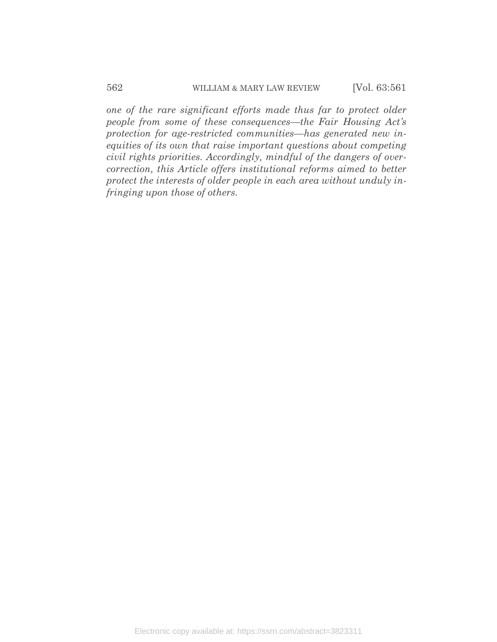*one of the rare significant efforts made thus far to protect older people from some of these consequences—the Fair Housing Act's protection for age-restricted communities—has generated new inequities of its own that raise important questions about competing civil rights priorities. Accordingly, mindful of the dangers of overcorrection, this Article offers institutional reforms aimed to better protect the interests of older people in each area without unduly infringing upon those of others.*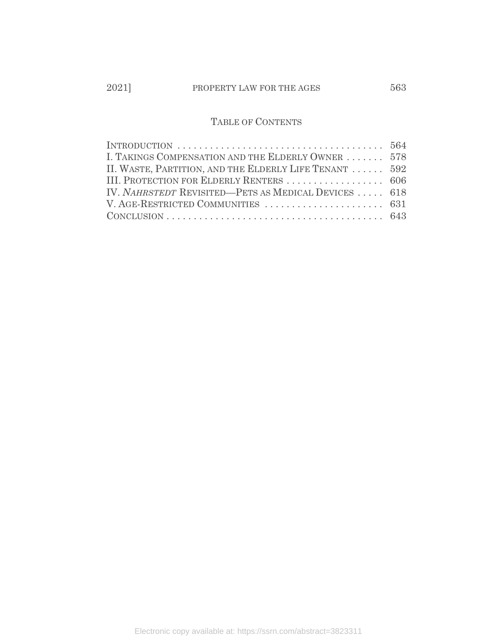### TABLE OF CONTENTS

| INTRODUCTION $\dots \dots \dots \dots \dots \dots \dots \dots \dots \dots \dots \dots \dots$ 564 |  |
|--------------------------------------------------------------------------------------------------|--|
| I. TAKINGS COMPENSATION AND THE ELDERLY OWNER  578                                               |  |
| II. WASTE, PARTITION, AND THE ELDERLY LIFE TENANT  592                                           |  |
| III. PROTECTION FOR ELDERLY RENTERS  606                                                         |  |
| IV. NAHRSTEDT REVISITED—PETS AS MEDICAL DEVICES  618                                             |  |
|                                                                                                  |  |
|                                                                                                  |  |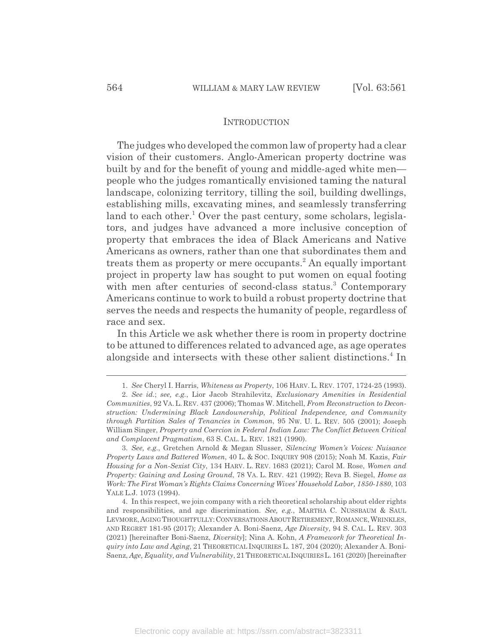#### INTRODUCTION

The judges who developed the common law of property had a clear vision of their customers. Anglo-American property doctrine was built by and for the benefit of young and middle-aged white men people who the judges romantically envisioned taming the natural landscape, colonizing territory, tilling the soil, building dwellings, establishing mills, excavating mines, and seamlessly transferring land to each other.<sup>1</sup> Over the past century, some scholars, legislators, and judges have advanced a more inclusive conception of property that embraces the idea of Black Americans and Native Americans as owners, rather than one that subordinates them and treats them as property or mere occupants.<sup>2</sup> An equally important project in property law has sought to put women on equal footing with men after centuries of second-class status.<sup>3</sup> Contemporary Americans continue to work to build a robust property doctrine that serves the needs and respects the humanity of people, regardless of race and sex.

In this Article we ask whether there is room in property doctrine to be attuned to differences related to advanced age, as age operates alongside and intersects with these other salient distinctions.<sup>4</sup> In

<sup>1.</sup> *See* Cheryl I. Harris, *Whiteness as Property*, 106 HARV. L. REV. 1707, 1724-25 (1993).

<sup>2.</sup> *See id.*; *see, e.g.*, Lior Jacob Strahilevitz, *Exclusionary Amenities in Residential Communities*, 92 VA. L. REV. 437 (2006); Thomas W. Mitchell, *From Reconstruction to Deconstruction: Undermining Black Landownership, Political Independence, and Community through Partition Sales of Tenancies in Common*, 95 NW. U. L. REV. 505 (2001); Joseph William Singer, *Property and Coercion in Federal Indian Law: The Conflict Between Critical and Complacent Pragmatism*, 63 S. CAL. L. REV. 1821 (1990).

<sup>3.</sup> *See, e.g.*, Gretchen Arnold & Megan Slusser, *Silencing Women's Voices: Nuisance Property Laws and Battered Women*, 40 L. & SOC. INQUIRY 908 (2015); Noah M. Kazis, *Fair Housing for a Non-Sexist City*, 134 HARV. L. REV. 1683 (2021); Carol M. Rose, *Women and Property: Gaining and Losing Ground*, 78 VA. L. REV. 421 (1992); Reva B. Siegel, *Home as Work: The First Woman's Rights Claims Concerning Wives' Household Labor, 1850-1880*, 103 YALE L.J. 1073 (1994).

<sup>4.</sup> In this respect, we join company with a rich theoretical scholarship about elder rights and responsibilities, and age discrimination. *See, e.g.*, MARTHA C. NUSSBAUM & SAUL LEVMORE, AGING THOUGHTFULLY: CONVERSATIONS ABOUT RETIREMENT, ROMANCE, WRINKLES, AND REGRET 181-95 (2017); Alexander A. Boni-Saenz, *Age Diversity*, 94 S. CAL. L. REV. 303 (2021) [hereinafter Boni-Saenz, *Diversity*]; Nina A. Kohn, *A Framework for Theoretical Inquiry into Law and Aging*, 21 THEORETICAL INQUIRIES L. 187, 204 (2020); Alexander A. Boni-Saenz, *Age, Equality, and Vulnerability*, 21 THEORETICAL INQUIRIES L. 161 (2020) [hereinafter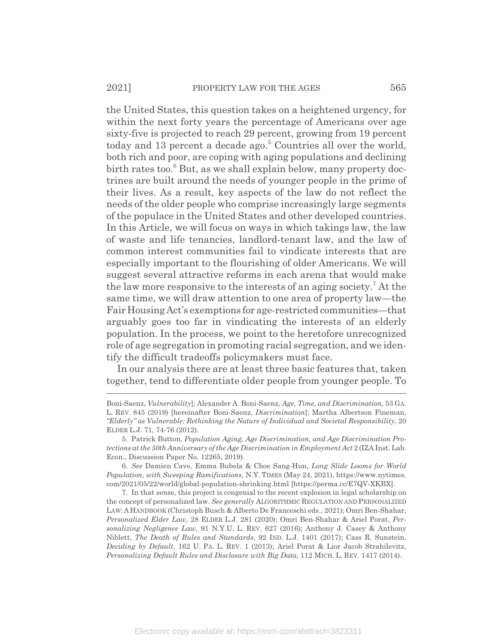the United States, this question takes on a heightened urgency, for within the next forty years the percentage of Americans over age sixty-five is projected to reach 29 percent, growing from 19 percent today and 13 percent a decade ago.<sup>5</sup> Countries all over the world, both rich and poor, are coping with aging populations and declining birth rates too.<sup>6</sup> But, as we shall explain below, many property doctrines are built around the needs of younger people in the prime of their lives. As a result, key aspects of the law do not reflect the needs of the older people who comprise increasingly large segments of the populace in the United States and other developed countries. In this Article, we will focus on ways in which takings law, the law of waste and life tenancies, landlord-tenant law, and the law of common interest communities fail to vindicate interests that are especially important to the flourishing of older Americans. We will suggest several attractive reforms in each arena that would make the law more responsive to the interests of an aging society.<sup>7</sup> At the same time, we will draw attention to one area of property law—the Fair Housing Act's exemptions for age-restricted communities—that arguably goes too far in vindicating the interests of an elderly population. In the process, we point to the heretofore unrecognized role of age segregation in promoting racial segregation, and we identify the difficult tradeoffs policymakers must face.

In our analysis there are at least three basic features that, taken together, tend to differentiate older people from younger people. To

Boni-Saenz, *Vulnerability*]; Alexander A. Boni-Saenz, *Age, Time, and Discrimination*, 53 GA. L. REV. 845 (2019) [hereinafter Boni-Saenz, *Discrimination*]; Martha Albertson Fineman, *"Elderly" as Vulnerable: Rethinking the Nature of Individual and Societal Responsibility*, 20 ELDER L.J. 71, 74-76 (2012).

<sup>5.</sup> Patrick Button, *Population Aging, Age Discrimination, and Age Discrimination Protections at the 50th Anniversary of the Age Discrimination in Employment Act* 2 (IZA Inst. Lab. Econ., Discussion Paper No. 12265, 2019).

<sup>6.</sup> *See* Damien Cave, Emma Bubola & Choe Sang-Hun, *Long Slide Looms for World Population, with Sweeping Ramifications*, N.Y. TIMES (May 24, 2021), https://www.nytimes. com/2021/05/22/world/global-population-shrinking.html [https://perma.cc/E7QV-XKBX].

<sup>7.</sup> In that sense, this project is congenial to the recent explosion in legal scholarship on the concept of personalized law. *See generally* ALGORITHMIC REGULATION AND PERSONALIZED LAW:AHANDBOOK (Christoph Busch & Alberto De Franceschi eds., 2021); Omri Ben-Shahar, *Personalized Elder Law*, 28 ELDER L.J. 281 (2020); Omri Ben-Shahar & Ariel Porat, *Personalizing Negligence Law*, 91 N.Y.U. L. REV. 627 (2016); Anthony J. Casey & Anthony Niblett, *The Death of Rules and Standards*, 92 IND. L.J. 1401 (2017); Cass R. Sunstein, *Deciding by Default*, 162 U. PA. L. REV. 1 (2013); Ariel Porat & Lior Jacob Strahilevitz, *Personalizing Default Rules and Disclosure with Big Data*, 112 MICH. L. REV. 1417 (2014).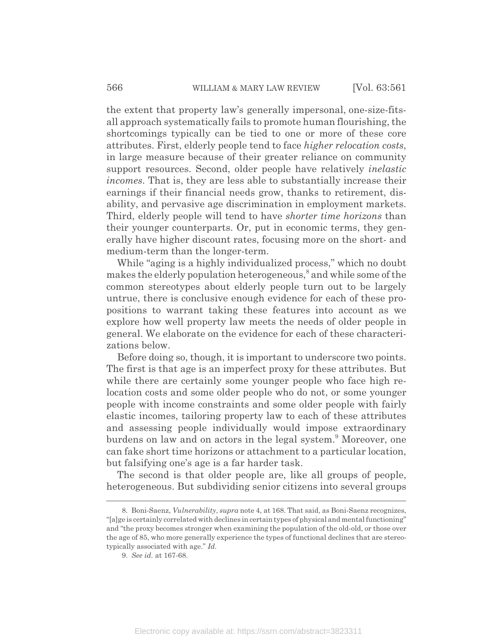the extent that property law's generally impersonal, one-size-fitsall approach systematically fails to promote human flourishing, the shortcomings typically can be tied to one or more of these core attributes. First, elderly people tend to face *higher relocation costs*, in large measure because of their greater reliance on community support resources. Second, older people have relatively *inelastic incomes*. That is, they are less able to substantially increase their earnings if their financial needs grow, thanks to retirement, disability, and pervasive age discrimination in employment markets. Third, elderly people will tend to have *shorter time horizons* than their younger counterparts. Or, put in economic terms, they generally have higher discount rates, focusing more on the short- and medium-term than the longer-term.

While "aging is a highly individualized process," which no doubt makes the elderly population heterogeneous,<sup>8</sup> and while some of the common stereotypes about elderly people turn out to be largely untrue, there is conclusive enough evidence for each of these propositions to warrant taking these features into account as we explore how well property law meets the needs of older people in general. We elaborate on the evidence for each of these characterizations below.

Before doing so, though, it is important to underscore two points. The first is that age is an imperfect proxy for these attributes. But while there are certainly some younger people who face high relocation costs and some older people who do not, or some younger people with income constraints and some older people with fairly elastic incomes, tailoring property law to each of these attributes and assessing people individually would impose extraordinary burdens on law and on actors in the legal system.<sup>9</sup> Moreover, one can fake short time horizons or attachment to a particular location, but falsifying one's age is a far harder task.

The second is that older people are, like all groups of people, heterogeneous. But subdividing senior citizens into several groups

<sup>8.</sup> Boni-Saenz, *Vulnerability*, *supra* note 4, at 168. That said, as Boni-Saenz recognizes, "[a]ge is certainly correlated with declines in certain types of physical and mental functioning" and "the proxy becomes stronger when examining the population of the old-old, or those over the age of 85, who more generally experience the types of functional declines that are stereotypically associated with age." *Id.*

<sup>9.</sup> *See id.* at 167-68.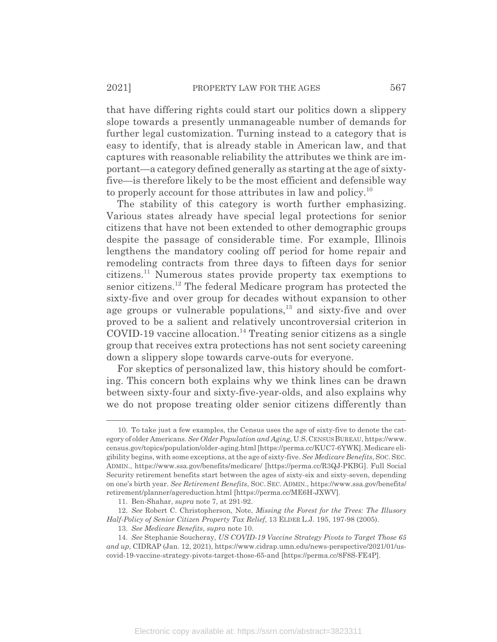that have differing rights could start our politics down a slippery slope towards a presently unmanageable number of demands for further legal customization. Turning instead to a category that is easy to identify, that is already stable in American law, and that captures with reasonable reliability the attributes we think are important—a category defined generally as starting at the age of sixtyfive—is therefore likely to be the most efficient and defensible way to properly account for those attributes in law and policy.<sup>10</sup>

The stability of this category is worth further emphasizing. Various states already have special legal protections for senior citizens that have not been extended to other demographic groups despite the passage of considerable time. For example, Illinois lengthens the mandatory cooling off period for home repair and remodeling contracts from three days to fifteen days for senior citizens.11 Numerous states provide property tax exemptions to senior citizens.12 The federal Medicare program has protected the sixty-five and over group for decades without expansion to other age groups or vulnerable populations, $13$  and sixty-five and over proved to be a salient and relatively uncontroversial criterion in  $COVID-19$  vaccine allocation.<sup>14</sup> Treating senior citizens as a single group that receives extra protections has not sent society careening down a slippery slope towards carve-outs for everyone.

For skeptics of personalized law, this history should be comforting. This concern both explains why we think lines can be drawn between sixty-four and sixty-five-year-olds, and also explains why we do not propose treating older senior citizens differently than

<sup>10.</sup> To take just a few examples, the Census uses the age of sixty-five to denote the category of older Americans. *See Older Population and Aging*, U.S.CENSUS BUREAU, https://www. census.gov/topics/population/older-aging.html [https://perma.cc/KUC7-6YWK]. Medicare eligibility begins, with some exceptions, at the age of sixty-five. *See Medicare Benefits*, SOC.SEC. ADMIN., https://www.ssa.gov/benefits/medicare/ [https://perma.cc/R3QJ-PKBG]. Full Social Security retirement benefits start between the ages of sixty-six and sixty-seven, depending on one's birth year. *See Retirement Benefits*, SOC. SEC. ADMIN., https://www.ssa.gov/benefits/ retirement/planner/agereduction.html [https://perma.cc/ME6H-JXWV].

<sup>11.</sup> Ben-Shahar, *supra* note 7, at 291-92.

<sup>12.</sup> *See* Robert C. Christopherson, Note, *Missing the Forest for the Trees: The Illusory Half-Policy of Senior Citizen Property Tax Relief*, 13 ELDER L.J. 195, 197-98 (2005).

<sup>13.</sup> *See Medicare Benefits*, *supra* note 10.

<sup>14.</sup> *See* Stephanie Soucheray, *US COVID-19 Vaccine Strategy Pivots to Target Those 65 and up*, CIDRAP (Jan. 12, 2021), https://www.cidrap.umn.edu/news-perspective/2021/01/uscovid-19-vaccine-strategy-pivots-target-those-65-and [https://perma.cc/8F8S-FE4P].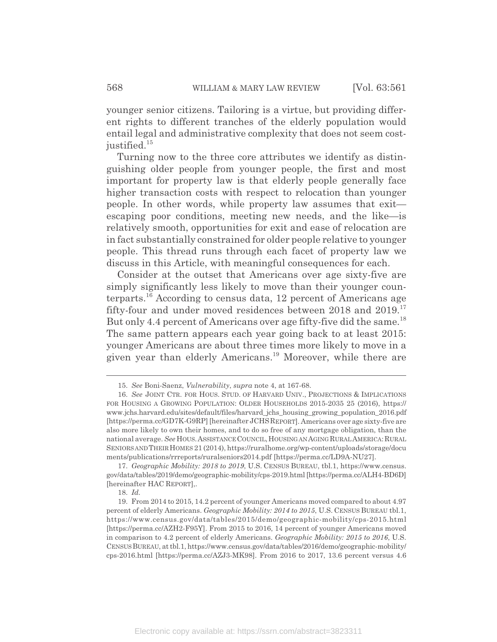younger senior citizens. Tailoring is a virtue, but providing different rights to different tranches of the elderly population would entail legal and administrative complexity that does not seem costjustified.<sup>15</sup>

Turning now to the three core attributes we identify as distinguishing older people from younger people, the first and most important for property law is that elderly people generally face higher transaction costs with respect to relocation than younger people. In other words, while property law assumes that exit escaping poor conditions, meeting new needs, and the like—is relatively smooth, opportunities for exit and ease of relocation are in fact substantially constrained for older people relative to younger people. This thread runs through each facet of property law we discuss in this Article, with meaningful consequences for each.

Consider at the outset that Americans over age sixty-five are simply significantly less likely to move than their younger counterparts.<sup>16</sup> According to census data, 12 percent of Americans age fifty-four and under moved residences between 2018 and 2019.<sup>17</sup> But only 4.4 percent of Americans over age fifty-five did the same.<sup>18</sup> The same pattern appears each year going back to at least 2015: younger Americans are about three times more likely to move in a given year than elderly Americans.19 Moreover, while there are

<sup>15.</sup> *See* Boni-Saenz, *Vulnerability*, *supra* note 4, at 167-68.

<sup>16.</sup> *See* JOINT CTR. FOR HOUS. STUD. OF HARVARD UNIV., PROJECTIONS & IMPLICATIONS FOR HOUSING A GROWING POPULATION: OLDER HOUSEHOLDS 2015-2035 25 (2016), https:// www.jchs.harvard.edu/sites/default/files/harvard\_jchs\_housing\_growing\_population\_2016.pdf [https://perma.cc/GD7K-G9RP] [hereinafter JCHSREPORT]. Americans over age sixty-five are also more likely to own their homes, and to do so free of any mortgage obligation, than the national average. *See* HOUS.ASSISTANCE COUNCIL,HOUSING AN AGING RURAL AMERICA:RURAL SENIORS AND THEIR HOMES 21 (2014), https://ruralhome.org/wp-content/uploads/storage/docu ments/publications/rrreports/ruralseniors2014.pdf [https://perma.cc/LD9A-NU27].

<sup>17.</sup> *Geographic Mobility: 2018 to 2019*, U.S. CENSUS BUREAU, tbl.1, https://www.census. gov/data/tables/2019/demo/geographic-mobility/cps-2019.html [https://perma.cc/ALH4-BD6D] [hereinafter HAC REPORT],.

<sup>18.</sup> *Id.*

<sup>19.</sup> From 2014 to 2015, 14.2 percent of younger Americans moved compared to about 4.97 percent of elderly Americans. *Geographic Mobility: 2014 to 2015*, U.S. CENSUS BUREAU tbl.1, https://www.census.gov/data/tables/2015/demo/geographic-mobility/cps-2015.html [https://perma.cc/AZH2-F95Y]. From 2015 to 2016, 14 percent of younger Americans moved in comparison to 4.2 percent of elderly Americans. *Geographic Mobility: 2015 to 2016*, U.S. CENSUS BUREAU, at tbl.1, https://www.census.gov/data/tables/2016/demo/geographic-mobility/ cps-2016.html [https://perma.cc/AZJ3-MK98]. From 2016 to 2017, 13.6 percent versus 4.6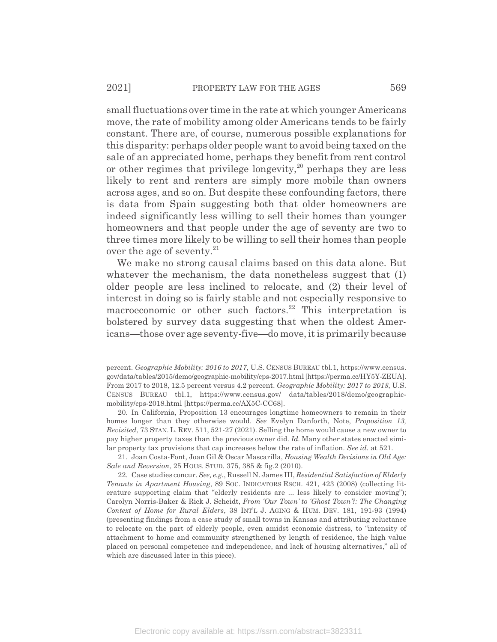small fluctuations over time in the rate at which younger Americans move, the rate of mobility among older Americans tends to be fairly constant. There are, of course, numerous possible explanations for this disparity: perhaps older people want to avoid being taxed on the sale of an appreciated home, perhaps they benefit from rent control or other regimes that privilege longevity, $2^{\circ}$  perhaps they are less likely to rent and renters are simply more mobile than owners across ages, and so on. But despite these confounding factors, there is data from Spain suggesting both that older homeowners are indeed significantly less willing to sell their homes than younger homeowners and that people under the age of seventy are two to three times more likely to be willing to sell their homes than people over the age of seventy. $21$ 

We make no strong causal claims based on this data alone. But whatever the mechanism, the data nonetheless suggest that  $(1)$ older people are less inclined to relocate, and (2) their level of interest in doing so is fairly stable and not especially responsive to macroeconomic or other such factors. $22$  This interpretation is bolstered by survey data suggesting that when the oldest Americans—those over age seventy-five—do move, it is primarily because

21. Joan Costa-Font, Joan Gil & Oscar Mascarilla, *Housing Wealth Decisions in Old Age: Sale and Reversion*, 25 HOUS. STUD. 375, 385 & fig.2 (2010).

percent. *Geographic Mobility: 2016 to 2017*, U.S. CENSUS BUREAU tbl.1, https://www.census. gov/data/tables/2015/demo/geographic-mobility/cps-2017.html [https://perma.cc/HY5Y-ZEUA]. From 2017 to 2018, 12.5 percent versus 4.2 percent. *Geographic Mobility: 2017 to 2018*, U.S. CENSUS BUREAU tbl.1, https://www.census.gov/ data/tables/2018/demo/geographicmobility/cps-2018.html [https://perma.cc/AX5C-CC68].

<sup>20.</sup> In California, Proposition 13 encourages longtime homeowners to remain in their homes longer than they otherwise would. *See* Evelyn Danforth, Note, *Proposition 13, Revisited*, 73 STAN. L. REV. 511, 521-27 (2021). Selling the home would cause a new owner to pay higher property taxes than the previous owner did. *Id.* Many other states enacted similar property tax provisions that cap increases below the rate of inflation. *See id.* at 521.

<sup>22.</sup> Case studies concur. *See, e.g.*, Russell N. James III, *Residential Satisfaction of Elderly Tenants in Apartment Housing*, 89 SOC. INDICATORS RSCH. 421, 423 (2008) (collecting literature supporting claim that "elderly residents are ... less likely to consider moving"); Carolyn Norris-Baker & Rick J. Scheidt, *From 'Our Town' to 'Ghost Town'?: The Changing Context of Home for Rural Elders*, 38 INT'L J. AGING & HUM. DEV. 181, 191-93 (1994) (presenting findings from a case study of small towns in Kansas and attributing reluctance to relocate on the part of elderly people, even amidst economic distress, to "intensity of attachment to home and community strengthened by length of residence, the high value placed on personal competence and independence, and lack of housing alternatives," all of which are discussed later in this piece).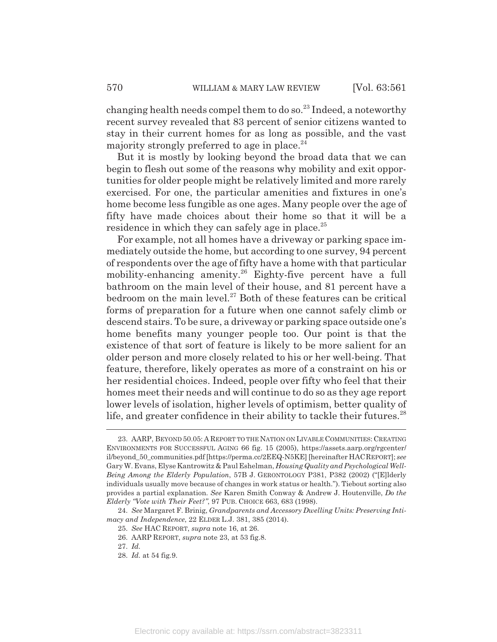changing health needs compel them to do so.<sup>23</sup> Indeed, a noteworthy recent survey revealed that 83 percent of senior citizens wanted to stay in their current homes for as long as possible, and the vast majority strongly preferred to age in place. $^{24}$ 

But it is mostly by looking beyond the broad data that we can begin to flesh out some of the reasons why mobility and exit opportunities for older people might be relatively limited and more rarely exercised. For one, the particular amenities and fixtures in one's home become less fungible as one ages. Many people over the age of fifty have made choices about their home so that it will be a residence in which they can safely age in place. $^{25}$ 

For example, not all homes have a driveway or parking space immediately outside the home, but according to one survey, 94 percent of respondents over the age of fifty have a home with that particular mobility-enhancing amenity.<sup>26</sup> Eighty-five percent have a full bathroom on the main level of their house, and 81 percent have a bedroom on the main level. $27$  Both of these features can be critical forms of preparation for a future when one cannot safely climb or descend stairs. To be sure, a driveway or parking space outside one's home benefits many younger people too. Our point is that the existence of that sort of feature is likely to be more salient for an older person and more closely related to his or her well-being. That feature, therefore, likely operates as more of a constraint on his or her residential choices. Indeed, people over fifty who feel that their homes meet their needs and will continue to do so as they age report lower levels of isolation, higher levels of optimism, better quality of life, and greater confidence in their ability to tackle their futures.<sup>28</sup>

<sup>23.</sup> AARP, BEYOND 50.05: A REPORT TO THE NATION ON LIVABLE COMMUNITIES: CREATING ENVIRONMENTS FOR SUCCESSFUL AGING 66 fig. 15 (2005), https://assets.aarp.org/rgcenter/ il/beyond\_50\_communities.pdf [https://perma.cc/2EEQ-N5KE] [hereinafter HACREPORT]; *see* Gary W. Evans, Elyse Kantrowitz & Paul Eshelman, *Housing Quality and Psychological Well-Being Among the Elderly Population*, 57B J. GERONTOLOGY P381, P382 (2002) ("[E]lderly individuals usually move because of changes in work status or health."). Tiebout sorting also provides a partial explanation. *See* Karen Smith Conway & Andrew J. Houtenville, *Do the Elderly "Vote with Their Feet?"*, 97 PUB. CHOICE 663, 683 (1998).

<sup>24.</sup> *See* Margaret F. Brinig, *Grandparents and Accessory Dwelling Units: Preserving Intimacy and Independence*, 22 ELDER L.J. 381, 385 (2014).

<sup>25.</sup> *See* HAC REPORT, *supra* note 16, at 26.

<sup>26.</sup> AARP REPORT, *supra* note 23, at 53 fig.8.

<sup>27.</sup> *Id.*

<sup>28.</sup> *Id.* at 54 fig.9.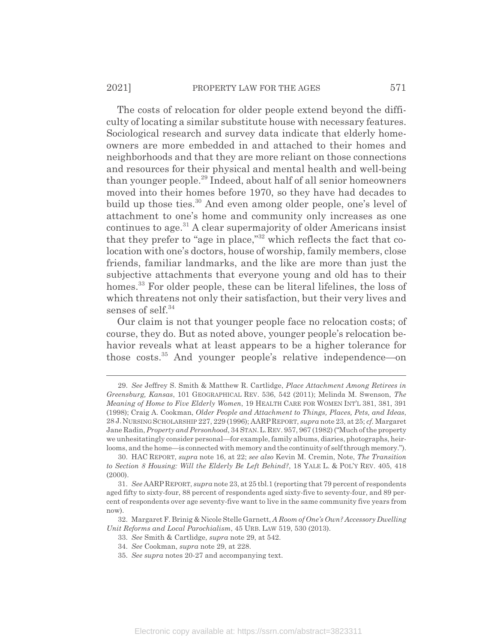The costs of relocation for older people extend beyond the difficulty of locating a similar substitute house with necessary features. Sociological research and survey data indicate that elderly homeowners are more embedded in and attached to their homes and neighborhoods and that they are more reliant on those connections and resources for their physical and mental health and well-being than younger people.29 Indeed, about half of all senior homeowners moved into their homes before 1970, so they have had decades to build up those ties.<sup>30</sup> And even among older people, one's level of attachment to one's home and community only increases as one continues to age.<sup>31</sup> A clear supermajority of older Americans insist that they prefer to "age in place,"32 which reflects the fact that colocation with one's doctors, house of worship, family members, close friends, familiar landmarks, and the like are more than just the subjective attachments that everyone young and old has to their homes.<sup>33</sup> For older people, these can be literal lifelines, the loss of which threatens not only their satisfaction, but their very lives and senses of self. $34$ 

Our claim is not that younger people face no relocation costs; of course, they do. But as noted above, younger people's relocation behavior reveals what at least appears to be a higher tolerance for those costs.35 And younger people's relative independence—on

32. Margaret F. Brinig & Nicole Stelle Garnett, *A Room of One's Own? Accessory Dwelling Unit Reforms and Local Parochialism*, 45 URB. LAW 519, 530 (2013).

33. *See* Smith & Cartlidge, *supra* note 29, at 542.

35. *See supra* notes 20-27 and accompanying text.

<sup>29.</sup> *See* Jeffrey S. Smith & Matthew R. Cartlidge, *Place Attachment Among Retirees in Greensburg, Kansas*, 101 GEOGRAPHICAL REV. 536, 542 (2011); Melinda M. Swenson, *The Meaning of Home to Five Elderly Women*, 19 HEALTH CARE FOR WOMEN INT'L 381, 381, 391 (1998); Craig A. Cookman, *Older People and Attachment to Things, Places, Pets, and Ideas*, 28 J.NURSING SCHOLARSHIP 227, 229 (1996); AARPREPORT, *supra* note 23, at 25; *cf.* Margaret Jane Radin, *Property and Personhood*, 34 STAN.L.REV. 957, 967 (1982) ("Much of the property we unhesitatingly consider personal—for example, family albums, diaries, photographs, heirlooms, and the home—is connected with memory and the continuity of self through memory.").

<sup>30.</sup> HAC REPORT, *supra* note 16, at 22; *see also* Kevin M. Cremin, Note, *The Transition to Section 8 Housing: Will the Elderly Be Left Behind?*, 18 YALE L. & POL'Y REV. 405, 418 (2000).

<sup>31.</sup> *See* AARPREPORT, *supra* note 23, at 25 tbl.1 (reporting that 79 percent of respondents aged fifty to sixty-four, 88 percent of respondents aged sixty-five to seventy-four, and 89 percent of respondents over age seventy-five want to live in the same community five years from now).

<sup>34.</sup> *See* Cookman, *supra* note 29, at 228.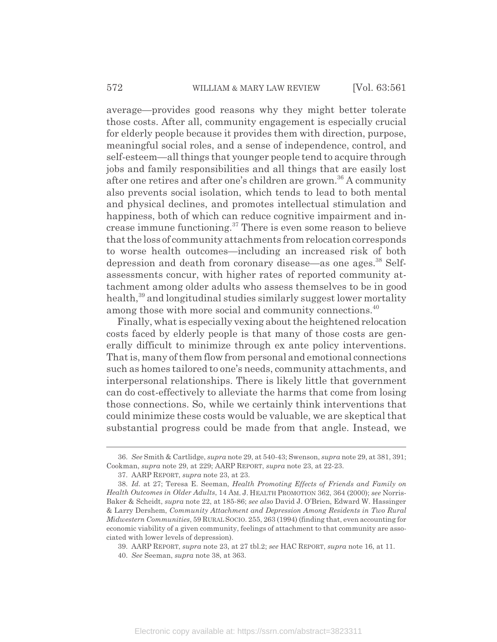average—provides good reasons why they might better tolerate those costs. After all, community engagement is especially crucial for elderly people because it provides them with direction, purpose, meaningful social roles, and a sense of independence, control, and self-esteem—all things that younger people tend to acquire through jobs and family responsibilities and all things that are easily lost after one retires and after one's children are grown.36 A community also prevents social isolation, which tends to lead to both mental and physical declines, and promotes intellectual stimulation and happiness, both of which can reduce cognitive impairment and increase immune functioning.37 There is even some reason to believe that the loss of community attachments from relocation corresponds to worse health outcomes—including an increased risk of both depression and death from coronary disease—as one ages.<sup>38</sup> Selfassessments concur, with higher rates of reported community attachment among older adults who assess themselves to be in good health,<sup>39</sup> and longitudinal studies similarly suggest lower mortality among those with more social and community connections.<sup>40</sup>

Finally, what is especially vexing about the heightened relocation costs faced by elderly people is that many of those costs are generally difficult to minimize through ex ante policy interventions. That is, many of them flow from personal and emotional connections such as homes tailored to one's needs, community attachments, and interpersonal relationships. There is likely little that government can do cost-effectively to alleviate the harms that come from losing those connections. So, while we certainly think interventions that could minimize these costs would be valuable, we are skeptical that substantial progress could be made from that angle. Instead, we

<sup>36.</sup> *See* Smith & Cartlidge, *supra* note 29, at 540-43; Swenson, *supra* note 29, at 381, 391; Cookman, *supra* note 29, at 229; AARP REPORT, *supra* note 23, at 22-23.

<sup>37.</sup> AARP REPORT, *supra* note 23, at 23.

<sup>38.</sup> *Id.* at 27; Teresa E. Seeman, *Health Promoting Effects of Friends and Family on Health Outcomes in Older Adults*, 14 AM. J. HEALTH PROMOTION 362, 364 (2000); *see* Norris-Baker & Scheidt, *supra* note 22, at 185-86; *see also* David J. O'Brien, Edward W. Hassinger & Larry Dershem, *Community Attachment and Depression Among Residents in Two Rural Midwestern Communities*, 59 RURAL SOCIO. 255, 263 (1994) (finding that, even accounting for economic viability of a given community, feelings of attachment to that community are associated with lower levels of depression).

<sup>39.</sup> AARP REPORT, *supra* note 23, at 27 tbl.2; *see* HAC REPORT, *supra* note 16, at 11.

<sup>40.</sup> *See* Seeman, *supra* note 38, at 363.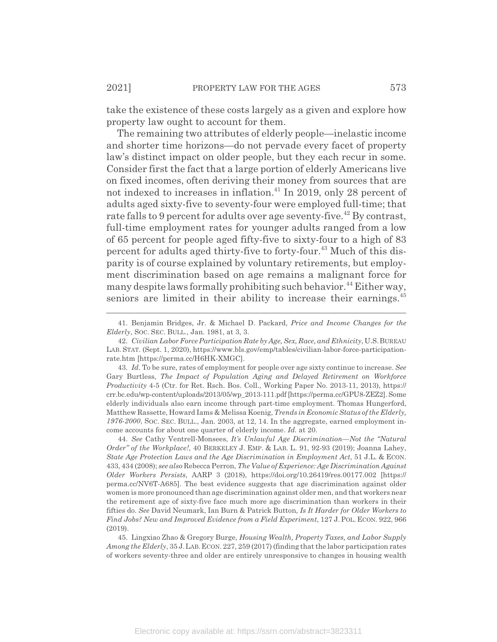take the existence of these costs largely as a given and explore how property law ought to account for them.

The remaining two attributes of elderly people—inelastic income and shorter time horizons—do not pervade every facet of property law's distinct impact on older people, but they each recur in some. Consider first the fact that a large portion of elderly Americans live on fixed incomes, often deriving their money from sources that are not indexed to increases in inflation.<sup>41</sup> In 2019, only 28 percent of adults aged sixty-five to seventy-four were employed full-time; that rate falls to 9 percent for adults over age seventy-five.<sup>42</sup> By contrast, full-time employment rates for younger adults ranged from a low of 65 percent for people aged fifty-five to sixty-four to a high of 83 percent for adults aged thirty-five to forty-four.<sup>43</sup> Much of this disparity is of course explained by voluntary retirements, but employment discrimination based on age remains a malignant force for many despite laws formally prohibiting such behavior.<sup>44</sup> Either way, seniors are limited in their ability to increase their earnings.<sup>45</sup>

<sup>41.</sup> Benjamin Bridges, Jr. & Michael D. Packard, *Price and Income Changes for the Elderly*, SOC. SEC. BULL., Jan. 1981, at 3, 3.

<sup>42.</sup> *Civilian Labor Force Participation Rate by Age, Sex, Race, and Ethnicity*, U.S.BUREAU LAB. STAT. (Sept. 1, 2020), https://www.bls.gov/emp/tables/civilian-labor-force-participationrate.htm [https://perma.cc/H6HK-XMGC].

<sup>43.</sup> *Id.* To be sure, rates of employment for people over age sixty continue to increase. *See* Gary Burtless, *The Impact of Population Aging and Delayed Retirement on Workforce Productivity* 4-5 (Ctr. for Ret. Rsch. Bos. Coll., Working Paper No. 2013-11, 2013), https:// crr.bc.edu/wp-content/uploads/2013/05/wp\_2013-111.pdf [https://perma.cc/GPU8-ZEZ2]. Some elderly individuals also earn income through part-time employment. Thomas Hungerford, Matthew Rassette, Howard Iams & Melissa Koenig, *Trends in Economic Status of the Elderly, 1976-2000*, SOC. SEC. BULL., Jan. 2003, at 12, 14. In the aggregate, earned employment income accounts for about one quarter of elderly income. *Id.* at 20.

<sup>44.</sup> *See* Cathy Ventrell-Monsees, *It's Unlawful Age Discrimination—Not the "Natural Order" of the Workplace!*, 40 BERKELEY J. EMP.&LAB. L. 91, 92-93 (2019); Joanna Lahey, *State Age Protection Laws and the Age Discrimination in Employment Act*, 51 J.L. & ECON. 433, 434 (2008); *see also* Rebecca Perron, *The Value of Experience: Age Discrimination Against Older Workers Persists*, AARP 3 (2018), https://doi.org/10.26419/res.00177.002 [https:// perma.cc/NV6T-A685]. The best evidence suggests that age discrimination against older women is more pronounced than age discrimination against older men, and that workers near the retirement age of sixty-five face much more age discrimination than workers in their fifties do. *See* David Neumark, Ian Burn & Patrick Button, *Is It Harder for Older Workers to Find Jobs? New and Improved Evidence from a Field Experiment*, 127 J.POL. ECON. 922, 966  $(2019)$ 

<sup>45.</sup> Lingxiao Zhao & Gregory Burge, *Housing Wealth, Property Taxes, and Labor Supply Among the Elderly*, 35 J.LAB.ECON. 227, 259 (2017) (finding that the labor participation rates of workers seventy-three and older are entirely unresponsive to changes in housing wealth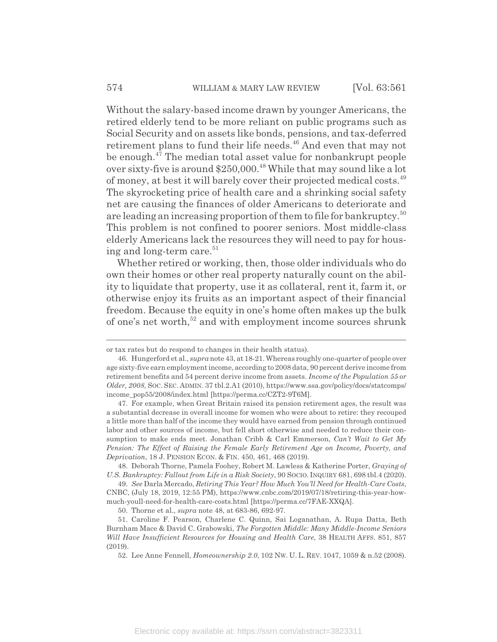Without the salary-based income drawn by younger Americans, the retired elderly tend to be more reliant on public programs such as Social Security and on assets like bonds, pensions, and tax-deferred retirement plans to fund their life needs.<sup>46</sup> And even that may not be enough.<sup>47</sup> The median total asset value for nonbankrupt people over sixty-five is around \$250,000.<sup>48</sup> While that may sound like a lot of money, at best it will barely cover their projected medical costs.<sup>49</sup> The skyrocketing price of health care and a shrinking social safety net are causing the finances of older Americans to deteriorate and are leading an increasing proportion of them to file for bankruptcy.<sup>50</sup> This problem is not confined to poorer seniors. Most middle-class elderly Americans lack the resources they will need to pay for housing and long-term care.<sup>51</sup>

Whether retired or working, then, those older individuals who do own their homes or other real property naturally count on the ability to liquidate that property, use it as collateral, rent it, farm it, or otherwise enjoy its fruits as an important aspect of their financial freedom. Because the equity in one's home often makes up the bulk of one's net worth,<sup>52</sup> and with employment income sources shrunk

48. Deborah Thorne, Pamela Foohey, Robert M. Lawless & Katherine Porter, *Graying of U.S. Bankruptcy: Fallout from Life in a Risk Society*, 90 SOCIO. INQUIRY 681, 698 tbl.4 (2020).

49. *See* Darla Mercado, *Retiring This Year? How Much You'll Need for Health-Care Costs*, CNBC, (July 18, 2019, 12:55 PM), https://www.cnbc.com/2019/07/18/retiring-this-year-howmuch-youll-need-for-health-care-costs.html [https://perma.cc/7FAE-XXQA].

or tax rates but do respond to changes in their health status).

<sup>46.</sup> Hungerford et al., *supra* note 43, at 18-21. Whereas roughly one-quarter of people over age sixty-five earn employment income, according to 2008 data, 90 percent derive income from retirement benefits and 54 percent derive income from assets. *Income of the Population 55 or Older, 2008*, SOC. SEC. ADMIN. 37 tbl.2.A1 (2010), https://www.ssa.gov/policy/docs/statcomps/ income\_pop55/2008/index.html [https://perma.cc/CZT2-9T6M].

<sup>47.</sup> For example, when Great Britain raised its pension retirement ages, the result was a substantial decrease in overall income for women who were about to retire: they recouped a little more than half of the income they would have earned from pension through continued labor and other sources of income, but fell short otherwise and needed to reduce their consumption to make ends meet. Jonathan Cribb & Carl Emmerson, *Can't Wait to Get My Pension: The Effect of Raising the Female Early Retirement Age on Income, Poverty, and Deprivation*, 18 J. PENSION ECON.&FIN. 450, 461, 468 (2019).

<sup>50.</sup> Thorne et al., *supra* note 48, at 683-86, 692-97.

<sup>51.</sup> Caroline F. Pearson, Charlene C. Quinn, Sai Loganathan, A. Rupa Datta, Beth Burnham Mace & David C. Grabowski, *The Forgotten Middle: Many Middle-Income Seniors Will Have Insufficient Resources for Housing and Health Care*, 38 HEALTH AFFS. 851, 857 (2019).

<sup>52.</sup> Lee Anne Fennell, *Homeownership 2.0*, 102 NW. U. L. REV. 1047, 1059 & n.52 (2008).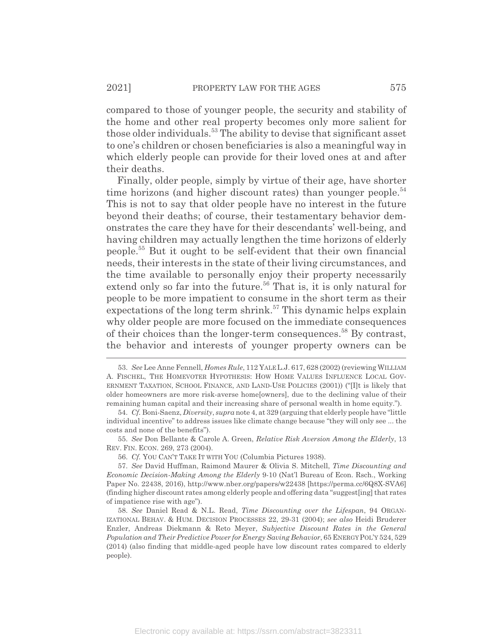compared to those of younger people, the security and stability of the home and other real property becomes only more salient for those older individuals.<sup>53</sup> The ability to devise that significant asset to one's children or chosen beneficiaries is also a meaningful way in which elderly people can provide for their loved ones at and after their deaths.

Finally, older people, simply by virtue of their age, have shorter time horizons (and higher discount rates) than younger people.<sup>54</sup> This is not to say that older people have no interest in the future beyond their deaths; of course, their testamentary behavior demonstrates the care they have for their descendants' well-being, and having children may actually lengthen the time horizons of elderly people.55 But it ought to be self-evident that their own financial needs, their interests in the state of their living circumstances, and the time available to personally enjoy their property necessarily extend only so far into the future.<sup>56</sup> That is, it is only natural for people to be more impatient to consume in the short term as their expectations of the long term shrink.<sup>57</sup> This dynamic helps explain why older people are more focused on the immediate consequences of their choices than the longer-term consequences.<sup>58</sup> By contrast, the behavior and interests of younger property owners can be

55. *See* Don Bellante & Carole A. Green, *Relative Risk Aversion Among the Elderly*, 13 REV. FIN. ECON. 269, 273 (2004).

<sup>53.</sup> *See* Lee Anne Fennell, *Homes Rule*, 112 YALE L.J. 617, 628 (2002) (reviewing WILLIAM A. FISCHEL, THE HOMEVOTER HYPOTHESIS: HOW HOME VALUES INFLUENCE LOCAL GOV-ERNMENT TAXATION, SCHOOL FINANCE, AND LAND-USE POLICIES (2001)) ("[I]t is likely that older homeowners are more risk-averse home[owners], due to the declining value of their remaining human capital and their increasing share of personal wealth in home equity.").

<sup>54.</sup> *Cf.* Boni-Saenz, *Diversity*, *supra* note 4, at 329 (arguing that elderly people have "little individual incentive" to address issues like climate change because "they will only see ... the costs and none of the benefits").

<sup>56.</sup> *Cf.* YOU CAN'T TAKE IT WITH YOU (Columbia Pictures 1938).

<sup>57.</sup> *See* David Huffman, Raimond Maurer & Olivia S. Mitchell, *Time Discounting and Economic Decision-Making Among the Elderly* 9-10 (Nat'l Bureau of Econ. Rsch., Working Paper No. 22438, 2016), http://www.nber.org/papers/w22438 [https://perma.cc/6Q8X-SVA6] (finding higher discount rates among elderly people and offering data "suggest[ing] that rates of impatience rise with age").

<sup>58.</sup> *See* Daniel Read & N.L. Read, *Time Discounting over the Lifespan*, 94 ORGAN-IZATIONAL BEHAV.&HUM. DECISION PROCESSES 22, 29-31 (2004); *see also* Heidi Bruderer Enzler, Andreas Diekmann & Reto Meyer, *Subjective Discount Rates in the General Population and Their Predictive Power for Energy Saving Behavior*, 65 ENERGY POL'Y 524, 529 (2014) (also finding that middle-aged people have low discount rates compared to elderly people).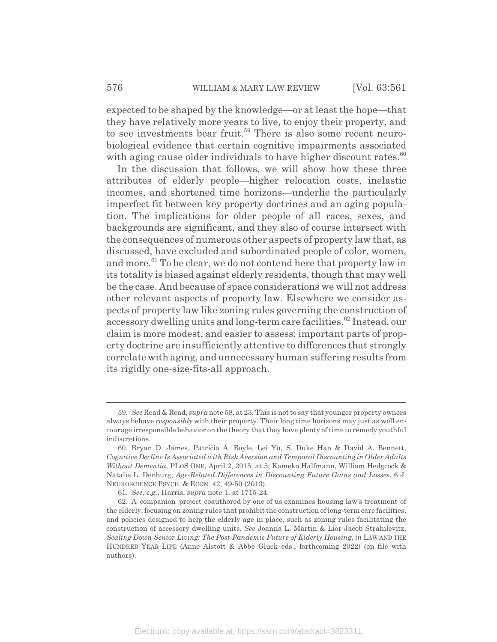expected to be shaped by the knowledge—or at least the hope—that they have relatively more years to live, to enjoy their property, and to see investments bear fruit.<sup>59</sup> There is also some recent neurobiological evidence that certain cognitive impairments associated with aging cause older individuals to have higher discount rates. $60$ 

In the discussion that follows, we will show how these three attributes of elderly people—higher relocation costs, inelastic incomes, and shortened time horizons—underlie the particularly imperfect fit between key property doctrines and an aging population. The implications for older people of all races, sexes, and backgrounds are significant, and they also of course intersect with the consequences of numerous other aspects of property law that, as discussed, have excluded and subordinated people of color, women, and more.<sup>61</sup> To be clear, we do not contend here that property law in its totality is biased against elderly residents, though that may well be the case. And because of space considerations we will not address other relevant aspects of property law. Elsewhere we consider aspects of property law like zoning rules governing the construction of accessory dwelling units and long-term care facilities.<sup>62</sup> Instead, our claim is more modest, and easier to assess: important parts of property doctrine are insufficiently attentive to differences that strongly correlate with aging, and unnecessary human suffering results from its rigidly one-size-fits-all approach.

<sup>59.</sup> *See* Read & Read, *supra* note 58, at 23. This is not to say that younger property owners always behave *responsibly* with their property. Their long time horizons may just as well encourage irresponsible behavior on the theory that they have plenty of time to remedy youthful indiscretions.

<sup>60.</sup> Bryan D. James, Patricia A. Boyle, Lei Yu, S. Duke Han & David A. Bennett, *Cognitive Decline Is Associated with Risk Aversion and Temporal Discounting in Older Adults Without Dementia*, PLOS ONE, April 2, 2015, at 5; Kameko Halfmann, William Hedgcock & Natalie L. Denburg, *Age-Related Differences in Discounting Future Gains and Losses*, 6 J. NEUROSCIENCE PSYCH.&ECON. 42, 49-50 (2013).

<sup>61.</sup> *See, e.g.*, Harris, *supra* note 1, at 1715-24.

<sup>62.</sup> A companion project coauthored by one of us examines housing law's treatment of the elderly, focusing on zoning rules that prohibit the construction of long-term care facilities, and policies designed to help the elderly age in place, such as zoning rules facilitating the construction of accessory dwelling units. *See* Joanna L. Martin & Lior Jacob Strahilevitz, *Scaling Down Senior Living: The Post-Pandemic Future of Elderly Housing*, *in* LAW AND THE HUNDRED YEAR LIFE (Anne Alstott & Abbe Gluck eds., forthcoming 2022) (on file with authors).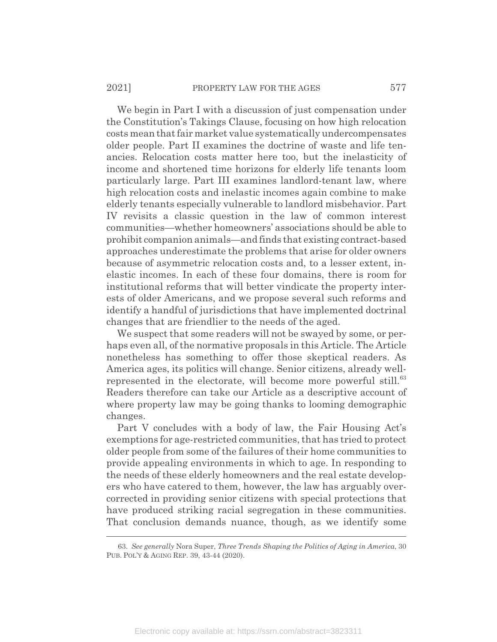We begin in Part I with a discussion of just compensation under the Constitution's Takings Clause, focusing on how high relocation costs mean that fair market value systematically undercompensates older people. Part II examines the doctrine of waste and life tenancies. Relocation costs matter here too, but the inelasticity of income and shortened time horizons for elderly life tenants loom particularly large. Part III examines landlord-tenant law, where high relocation costs and inelastic incomes again combine to make elderly tenants especially vulnerable to landlord misbehavior. Part IV revisits a classic question in the law of common interest communities—whether homeowners' associations should be able to prohibit companion animals—and finds that existing contract-based approaches underestimate the problems that arise for older owners because of asymmetric relocation costs and, to a lesser extent, inelastic incomes. In each of these four domains, there is room for institutional reforms that will better vindicate the property interests of older Americans, and we propose several such reforms and identify a handful of jurisdictions that have implemented doctrinal changes that are friendlier to the needs of the aged.

We suspect that some readers will not be swayed by some, or perhaps even all, of the normative proposals in this Article. The Article nonetheless has something to offer those skeptical readers. As America ages, its politics will change. Senior citizens, already wellrepresented in the electorate, will become more powerful still.<sup>63</sup> Readers therefore can take our Article as a descriptive account of where property law may be going thanks to looming demographic changes.

Part V concludes with a body of law, the Fair Housing Act's exemptions for age-restricted communities, that has tried to protect older people from some of the failures of their home communities to provide appealing environments in which to age. In responding to the needs of these elderly homeowners and the real estate developers who have catered to them, however, the law has arguably overcorrected in providing senior citizens with special protections that have produced striking racial segregation in these communities. That conclusion demands nuance, though, as we identify some

<sup>63.</sup> *See generally* Nora Super, *Three Trends Shaping the Politics of Aging in America*, 30 PUB. POL'Y & AGING REP. 39, 43-44 (2020).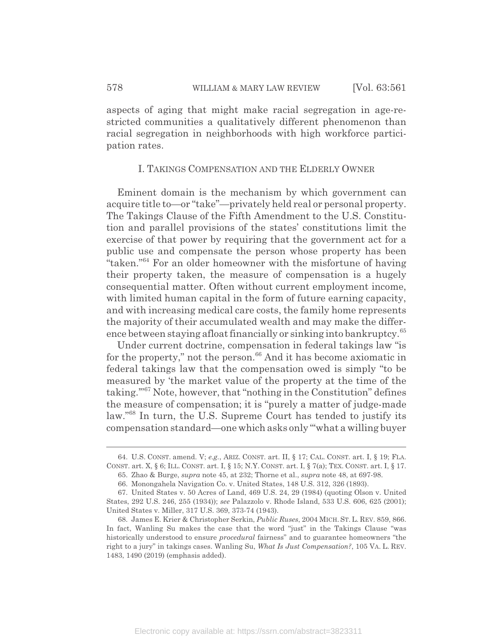aspects of aging that might make racial segregation in age-restricted communities a qualitatively different phenomenon than racial segregation in neighborhoods with high workforce participation rates.

#### I. TAKINGS COMPENSATION AND THE ELDERLY OWNER

Eminent domain is the mechanism by which government can acquire title to—or "take"—privately held real or personal property. The Takings Clause of the Fifth Amendment to the U.S. Constitution and parallel provisions of the states' constitutions limit the exercise of that power by requiring that the government act for a public use and compensate the person whose property has been "taken."<sup>64</sup> For an older homeowner with the misfortune of having their property taken, the measure of compensation is a hugely consequential matter. Often without current employment income, with limited human capital in the form of future earning capacity, and with increasing medical care costs, the family home represents the majority of their accumulated wealth and may make the difference between staying afloat financially or sinking into bankruptcy.<sup>65</sup>

Under current doctrine, compensation in federal takings law "is for the property," not the person. $66$  And it has become axiomatic in federal takings law that the compensation owed is simply "to be measured by 'the market value of the property at the time of the taking.'"67 Note, however, that "nothing in the Constitution" defines the measure of compensation; it is "purely a matter of judge-made law."68 In turn, the U.S. Supreme Court has tended to justify its compensation standard—one which asks only "'what a willing buyer

<sup>64.</sup> U.S. CONST. amend. V; *e.g.*, ARIZ. CONST. art. II, § 17; CAL. CONST. art. I, § 19; FLA. CONST. art. X, § 6; ILL. CONST. art. I, § 15; N.Y. CONST. art. I, § 7(a); TEX. CONST. art. I, § 17.

<sup>65.</sup> Zhao & Burge, *supra* note 45, at 232; Thorne et al., *supra* note 48, at 697-98.

<sup>66.</sup> Monongahela Navigation Co. v. United States, 148 U.S. 312, 326 (1893).

<sup>67.</sup> United States v. 50 Acres of Land, 469 U.S. 24, 29 (1984) (quoting Olson v. United States, 292 U.S. 246, 255 (1934)); *see* Palazzolo v. Rhode Island, 533 U.S. 606, 625 (2001); United States v. Miller, 317 U.S. 369, 373-74 (1943).

<sup>68.</sup> James E. Krier & Christopher Serkin, *Public Ruses*, 2004 MICH. ST. L. REV. 859, 866. In fact, Wanling Su makes the case that the word "just" in the Takings Clause "was historically understood to ensure *procedural* fairness" and to guarantee homeowners "the right to a jury" in takings cases. Wanling Su, *What Is Just Compensation?*, 105 VA. L. REV. 1483, 1490 (2019) (emphasis added).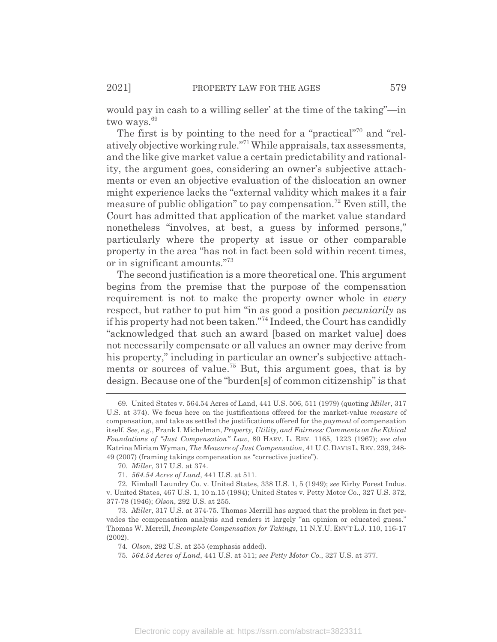would pay in cash to a willing seller' at the time of the taking"—in two ways.<sup>69</sup>

The first is by pointing to the need for a "practical"<sup>70</sup> and "relatively objective working rule."71 While appraisals, tax assessments, and the like give market value a certain predictability and rationality, the argument goes, considering an owner's subjective attachments or even an objective evaluation of the dislocation an owner might experience lacks the "external validity which makes it a fair measure of public obligation" to pay compensation.<sup>72</sup> Even still, the Court has admitted that application of the market value standard nonetheless "involves, at best, a guess by informed persons," particularly where the property at issue or other comparable property in the area "has not in fact been sold within recent times, or in significant amounts."73

The second justification is a more theoretical one. This argument begins from the premise that the purpose of the compensation requirement is not to make the property owner whole in *every* respect, but rather to put him "in as good a position *pecuniarily* as if his property had not been taken."74 Indeed, the Court has candidly "acknowledged that such an award [based on market value] does not necessarily compensate or all values an owner may derive from his property," including in particular an owner's subjective attachments or sources of value.<sup>75</sup> But, this argument goes, that is by design. Because one of the "burden[s] of common citizenship" is that

<sup>69.</sup> United States v. 564.54 Acres of Land, 441 U.S. 506, 511 (1979) (quoting *Miller*, 317 U.S. at 374). We focus here on the justifications offered for the market-value *measure* of compensation, and take as settled the justifications offered for the *payment* of compensation itself. *See, e.g.*, Frank I. Michelman, *Property, Utility, and Fairness: Comments on the Ethical Foundations of "Just Compensation" Law*, 80 HARV. L. REV. 1165, 1223 (1967); *see also* Katrina Miriam Wyman, *The Measure of Just Compensation*, 41 U.C.DAVISL. REV. 239, 248- 49 (2007) (framing takings compensation as "corrective justice").

<sup>70.</sup> *Miller*, 317 U.S. at 374.

<sup>71.</sup> *564.54 Acres of Land*, 441 U.S. at 511.

<sup>72.</sup> Kimball Laundry Co. v. United States, 338 U.S. 1, 5 (1949); *see* Kirby Forest Indus. v. United States, 467 U.S. 1, 10 n.15 (1984); United States v. Petty Motor Co., 327 U.S. 372, 377-78 (1946); *Olson*, 292 U.S. at 255.

<sup>73.</sup> *Miller*, 317 U.S. at 374-75. Thomas Merrill has argued that the problem in fact pervades the compensation analysis and renders it largely "an opinion or educated guess." Thomas W. Merrill, *Incomplete Compensation for Takings*, 11 N.Y.U. ENV'T L.J. 110, 116-17 (2002).

<sup>74.</sup> *Olson*, 292 U.S. at 255 (emphasis added).

<sup>75.</sup> *564.54 Acres of Land*, 441 U.S. at 511; *see Petty Motor Co.*, 327 U.S. at 377.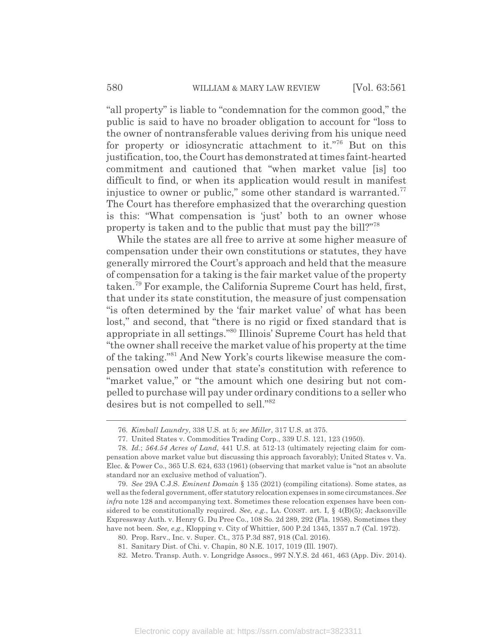"all property" is liable to "condemnation for the common good," the public is said to have no broader obligation to account for "loss to the owner of nontransferable values deriving from his unique need for property or idiosyncratic attachment to it."<sup>76</sup> But on this justification, too, the Court has demonstrated at times faint-hearted commitment and cautioned that "when market value [is] too difficult to find, or when its application would result in manifest injustice to owner or public," some other standard is warranted. $77$ The Court has therefore emphasized that the overarching question is this: "What compensation is 'just' both to an owner whose property is taken and to the public that must pay the bill?"78

While the states are all free to arrive at some higher measure of compensation under their own constitutions or statutes, they have generally mirrored the Court's approach and held that the measure of compensation for a taking is the fair market value of the property taken.79 For example, the California Supreme Court has held, first, that under its state constitution, the measure of just compensation "is often determined by the 'fair market value' of what has been lost," and second, that "there is no rigid or fixed standard that is appropriate in all settings."80 Illinois' Supreme Court has held that "the owner shall receive the market value of his property at the time of the taking."81 And New York's courts likewise measure the compensation owed under that state's constitution with reference to "market value," or "the amount which one desiring but not compelled to purchase will pay under ordinary conditions to a seller who desires but is not compelled to sell."<sup>82</sup>

<sup>76.</sup> *Kimball Laundry*, 338 U.S. at 5; *see Miller*, 317 U.S. at 375.

<sup>77.</sup> United States v. Commodities Trading Corp., 339 U.S. 121, 123 (1950).

<sup>78.</sup> *Id.*; *564.54 Acres of Land*, 441 U.S. at 512-13 (ultimately rejecting claim for compensation above market value but discussing this approach favorably); United States v. Va. Elec. & Power Co., 365 U.S. 624, 633 (1961) (observing that market value is "not an absolute standard nor an exclusive method of valuation").

<sup>79.</sup> *See* 29A C.J.S. *Eminent Domain* § 135 (2021) (compiling citations). Some states, as well as the federal government, offer statutory relocation expenses in some circumstances. *See infra* note 128 and accompanying text. Sometimes these relocation expenses have been considered to be constitutionally required. *See, e.g.*, LA. CONST. art. I, § 4(B)(5); Jacksonville Expressway Auth. v. Henry G. Du Pree Co., 108 So. 2d 289, 292 (Fla. 1958). Sometimes they have not been. *See, e.g.*, Klopping v. City of Whittier, 500 P.2d 1345, 1357 n.7 (Cal. 1972).

<sup>80.</sup> Prop. Rsrv., Inc. v. Super. Ct., 375 P.3d 887, 918 (Cal. 2016).

<sup>81.</sup> Sanitary Dist. of Chi. v. Chapin, 80 N.E. 1017, 1019 (Ill. 1907).

<sup>82.</sup> Metro. Transp. Auth. v. Longridge Assocs., 997 N.Y.S. 2d 461, 463 (App. Div. 2014).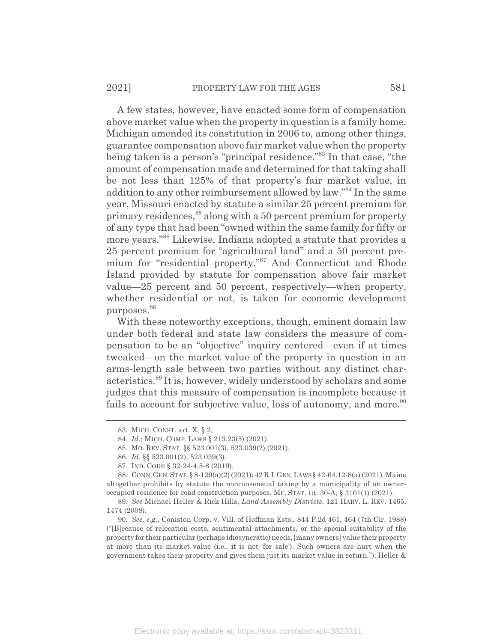A few states, however, have enacted some form of compensation above market value when the property in question is a family home. Michigan amended its constitution in 2006 to, among other things, guarantee compensation above fair market value when the property being taken is a person's "principal residence."83 In that case, "the amount of compensation made and determined for that taking shall be not less than 125% of that property's fair market value, in addition to any other reimbursement allowed by law."84 In the same year, Missouri enacted by statute a similar 25 percent premium for primary residences,<sup>85</sup> along with a 50 percent premium for property of any type that had been "owned within the same family for fifty or more years."86 Likewise, Indiana adopted a statute that provides a 25 percent premium for "agricultural land" and a 50 percent premium for "residential property."87 And Connecticut and Rhode Island provided by statute for compensation above fair market value—25 percent and 50 percent, respectively—when property, whether residential or not, is taken for economic development purposes.<sup>88</sup>

With these noteworthy exceptions, though, eminent domain law under both federal and state law considers the measure of compensation to be an "objective" inquiry centered—even if at times tweaked—on the market value of the property in question in an arms-length sale between two parties without any distinct characteristics.89 It is, however, widely understood by scholars and some judges that this measure of compensation is incomplete because it fails to account for subjective value, loss of autonomy, and more.<sup>90</sup>

<sup>83.</sup> MICH. CONST. art. X, § 2.

<sup>84.</sup> *Id.*; MICH. COMP. LAWS § 213.23(5) (2021).

<sup>85.</sup> MO. REV. STAT. §§ 523.001(3), 523.039(2) (2021).

<sup>86.</sup> *Id.* §§ 523.001(2), 523.039(3).

<sup>87.</sup> IND. CODE § 32-24-4.5-8 (2019).

<sup>88.</sup> CONN.GEN.STAT. § 8-129(a)(2) (2021); 42 R.I.GEN.LAWS§ 42-64.12-8(a) (2021). Maine altogether prohibits by statute the nonconsensual taking by a municipality of an owneroccupied residence for road construction purposes. ME. STAT. tit. 30-A, § 3101(1) (2021).

<sup>89.</sup> *See* Michael Heller & Rick Hills, *Land Assembly Districts*, 121 HARV. L. REV. 1465, 1474 (2008).

<sup>90.</sup> *See, e.g.*, Coniston Corp. v. Vill. of Hoffman Ests., 844 F.2d 461, 464 (7th Cir. 1988) ("[B]ecause of relocation costs, sentimental attachments, or the special suitability of the property for their particular (perhaps idiosyncratic) needs, [many owners] value their property at more than its market value (i.e., it is not 'for sale'). Such owners are hurt when the government takes their property and gives them just its market value in return."); Heller &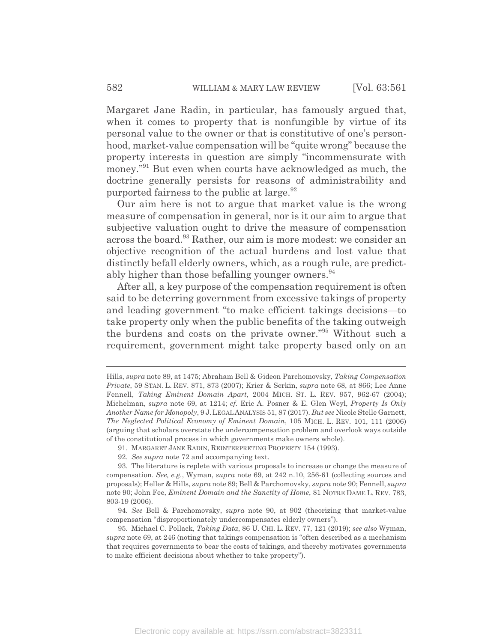Margaret Jane Radin, in particular, has famously argued that, when it comes to property that is nonfungible by virtue of its personal value to the owner or that is constitutive of one's personhood, market-value compensation will be "quite wrong" because the property interests in question are simply "incommensurate with money."<sup>91</sup> But even when courts have acknowledged as much, the doctrine generally persists for reasons of administrability and purported fairness to the public at large.  $92$ 

Our aim here is not to argue that market value is the wrong measure of compensation in general, nor is it our aim to argue that subjective valuation ought to drive the measure of compensation across the board.<sup>93</sup> Rather, our aim is more modest: we consider an objective recognition of the actual burdens and lost value that distinctly befall elderly owners, which, as a rough rule, are predictably higher than those befalling younger owners.<sup>94</sup>

After all, a key purpose of the compensation requirement is often said to be deterring government from excessive takings of property and leading government "to make efficient takings decisions—to take property only when the public benefits of the taking outweigh the burdens and costs on the private owner."95 Without such a requirement, government might take property based only on an

Hills, *supra* note 89, at 1475; Abraham Bell & Gideon Parchomovsky, *Taking Compensation Private*, 59 STAN. L. REV. 871, 873 (2007); Krier & Serkin, *supra* note 68, at 866; Lee Anne Fennell, *Taking Eminent Domain Apart*, 2004 MICH. ST. L. REV. 957, 962-67 (2004); Michelman, *supra* note 69, at 1214; *cf.* Eric A. Posner & E. Glen Weyl, *Property Is Only Another Name for Monopoly*, 9 J.LEGAL ANALYSIS 51, 87 (2017). *But see* Nicole Stelle Garnett, *The Neglected Political Economy of Eminent Domain*, 105 MICH. L. REV. 101, 111 (2006) (arguing that scholars overstate the undercompensation problem and overlook ways outside of the constitutional process in which governments make owners whole).

<sup>91.</sup> MARGARET JANE RADIN, REINTERPRETING PROPERTY 154 (1993).

<sup>92.</sup> *See supra* note 72 and accompanying text.

<sup>93.</sup> The literature is replete with various proposals to increase or change the measure of compensation. *See, e.g.*, Wyman, *supra* note 69, at 242 n.10, 256-61 (collecting sources and proposals); Heller & Hills, *supra* note 89; Bell & Parchomovsky, *supra* note 90; Fennell, *supra* note 90; John Fee, *Eminent Domain and the Sanctity of Home*, 81 NOTRE DAME L. REV. 783, 803-19 (2006).

<sup>94.</sup> *See* Bell & Parchomovsky, *supra* note 90, at 902 (theorizing that market-value compensation "disproportionately undercompensates elderly owners").

<sup>95.</sup> Michael C. Pollack, *Taking Data*, 86 U. CHI. L. REV. 77, 121 (2019); *see also* Wyman, *supra* note 69, at 246 (noting that takings compensation is "often described as a mechanism that requires governments to bear the costs of takings, and thereby motivates governments to make efficient decisions about whether to take property").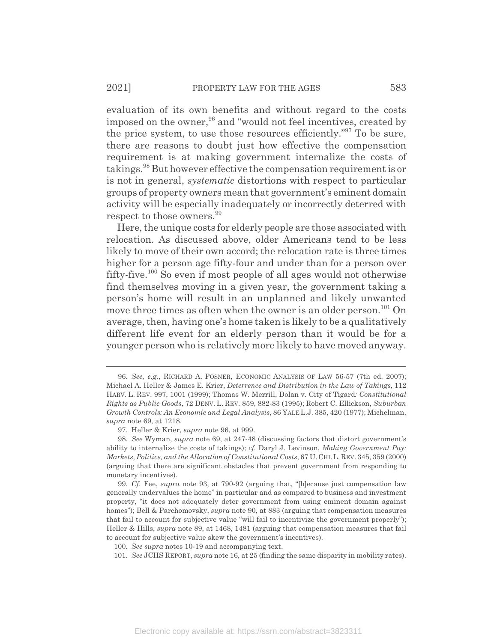evaluation of its own benefits and without regard to the costs imposed on the owner,<sup>96</sup> and "would not feel incentives, created by the price system, to use those resources efficiently."97 To be sure, there are reasons to doubt just how effective the compensation requirement is at making government internalize the costs of takings.98 But however effective the compensation requirement is or is not in general, *systematic* distortions with respect to particular groups of property owners mean that government's eminent domain activity will be especially inadequately or incorrectly deterred with respect to those owners.<sup>99</sup>

Here, the unique costs for elderly people are those associated with relocation. As discussed above, older Americans tend to be less likely to move of their own accord; the relocation rate is three times higher for a person age fifty-four and under than for a person over fifty-five.100 So even if most people of all ages would not otherwise find themselves moving in a given year, the government taking a person's home will result in an unplanned and likely unwanted move three times as often when the owner is an older person.<sup>101</sup> On average, then, having one's home taken is likely to be a qualitatively different life event for an elderly person than it would be for a younger person who is relatively more likely to have moved anyway.

<sup>96.</sup> *See, e.g.*, RICHARD A. POSNER, ECONOMIC ANALYSIS OF LAW 56-57 (7th ed. 2007); Michael A. Heller & James E. Krier, *Deterrence and Distribution in the Law of Takings*, 112 HARV. L. REV. 997, 1001 (1999); Thomas W. Merrill, Dolan v. City of Tigard*: Constitutional Rights as Public Goods*, 72 DENV. L. REV. 859, 882-83 (1995); Robert C. Ellickson, *Suburban Growth Controls: An Economic and Legal Analysis*, 86 YALE L.J. 385, 420 (1977); Michelman, *supra* note 69, at 1218.

<sup>97.</sup> Heller & Krier, *supra* note 96, at 999.

<sup>98.</sup> *See* Wyman, *supra* note 69, at 247-48 (discussing factors that distort government's ability to internalize the costs of takings); *cf.* Daryl J. Levinson, *Making Government Pay: Markets, Politics, and the Allocation of Constitutional Costs*, 67 U.CHI.L.REV. 345, 359 (2000) (arguing that there are significant obstacles that prevent government from responding to monetary incentives).

<sup>99.</sup> *Cf.* Fee, *supra* note 93, at 790-92 (arguing that, "[b]ecause just compensation law generally undervalues the home" in particular and as compared to business and investment property, "it does not adequately deter government from using eminent domain against homes"); Bell & Parchomovsky, *supra* note 90, at 883 (arguing that compensation measures that fail to account for subjective value "will fail to incentivize the government properly"); Heller & Hills, *supra* note 89, at 1468, 1481 (arguing that compensation measures that fail to account for subjective value skew the government's incentives).

<sup>100.</sup> *See supra* notes 10-19 and accompanying text.

<sup>101.</sup> *See* JCHS REPORT, *supra* note 16, at 25 (finding the same disparity in mobility rates).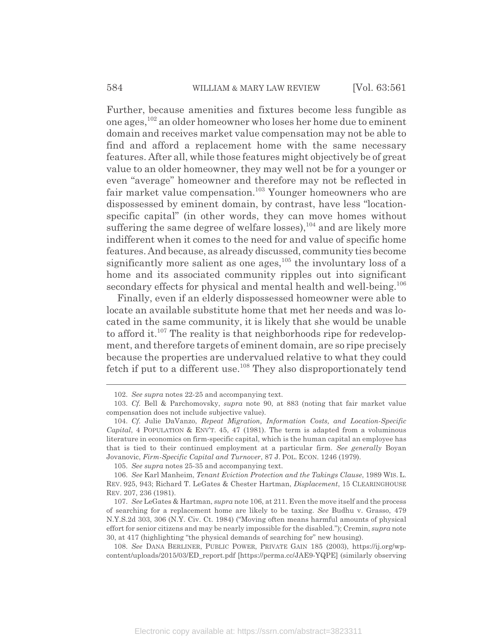Further, because amenities and fixtures become less fungible as one ages,102 an older homeowner who loses her home due to eminent domain and receives market value compensation may not be able to find and afford a replacement home with the same necessary features. After all, while those features might objectively be of great value to an older homeowner, they may well not be for a younger or even "average" homeowner and therefore may not be reflected in fair market value compensation.<sup>103</sup> Younger homeowners who are dispossessed by eminent domain, by contrast, have less "locationspecific capital" (in other words, they can move homes without suffering the same degree of welfare losses), $104$  and are likely more indifferent when it comes to the need for and value of specific home features. And because, as already discussed, community ties become significantly more salient as one ages, $105$  the involuntary loss of a home and its associated community ripples out into significant secondary effects for physical and mental health and well-being.<sup>106</sup>

Finally, even if an elderly dispossessed homeowner were able to locate an available substitute home that met her needs and was located in the same community, it is likely that she would be unable to afford it.<sup>107</sup> The reality is that neighborhoods ripe for redevelopment, and therefore targets of eminent domain, are so ripe precisely because the properties are undervalued relative to what they could fetch if put to a different use.108 They also disproportionately tend

<sup>102.</sup> *See supra* notes 22-25 and accompanying text.

<sup>103.</sup> *Cf.* Bell & Parchomovsky, *supra* note 90, at 883 (noting that fair market value compensation does not include subjective value).

<sup>104.</sup> *Cf.* Julie DaVanzo, *Repeat Migration, Information Costs, and Location-Specific Capital*, 4 POPULATION & ENV'T. 45, 47 (1981). The term is adapted from a voluminous literature in economics on firm-specific capital, which is the human capital an employee has that is tied to their continued employment at a particular firm. *See generally* Boyan Jovanovic, *Firm-Specific Capital and Turnover*, 87 J. POL. ECON. 1246 (1979).

<sup>105.</sup> *See supra* notes 25-35 and accompanying text.

<sup>106.</sup> *See* Karl Manheim, *Tenant Eviction Protection and the Takings Clause*, 1989 WIS. L. REV. 925, 943; Richard T. LeGates & Chester Hartman, *Displacement*, 15 CLEARINGHOUSE REV. 207, 236 (1981).

<sup>107.</sup> *See* LeGates & Hartman, *supra* note 106, at 211. Even the move itself and the process of searching for a replacement home are likely to be taxing. *See* Budhu v. Grasso, 479 N.Y.S.2d 303, 306 (N.Y. Civ. Ct. 1984) ("Moving often means harmful amounts of physical effort for senior citizens and may be nearly impossible for the disabled."); Cremin, *supra* note 30, at 417 (highlighting "the physical demands of searching for" new housing).

<sup>108.</sup> *See* DANA BERLINER, PUBLIC POWER, PRIVATE GAIN 185 (2003), https://ij.org/wpcontent/uploads/2015/03/ED\_report.pdf [https://perma.cc/JAE9-YQPE] (similarly observing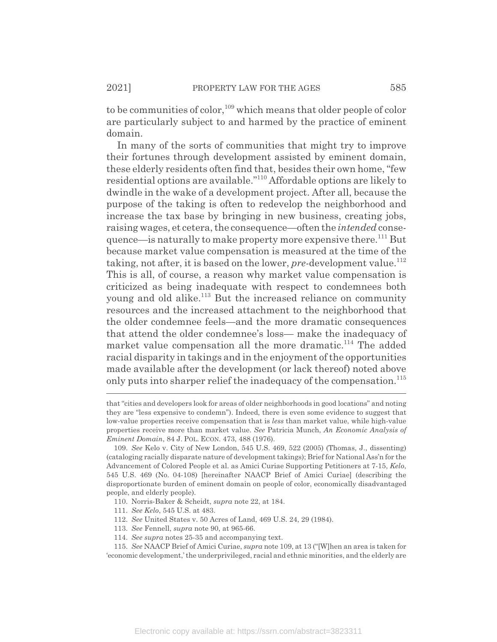to be communities of color,<sup>109</sup> which means that older people of color are particularly subject to and harmed by the practice of eminent domain.

In many of the sorts of communities that might try to improve their fortunes through development assisted by eminent domain, these elderly residents often find that, besides their own home, "few residential options are available."110 Affordable options are likely to dwindle in the wake of a development project. After all, because the purpose of the taking is often to redevelop the neighborhood and increase the tax base by bringing in new business, creating jobs, raising wages, et cetera, the consequence—often the *intended* consequence—is naturally to make property more expensive there.<sup>111</sup> But because market value compensation is measured at the time of the taking, not after, it is based on the lower, *pre-*development value.<sup>112</sup> This is all, of course, a reason why market value compensation is criticized as being inadequate with respect to condemnees both young and old alike.<sup>113</sup> But the increased reliance on community resources and the increased attachment to the neighborhood that the older condemnee feels—and the more dramatic consequences that attend the older condemnee's loss— make the inadequacy of market value compensation all the more dramatic.<sup>114</sup> The added racial disparity in takings and in the enjoyment of the opportunities made available after the development (or lack thereof) noted above only puts into sharper relief the inadequacy of the compensation.<sup>115</sup>

- 112. *See* United States v. 50 Acres of Land, 469 U.S. 24, 29 (1984).
- 113. *See* Fennell, *supra* note 90, at 965-66.
- 114. *See supra* notes 25-35 and accompanying text.

that "cities and developers look for areas of older neighborhoods in good locations" and noting they are "less expensive to condemn"). Indeed, there is even some evidence to suggest that low-value properties receive compensation that is *less* than market value, while high-value properties receive more than market value. *See* Patricia Munch, *An Economic Analysis of Eminent Domain*, 84 J. POL. ECON. 473, 488 (1976).

<sup>109.</sup> *See* Kelo v. City of New London, 545 U.S. 469, 522 (2005) (Thomas, J., dissenting) (cataloging racially disparate nature of development takings); Brief for National Ass'n for the Advancement of Colored People et al. as Amici Curiae Supporting Petitioners at 7-15, *Kelo*, 545 U.S. 469 (No. 04-108) [hereinafter NAACP Brief of Amici Curiae] (describing the disproportionate burden of eminent domain on people of color, economically disadvantaged people, and elderly people).

<sup>110.</sup> Norris-Baker & Scheidt, *supra* note 22, at 184.

<sup>111.</sup> *See Kelo*, 545 U.S. at 483.

<sup>115.</sup> *See* NAACP Brief of Amici Curiae, *supra* note 109, at 13 ("[W]hen an area is taken for 'economic development,' the underprivileged, racial and ethnic minorities, and the elderly are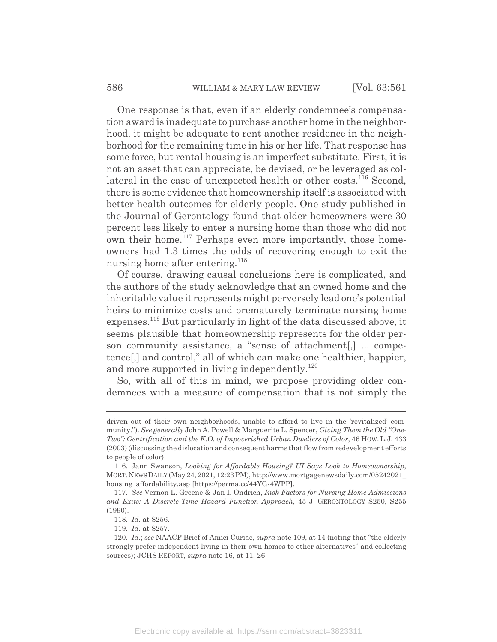One response is that, even if an elderly condemnee's compensation award is inadequate to purchase another home in the neighborhood, it might be adequate to rent another residence in the neighborhood for the remaining time in his or her life. That response has some force, but rental housing is an imperfect substitute. First, it is not an asset that can appreciate, be devised, or be leveraged as collateral in the case of unexpected health or other costs.<sup>116</sup> Second, there is some evidence that homeownership itself is associated with better health outcomes for elderly people. One study published in the Journal of Gerontology found that older homeowners were 30 percent less likely to enter a nursing home than those who did not own their home.<sup>117</sup> Perhaps even more importantly, those homeowners had 1.3 times the odds of recovering enough to exit the nursing home after entering.<sup>118</sup>

Of course, drawing causal conclusions here is complicated, and the authors of the study acknowledge that an owned home and the inheritable value it represents might perversely lead one's potential heirs to minimize costs and prematurely terminate nursing home expenses.119 But particularly in light of the data discussed above, it seems plausible that homeownership represents for the older person community assistance, a "sense of attachment[,] ... competence[,] and control," all of which can make one healthier, happier, and more supported in living independently.<sup>120</sup>

So, with all of this in mind, we propose providing older condemnees with a measure of compensation that is not simply the

driven out of their own neighborhoods, unable to afford to live in the 'revitalized' community."). *See generally* John A. Powell & Marguerite L. Spencer, *Giving Them the Old "One-Two": Gentrification and the K.O. of Impoverished Urban Dwellers of Color*, 46 HOW. L.J. 433 (2003) (discussing the dislocation and consequent harms that flow from redevelopment efforts to people of color).

<sup>116.</sup> Jann Swanson, *Looking for Affordable Housing? UI Says Look to Homeownership*, MORT.NEWSDAILY (May 24, 2021, 12:23 PM), http://www.mortgagenewsdaily.com/05242021\_ housing\_affordability.asp [https://perma.cc/44YG-4WPP].

<sup>117.</sup> *See* Vernon L. Greene & Jan I. Ondrich, *Risk Factors for Nursing Home Admissions and Exits: A Discrete-Time Hazard Function Approach*, 45 J. GERONTOLOGY S250, S255 (1990).

<sup>118.</sup> *Id.* at S256.

<sup>119.</sup> *Id.* at S257.

<sup>120.</sup> *Id.*; *see* NAACP Brief of Amici Curiae, *supra* note 109, at 14 (noting that "the elderly strongly prefer independent living in their own homes to other alternatives" and collecting sources); JCHS REPORT, *supra* note 16, at 11, 26.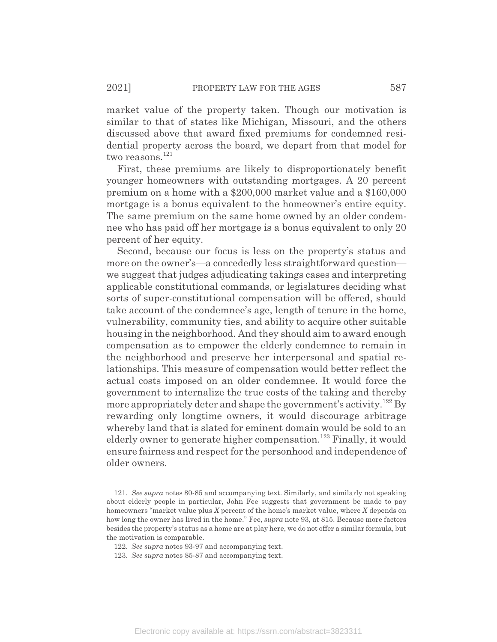market value of the property taken. Though our motivation is similar to that of states like Michigan, Missouri, and the others discussed above that award fixed premiums for condemned residential property across the board, we depart from that model for two reasons. $121$ 

First, these premiums are likely to disproportionately benefit younger homeowners with outstanding mortgages. A 20 percent premium on a home with a \$200,000 market value and a \$160,000 mortgage is a bonus equivalent to the homeowner's entire equity. The same premium on the same home owned by an older condemnee who has paid off her mortgage is a bonus equivalent to only 20 percent of her equity.

Second, because our focus is less on the property's status and more on the owner's—a concededly less straightforward question we suggest that judges adjudicating takings cases and interpreting applicable constitutional commands, or legislatures deciding what sorts of super-constitutional compensation will be offered, should take account of the condemnee's age, length of tenure in the home, vulnerability, community ties, and ability to acquire other suitable housing in the neighborhood. And they should aim to award enough compensation as to empower the elderly condemnee to remain in the neighborhood and preserve her interpersonal and spatial relationships. This measure of compensation would better reflect the actual costs imposed on an older condemnee. It would force the government to internalize the true costs of the taking and thereby more appropriately deter and shape the government's activity.<sup>122</sup> By rewarding only longtime owners, it would discourage arbitrage whereby land that is slated for eminent domain would be sold to an elderly owner to generate higher compensation.<sup>123</sup> Finally, it would ensure fairness and respect for the personhood and independence of older owners.

<sup>121.</sup> *See supra* notes 80-85 and accompanying text. Similarly, and similarly not speaking about elderly people in particular, John Fee suggests that government be made to pay homeowners "market value plus *X* percent of the home's market value, where *X* depends on how long the owner has lived in the home." Fee, *supra* note 93, at 815. Because more factors besides the property's status as a home are at play here, we do not offer a similar formula, but the motivation is comparable.

<sup>122.</sup> *See supra* notes 93-97 and accompanying text.

<sup>123.</sup> *See supra* notes 85-87 and accompanying text.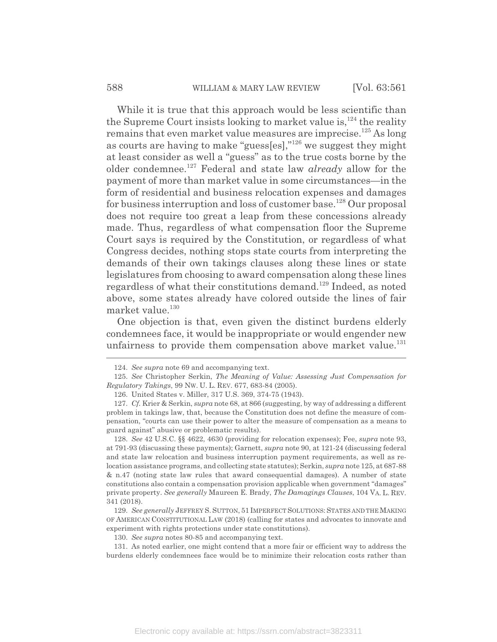While it is true that this approach would be less scientific than the Supreme Court insists looking to market value is, $^{124}$  the reality remains that even market value measures are imprecise.<sup>125</sup> As long as courts are having to make "guess[es],"126 we suggest they might at least consider as well a "guess" as to the true costs borne by the older condemnee.127 Federal and state law *already* allow for the payment of more than market value in some circumstances—in the form of residential and business relocation expenses and damages for business interruption and loss of customer base.<sup>128</sup> Our proposal does not require too great a leap from these concessions already made. Thus, regardless of what compensation floor the Supreme Court says is required by the Constitution, or regardless of what Congress decides, nothing stops state courts from interpreting the demands of their own takings clauses along these lines or state legislatures from choosing to award compensation along these lines regardless of what their constitutions demand.129 Indeed, as noted above, some states already have colored outside the lines of fair market value.<sup>130</sup>

One objection is that, even given the distinct burdens elderly condemnees face, it would be inappropriate or would engender new unfairness to provide them compensation above market value.<sup>131</sup>

128. *See* 42 U.S.C. §§ 4622, 4630 (providing for relocation expenses); Fee, *supra* note 93, at 791-93 (discussing these payments); Garnett, *supra* note 90, at 121-24 (discussing federal and state law relocation and business interruption payment requirements, as well as relocation assistance programs, and collecting state statutes); Serkin, *supra* note 125, at 687-88 & n.47 (noting state law rules that award consequential damages). A number of state constitutions also contain a compensation provision applicable when government "damages" private property. *See generally* Maureen E. Brady, *The Damagings Clauses*, 104 VA. L. REV. 341 (2018).

129. *See generally* JEFFREY S. SUTTON, 51 IMPERFECT SOLUTIONS: STATES AND THE MAKING OF AMERICAN CONSTITUTIONAL LAW (2018) (calling for states and advocates to innovate and experiment with rights protections under state constitutions).

130. *See supra* notes 80-85 and accompanying text.

131. As noted earlier, one might contend that a more fair or efficient way to address the burdens elderly condemnees face would be to minimize their relocation costs rather than

<sup>124.</sup> *See supra* note 69 and accompanying text.

<sup>125.</sup> *See* Christopher Serkin, *The Meaning of Value: Assessing Just Compensation for Regulatory Takings*, 99 NW. U. L. REV. 677, 683-84 (2005).

<sup>126.</sup> United States v. Miller, 317 U.S. 369, 374-75 (1943).

<sup>127.</sup> *Cf.* Krier & Serkin, *supra* note 68, at 866 (suggesting, by way of addressing a different problem in takings law, that, because the Constitution does not define the measure of compensation, "courts can use their power to alter the measure of compensation as a means to guard against" abusive or problematic results).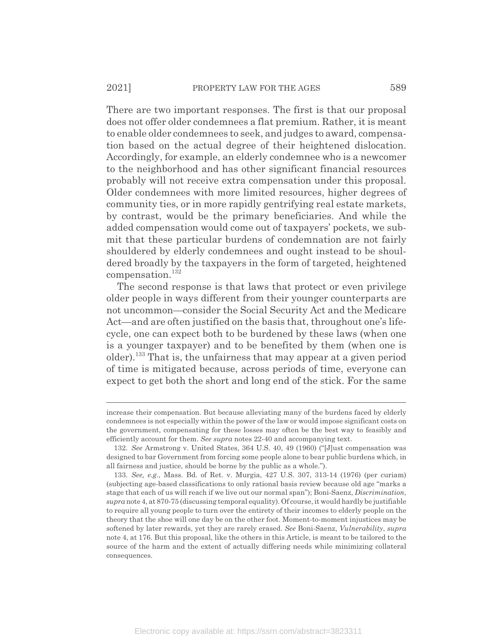There are two important responses. The first is that our proposal does not offer older condemnees a flat premium. Rather, it is meant to enable older condemnees to seek, and judges to award, compensation based on the actual degree of their heightened dislocation. Accordingly, for example, an elderly condemnee who is a newcomer to the neighborhood and has other significant financial resources probably will not receive extra compensation under this proposal. Older condemnees with more limited resources, higher degrees of community ties, or in more rapidly gentrifying real estate markets, by contrast, would be the primary beneficiaries. And while the added compensation would come out of taxpayers' pockets, we submit that these particular burdens of condemnation are not fairly shouldered by elderly condemnees and ought instead to be shouldered broadly by the taxpayers in the form of targeted, heightened compensation.<sup>132</sup>

The second response is that laws that protect or even privilege older people in ways different from their younger counterparts are not uncommon—consider the Social Security Act and the Medicare Act—and are often justified on the basis that, throughout one's lifecycle, one can expect both to be burdened by these laws (when one is a younger taxpayer) and to be benefited by them (when one is older).133 That is, the unfairness that may appear at a given period of time is mitigated because, across periods of time, everyone can expect to get both the short and long end of the stick. For the same

increase their compensation. But because alleviating many of the burdens faced by elderly condemnees is not especially within the power of the law or would impose significant costs on the government, compensating for these losses may often be the best way to feasibly and efficiently account for them. *See supra* notes 22-40 and accompanying text.

<sup>132.</sup> *See* Armstrong v. United States, 364 U.S. 40, 49 (1960) ("[J]ust compensation was designed to bar Government from forcing some people alone to bear public burdens which, in all fairness and justice, should be borne by the public as a whole.").

<sup>133.</sup> *See, e.g.*, Mass. Bd. of Ret. v. Murgia, 427 U.S. 307, 313-14 (1976) (per curiam) (subjecting age-based classifications to only rational basis review because old age "marks a stage that each of us will reach if we live out our normal span"); Boni-Saenz, *Discrimination*, *supra* note 4, at 870-75 (discussing temporal equality). Of course, it would hardly be justifiable to require all young people to turn over the entirety of their incomes to elderly people on the theory that the shoe will one day be on the other foot. Moment-to-moment injustices may be softened by later rewards, yet they are rarely erased. *See* Boni-Saenz, *Vulnerability*, *supra* note 4, at 176. But this proposal, like the others in this Article, is meant to be tailored to the source of the harm and the extent of actually differing needs while minimizing collateral consequences.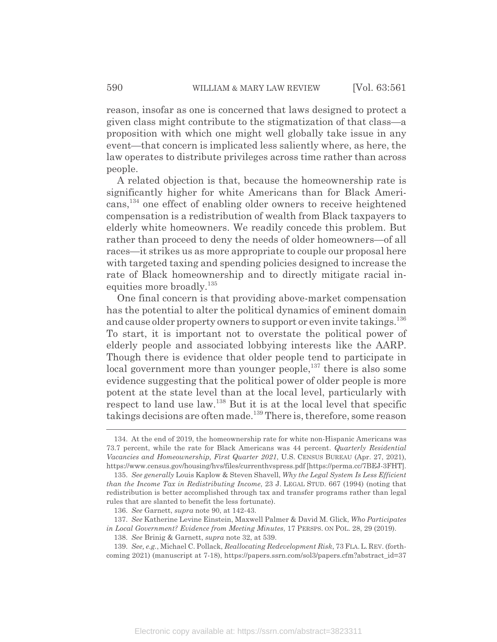reason, insofar as one is concerned that laws designed to protect a given class might contribute to the stigmatization of that class—a proposition with which one might well globally take issue in any event—that concern is implicated less saliently where, as here, the law operates to distribute privileges across time rather than across people.

A related objection is that, because the homeownership rate is significantly higher for white Americans than for Black Americans,134 one effect of enabling older owners to receive heightened compensation is a redistribution of wealth from Black taxpayers to elderly white homeowners. We readily concede this problem. But rather than proceed to deny the needs of older homeowners—of all races—it strikes us as more appropriate to couple our proposal here with targeted taxing and spending policies designed to increase the rate of Black homeownership and to directly mitigate racial inequities more broadly.<sup>135</sup>

One final concern is that providing above-market compensation has the potential to alter the political dynamics of eminent domain and cause older property owners to support or even invite takings.<sup>136</sup> To start, it is important not to overstate the political power of elderly people and associated lobbying interests like the AARP. Though there is evidence that older people tend to participate in local government more than younger people, $137$  there is also some evidence suggesting that the political power of older people is more potent at the state level than at the local level, particularly with respect to land use law.138 But it is at the local level that specific takings decisions are often made.139 There is, therefore, some reason

137. *See* Katherine Levine Einstein, Maxwell Palmer & David M. Glick, *Who Participates in Local Government? Evidence from Meeting Minutes*, 17 PERSPS. ON POL. 28, 29 (2019).

139. *See, e.g.*, Michael C. Pollack, *Reallocating Redevelopment Risk*, 73 FLA. L. REV. (forthcoming 2021) (manuscript at 7-18), https://papers.ssrn.com/sol3/papers.cfm?abstract\_id=37

<sup>134.</sup> At the end of 2019, the homeownership rate for white non-Hispanic Americans was 73.7 percent, while the rate for Black Americans was 44 percent. *Quarterly Residential Vacancies and Homeownership, First Quarter 2021*, U.S. CENSUS BUREAU (Apr. 27, 2021), https://www.census.gov/housing/hvs/files/currenthvspress.pdf [https://perma.cc/7BEJ-3FHT].

<sup>135.</sup> *See generally* Louis Kaplow & Steven Shavell, *Why the Legal System Is Less Efficient than the Income Tax in Redistributing Income*, 23 J. LEGAL STUD. 667 (1994) (noting that redistribution is better accomplished through tax and transfer programs rather than legal rules that are slanted to benefit the less fortunate).

<sup>136.</sup> *See* Garnett, *supra* note 90, at 142-43.

<sup>138.</sup> *See* Brinig & Garnett, *supra* note 32, at 539.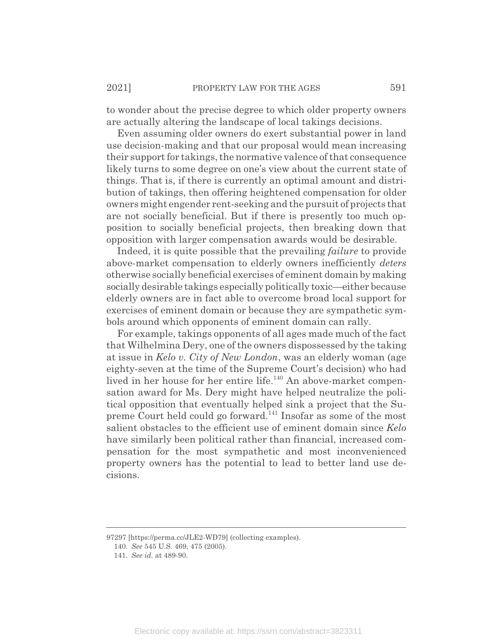to wonder about the precise degree to which older property owners are actually altering the landscape of local takings decisions.

Even assuming older owners do exert substantial power in land use decision-making and that our proposal would mean increasing their support for takings, the normative valence of that consequence likely turns to some degree on one's view about the current state of things. That is, if there is currently an optimal amount and distribution of takings, then offering heightened compensation for older owners might engender rent-seeking and the pursuit of projects that are not socially beneficial. But if there is presently too much opposition to socially beneficial projects, then breaking down that opposition with larger compensation awards would be desirable.

Indeed, it is quite possible that the prevailing *failure* to provide above-market compensation to elderly owners inefficiently *deters* otherwise socially beneficial exercises of eminent domain by making socially desirable takings especially politically toxic—either because elderly owners are in fact able to overcome broad local support for exercises of eminent domain or because they are sympathetic symbols around which opponents of eminent domain can rally.

For example, takings opponents of all ages made much of the fact that Wilhelmina Dery, one of the owners dispossessed by the taking at issue in *Kelo v. City of New London*, was an elderly woman (age eighty-seven at the time of the Supreme Court's decision) who had lived in her house for her entire life.<sup>140</sup> An above-market compensation award for Ms. Dery might have helped neutralize the political opposition that eventually helped sink a project that the Supreme Court held could go forward.141 Insofar as some of the most salient obstacles to the efficient use of eminent domain since *Kelo* have similarly been political rather than financial, increased compensation for the most sympathetic and most inconvenienced property owners has the potential to lead to better land use decisions.

<sup>97297 [</sup>https://perma.cc/JLE2-WD79] (collecting examples).

<sup>140.</sup> *See* 545 U.S. 469, 475 (2005).

<sup>141.</sup> *See id.* at 489-90.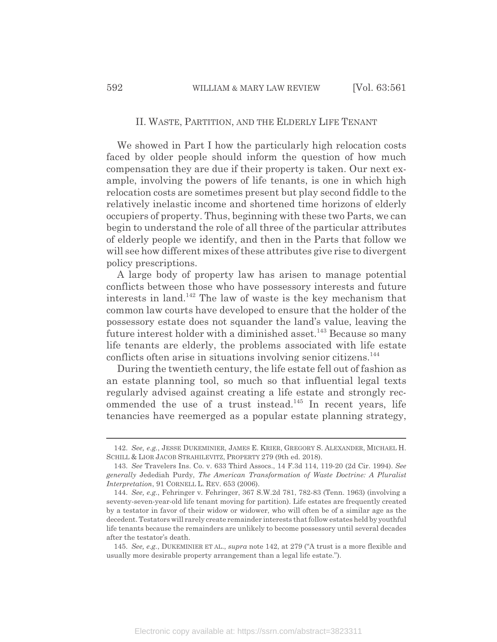#### II. WASTE, PARTITION, AND THE ELDERLY LIFE TENANT

We showed in Part I how the particularly high relocation costs faced by older people should inform the question of how much compensation they are due if their property is taken. Our next example, involving the powers of life tenants, is one in which high relocation costs are sometimes present but play second fiddle to the relatively inelastic income and shortened time horizons of elderly occupiers of property. Thus, beginning with these two Parts, we can begin to understand the role of all three of the particular attributes of elderly people we identify, and then in the Parts that follow we will see how different mixes of these attributes give rise to divergent policy prescriptions.

A large body of property law has arisen to manage potential conflicts between those who have possessory interests and future interests in land.142 The law of waste is the key mechanism that common law courts have developed to ensure that the holder of the possessory estate does not squander the land's value, leaving the future interest holder with a diminished asset.<sup>143</sup> Because so many life tenants are elderly, the problems associated with life estate conflicts often arise in situations involving senior citizens.<sup>144</sup>

During the twentieth century, the life estate fell out of fashion as an estate planning tool, so much so that influential legal texts regularly advised against creating a life estate and strongly recommended the use of a trust instead. $145$  In recent years, life tenancies have reemerged as a popular estate planning strategy,

<sup>142.</sup> *See, e.g.*, JESSE DUKEMINIER, JAMES E. KRIER, GREGORY S. ALEXANDER, MICHAEL H. SCHILL & LIOR JACOB STRAHILEVITZ, PROPERTY 279 (9th ed. 2018).

<sup>143.</sup> *See* Travelers Ins. Co. v. 633 Third Assocs., 14 F.3d 114, 119-20 (2d Cir. 1994). *See generally* Jedediah Purdy, *The American Transformation of Waste Doctrine: A Pluralist Interpretation*, 91 CORNELL L. REV. 653 (2006).

<sup>144.</sup> *See, e.g.*, Fehringer v. Fehringer, 367 S.W.2d 781, 782-83 (Tenn. 1963) (involving a seventy-seven-year-old life tenant moving for partition). Life estates are frequently created by a testator in favor of their widow or widower, who will often be of a similar age as the decedent. Testators will rarely create remainder interests that follow estates held by youthful life tenants because the remainders are unlikely to become possessory until several decades after the testator's death.

<sup>145.</sup> *See, e.g.*, DUKEMINIER ET AL., *supra* note 142, at 279 ("A trust is a more flexible and usually more desirable property arrangement than a legal life estate.").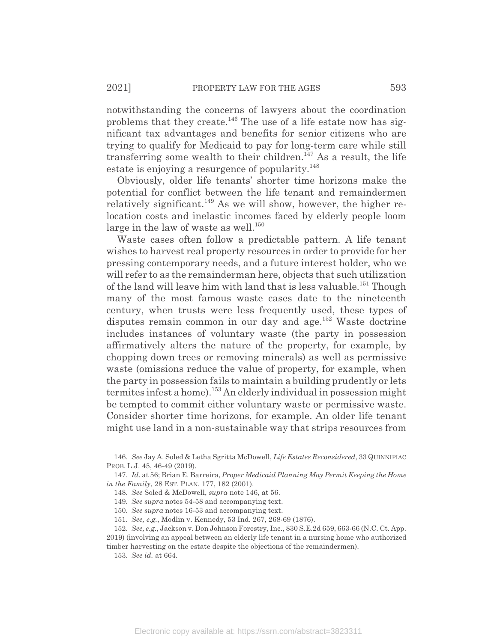notwithstanding the concerns of lawyers about the coordination problems that they create.<sup>146</sup> The use of a life estate now has significant tax advantages and benefits for senior citizens who are trying to qualify for Medicaid to pay for long-term care while still transferring some wealth to their children.147 As a result, the life estate is enjoying a resurgence of popularity.<sup>148</sup>

Obviously, older life tenants' shorter time horizons make the potential for conflict between the life tenant and remaindermen relatively significant.<sup>149</sup> As we will show, however, the higher relocation costs and inelastic incomes faced by elderly people loom large in the law of waste as well.<sup>150</sup>

Waste cases often follow a predictable pattern. A life tenant wishes to harvest real property resources in order to provide for her pressing contemporary needs, and a future interest holder, who we will refer to as the remainderman here, objects that such utilization of the land will leave him with land that is less valuable.<sup>151</sup> Though many of the most famous waste cases date to the nineteenth century, when trusts were less frequently used, these types of disputes remain common in our day and age.<sup>152</sup> Waste doctrine includes instances of voluntary waste (the party in possession affirmatively alters the nature of the property, for example, by chopping down trees or removing minerals) as well as permissive waste (omissions reduce the value of property, for example, when the party in possession fails to maintain a building prudently or lets termites infest a home).<sup>153</sup> An elderly individual in possession might be tempted to commit either voluntary waste or permissive waste. Consider shorter time horizons, for example. An older life tenant might use land in a non-sustainable way that strips resources from

<sup>146.</sup> *See* Jay A. Soled & Letha Sgritta McDowell, *Life Estates Reconsidered*, 33 QUINNIPIAC PROB. L.J. 45, 46-49 (2019).

<sup>147.</sup> *Id.* at 56; Brian E. Barreira, *Proper Medicaid Planning May Permit Keeping the Home in the Family*, 28 EST. PLAN. 177, 182 (2001).

<sup>148.</sup> *See* Soled & McDowell, *supra* note 146, at 56.

<sup>149.</sup> *See supra* notes 54-58 and accompanying text.

<sup>150.</sup> *See supra* notes 16-53 and accompanying text.

<sup>151.</sup> *See, e.g.*, Modlin v. Kennedy, 53 Ind. 267, 268-69 (1876).

<sup>152.</sup> *See, e.g.*, Jackson v. Don Johnson Forestry, Inc., 830 S.E.2d 659, 663-66 (N.C. Ct. App. 2019) (involving an appeal between an elderly life tenant in a nursing home who authorized

timber harvesting on the estate despite the objections of the remaindermen).

<sup>153.</sup> *See id.* at 664.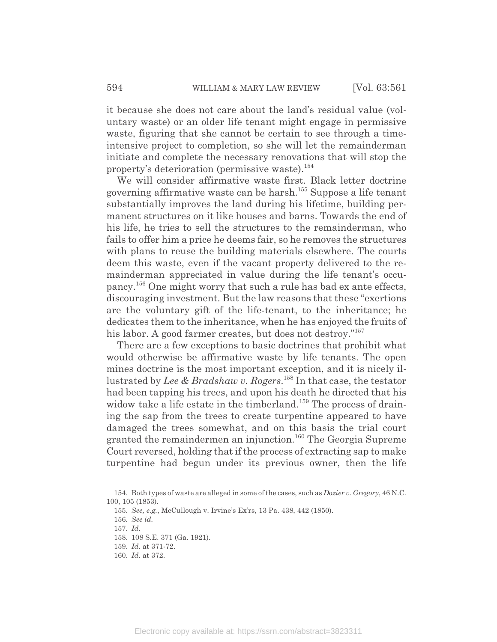it because she does not care about the land's residual value (voluntary waste) or an older life tenant might engage in permissive waste, figuring that she cannot be certain to see through a timeintensive project to completion, so she will let the remainderman initiate and complete the necessary renovations that will stop the property's deterioration (permissive waste).<sup>154</sup>

We will consider affirmative waste first. Black letter doctrine governing affirmative waste can be harsh.155 Suppose a life tenant substantially improves the land during his lifetime, building permanent structures on it like houses and barns. Towards the end of his life, he tries to sell the structures to the remainderman, who fails to offer him a price he deems fair, so he removes the structures with plans to reuse the building materials elsewhere. The courts deem this waste, even if the vacant property delivered to the remainderman appreciated in value during the life tenant's occupancy.156 One might worry that such a rule has bad ex ante effects, discouraging investment. But the law reasons that these "exertions are the voluntary gift of the life-tenant, to the inheritance; he dedicates them to the inheritance, when he has enjoyed the fruits of his labor. A good farmer creates, but does not destroy."<sup>157</sup>

There are a few exceptions to basic doctrines that prohibit what would otherwise be affirmative waste by life tenants. The open mines doctrine is the most important exception, and it is nicely illustrated by *Lee & Bradshaw v. Rogers*. 158 In that case, the testator had been tapping his trees, and upon his death he directed that his widow take a life estate in the timberland.<sup>159</sup> The process of draining the sap from the trees to create turpentine appeared to have damaged the trees somewhat, and on this basis the trial court granted the remaindermen an injunction.<sup>160</sup> The Georgia Supreme Court reversed, holding that if the process of extracting sap to make turpentine had begun under its previous owner, then the life

<sup>154.</sup> Both types of waste are alleged in some of the cases, such as *Dozier v. Gregory*, 46 N.C. 100, 105 (1853).

<sup>155.</sup> *See, e.g.*, McCullough v. Irvine's Ex'rs, 13 Pa. 438, 442 (1850).

<sup>156.</sup> *See id.*

<sup>157.</sup> *Id.*

<sup>158. 108</sup> S.E. 371 (Ga. 1921).

<sup>159.</sup> *Id.* at 371-72.

<sup>160.</sup> *Id.* at 372.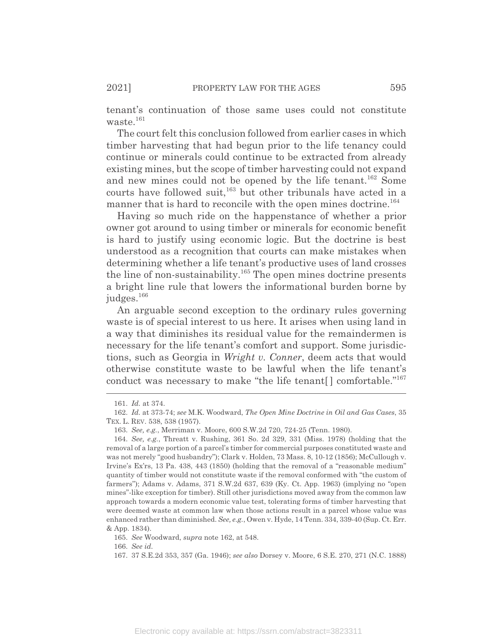tenant's continuation of those same uses could not constitute waste. $161$ 

The court felt this conclusion followed from earlier cases in which timber harvesting that had begun prior to the life tenancy could continue or minerals could continue to be extracted from already existing mines, but the scope of timber harvesting could not expand and new mines could not be opened by the life tenant.<sup>162</sup> Some courts have followed suit,<sup>163</sup> but other tribunals have acted in a manner that is hard to reconcile with the open mines doctrine.<sup>164</sup>

Having so much ride on the happenstance of whether a prior owner got around to using timber or minerals for economic benefit is hard to justify using economic logic. But the doctrine is best understood as a recognition that courts can make mistakes when determining whether a life tenant's productive uses of land crosses the line of non-sustainability.165 The open mines doctrine presents a bright line rule that lowers the informational burden borne by judges.<sup>166</sup>

An arguable second exception to the ordinary rules governing waste is of special interest to us here. It arises when using land in a way that diminishes its residual value for the remaindermen is necessary for the life tenant's comfort and support. Some jurisdictions, such as Georgia in *Wright v. Conner*, deem acts that would otherwise constitute waste to be lawful when the life tenant's conduct was necessary to make "the life tenant[] comfortable."<sup>167</sup>

<sup>161.</sup> *Id.* at 374.

<sup>162.</sup> *Id.* at 373-74; *see* M.K. Woodward, *The Open Mine Doctrine in Oil and Gas Cases*, 35 TEX. L. REV. 538, 538 (1957).

<sup>163.</sup> *See, e.g.*, Merriman v. Moore, 600 S.W.2d 720, 724-25 (Tenn. 1980).

<sup>164.</sup> *See, e.g.*, Threatt v. Rushing, 361 So. 2d 329, 331 (Miss. 1978) (holding that the removal of a large portion of a parcel's timber for commercial purposes constituted waste and was not merely "good husbandry"); Clark v. Holden, 73 Mass. 8, 10-12 (1856); McCullough v. Irvine's Ex'rs, 13 Pa. 438, 443 (1850) (holding that the removal of a "reasonable medium" quantity of timber would not constitute waste if the removal conformed with "the custom of farmers"); Adams v. Adams, 371 S.W.2d 637, 639 (Ky. Ct. App. 1963) (implying no "open mines"-like exception for timber). Still other jurisdictions moved away from the common law approach towards a modern economic value test, tolerating forms of timber harvesting that were deemed waste at common law when those actions result in a parcel whose value was enhanced rather than diminished. *See, e.g.*, Owen v. Hyde, 14 Tenn. 334, 339-40 (Sup. Ct. Err. & App. 1834).

<sup>165.</sup> *See* Woodward, *supra* note 162, at 548.

<sup>166.</sup> *See id.*

<sup>167. 37</sup> S.E.2d 353, 357 (Ga. 1946); *see also* Dorsey v. Moore, 6 S.E. 270, 271 (N.C. 1888)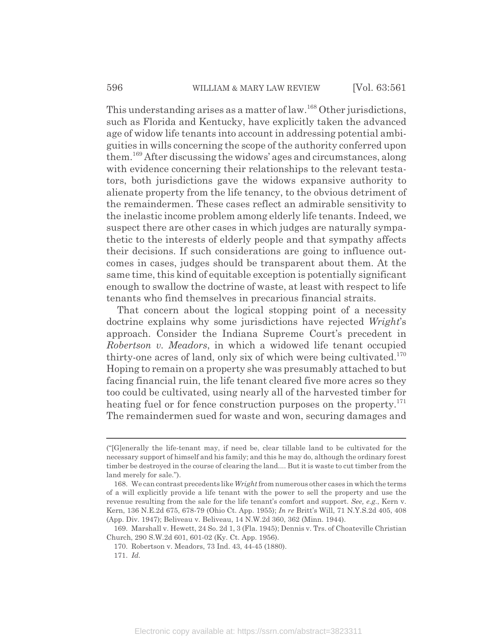This understanding arises as a matter of law.168 Other jurisdictions, such as Florida and Kentucky, have explicitly taken the advanced age of widow life tenants into account in addressing potential ambiguities in wills concerning the scope of the authority conferred upon them.169 After discussing the widows' ages and circumstances, along with evidence concerning their relationships to the relevant testators, both jurisdictions gave the widows expansive authority to alienate property from the life tenancy, to the obvious detriment of the remaindermen. These cases reflect an admirable sensitivity to the inelastic income problem among elderly life tenants. Indeed, we suspect there are other cases in which judges are naturally sympathetic to the interests of elderly people and that sympathy affects their decisions. If such considerations are going to influence outcomes in cases, judges should be transparent about them. At the same time, this kind of equitable exception is potentially significant enough to swallow the doctrine of waste, at least with respect to life tenants who find themselves in precarious financial straits.

That concern about the logical stopping point of a necessity doctrine explains why some jurisdictions have rejected *Wright*'s approach. Consider the Indiana Supreme Court's precedent in *Robertson v. Meadors*, in which a widowed life tenant occupied thirty-one acres of land, only six of which were being cultivated.<sup>170</sup> Hoping to remain on a property she was presumably attached to but facing financial ruin, the life tenant cleared five more acres so they too could be cultivated, using nearly all of the harvested timber for heating fuel or for fence construction purposes on the property.<sup>171</sup> The remaindermen sued for waste and won, securing damages and

<sup>(&</sup>quot;[G]enerally the life-tenant may, if need be, clear tillable land to be cultivated for the necessary support of himself and his family; and this he may do, although the ordinary forest timber be destroyed in the course of clearing the land.... But it is waste to cut timber from the land merely for sale.").

<sup>168.</sup> We can contrast precedents like *Wright*from numerous other cases in which the terms of a will explicitly provide a life tenant with the power to sell the property and use the revenue resulting from the sale for the life tenant's comfort and support. *See, e.g.*, Kern v. Kern, 136 N.E.2d 675, 678-79 (Ohio Ct. App. 1955); *In re* Britt's Will, 71 N.Y.S.2d 405, 408 (App. Div. 1947); Beliveau v. Beliveau, 14 N.W.2d 360, 362 (Minn. 1944).

<sup>169.</sup> Marshall v. Hewett, 24 So. 2d 1, 3 (Fla. 1945); Dennis v. Trs. of Choateville Christian Church, 290 S.W.2d 601, 601-02 (Ky. Ct. App. 1956).

<sup>170.</sup> Robertson v. Meadors, 73 Ind. 43, 44-45 (1880).

<sup>171.</sup> *Id.*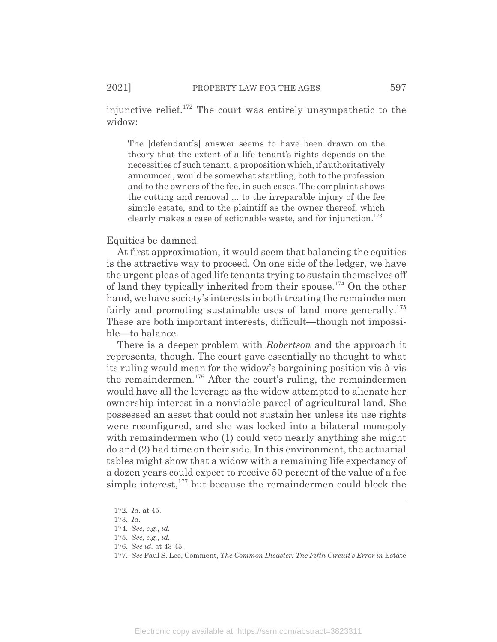injunctive relief.<sup>172</sup> The court was entirely unsympathetic to the widow:

The [defendant's] answer seems to have been drawn on the theory that the extent of a life tenant's rights depends on the necessities of such tenant, a proposition which, if authoritatively announced, would be somewhat startling, both to the profession and to the owners of the fee, in such cases. The complaint shows the cutting and removal ... to the irreparable injury of the fee simple estate, and to the plaintiff as the owner thereof, which clearly makes a case of actionable waste, and for injunction.<sup>173</sup>

Equities be damned.

At first approximation, it would seem that balancing the equities is the attractive way to proceed. On one side of the ledger, we have the urgent pleas of aged life tenants trying to sustain themselves off of land they typically inherited from their spouse.<sup>174</sup> On the other hand, we have society's interests in both treating the remaindermen fairly and promoting sustainable uses of land more generally.<sup>175</sup> These are both important interests, difficult—though not impossible—to balance.

There is a deeper problem with *Robertson* and the approach it represents, though. The court gave essentially no thought to what its ruling would mean for the widow's bargaining position vis-à-vis the remaindermen.176 After the court's ruling, the remaindermen would have all the leverage as the widow attempted to alienate her ownership interest in a nonviable parcel of agricultural land. She possessed an asset that could not sustain her unless its use rights were reconfigured, and she was locked into a bilateral monopoly with remaindermen who (1) could veto nearly anything she might do and (2) had time on their side. In this environment, the actuarial tables might show that a widow with a remaining life expectancy of a dozen years could expect to receive 50 percent of the value of a fee simple interest, $177$  but because the remaindermen could block the

<sup>172.</sup> *Id.* at 45.

<sup>173.</sup> *Id.*

<sup>174.</sup> *See, e.g.*, *id.*

<sup>175.</sup> *See, e.g.*, *id.*

<sup>176.</sup> *See id.* at 43-45.

<sup>177.</sup> *See* Paul S. Lee, Comment, *The Common Disaster: The Fifth Circuit's Error in* Estate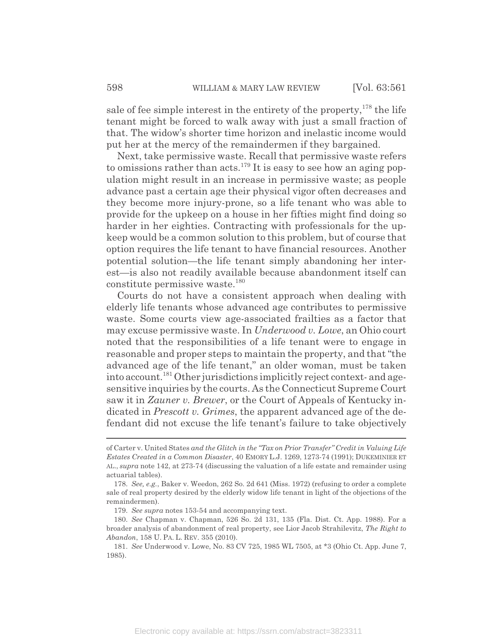sale of fee simple interest in the entirety of the property,  $178$  the life tenant might be forced to walk away with just a small fraction of that. The widow's shorter time horizon and inelastic income would put her at the mercy of the remaindermen if they bargained.

Next, take permissive waste. Recall that permissive waste refers to omissions rather than acts.<sup>179</sup> It is easy to see how an aging population might result in an increase in permissive waste; as people advance past a certain age their physical vigor often decreases and they become more injury-prone, so a life tenant who was able to provide for the upkeep on a house in her fifties might find doing so harder in her eighties. Contracting with professionals for the upkeep would be a common solution to this problem, but of course that option requires the life tenant to have financial resources. Another potential solution—the life tenant simply abandoning her interest—is also not readily available because abandonment itself can constitute permissive waste. $180$ 

Courts do not have a consistent approach when dealing with elderly life tenants whose advanced age contributes to permissive waste. Some courts view age-associated frailties as a factor that may excuse permissive waste. In *Underwood v. Lowe*, an Ohio court noted that the responsibilities of a life tenant were to engage in reasonable and proper steps to maintain the property, and that "the advanced age of the life tenant," an older woman, must be taken into account.181 Other jurisdictions implicitly reject context- and agesensitive inquiries by the courts. As the Connecticut Supreme Court saw it in *Zauner v. Brewer*, or the Court of Appeals of Kentucky indicated in *Prescott v. Grimes*, the apparent advanced age of the defendant did not excuse the life tenant's failure to take objectively

of Carter v. United States *and the Glitch in the "Tax on Prior Transfer" Credit in Valuing Life Estates Created in a Common Disaster*, 40 EMORY L.J. 1269, 1273-74 (1991); DUKEMINIER ET AL., *supra* note 142, at 273-74 (discussing the valuation of a life estate and remainder using actuarial tables).

<sup>178.</sup> *See, e.g.*, Baker v. Weedon, 262 So. 2d 641 (Miss. 1972) (refusing to order a complete sale of real property desired by the elderly widow life tenant in light of the objections of the remaindermen).

<sup>179.</sup> *See supra* notes 153-54 and accompanying text.

<sup>180.</sup> *See* Chapman v. Chapman, 526 So. 2d 131, 135 (Fla. Dist. Ct. App. 1988). For a broader analysis of abandonment of real property, see Lior Jacob Strahilevitz, *The Right to Abandon*, 158 U. PA. L. REV. 355 (2010).

<sup>181.</sup> *See* Underwood v. Lowe, No. 83 CV 725, 1985 WL 7505, at \*3 (Ohio Ct. App. June 7, 1985).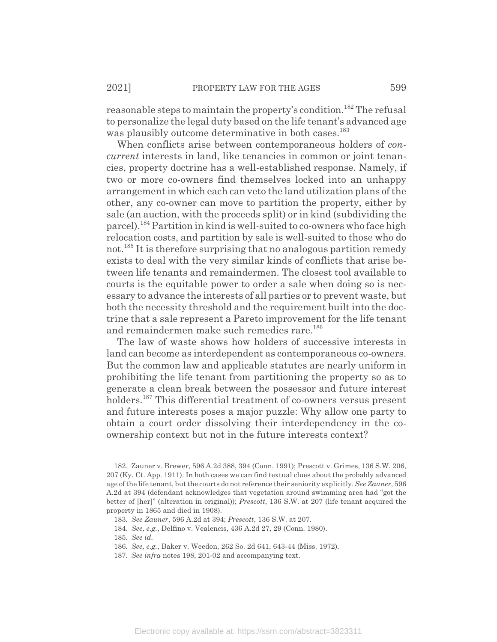reasonable steps to maintain the property's condition.<sup>182</sup> The refusal to personalize the legal duty based on the life tenant's advanced age was plausibly outcome determinative in both cases.<sup>183</sup>

When conflicts arise between contemporaneous holders of *concurrent* interests in land, like tenancies in common or joint tenancies, property doctrine has a well-established response. Namely, if two or more co-owners find themselves locked into an unhappy arrangement in which each can veto the land utilization plans of the other, any co-owner can move to partition the property, either by sale (an auction, with the proceeds split) or in kind (subdividing the parcel).184 Partition in kind is well-suited to co-owners who face high relocation costs, and partition by sale is well-suited to those who do not.<sup>185</sup> It is therefore surprising that no analogous partition remedy exists to deal with the very similar kinds of conflicts that arise between life tenants and remaindermen. The closest tool available to courts is the equitable power to order a sale when doing so is necessary to advance the interests of all parties or to prevent waste, but both the necessity threshold and the requirement built into the doctrine that a sale represent a Pareto improvement for the life tenant and remaindermen make such remedies rare.<sup>186</sup>

The law of waste shows how holders of successive interests in land can become as interdependent as contemporaneous co-owners. But the common law and applicable statutes are nearly uniform in prohibiting the life tenant from partitioning the property so as to generate a clean break between the possessor and future interest holders.<sup>187</sup> This differential treatment of co-owners versus present and future interests poses a major puzzle: Why allow one party to obtain a court order dissolving their interdependency in the coownership context but not in the future interests context?

187. *See infra* notes 198, 201-02 and accompanying text.

<sup>182.</sup> Zauner v. Brewer, 596 A.2d 388, 394 (Conn. 1991); Prescott v. Grimes, 136 S.W. 206, 207 (Ky. Ct. App. 1911). In both cases we can find textual clues about the probably advanced age of the life tenant, but the courts do not reference their seniority explicitly. *See Zauner*, 596 A.2d at 394 (defendant acknowledges that vegetation around swimming area had "got the better of [her]" (alteration in original)); *Prescott*, 136 S.W. at 207 (life tenant acquired the property in 1865 and died in 1908).

<sup>183.</sup> *See Zauner*, 596 A.2d at 394; *Prescott*, 136 S.W. at 207.

<sup>184.</sup> *See, e.g.*, Delfino v. Vealencis, 436 A.2d 27, 29 (Conn. 1980).

<sup>185.</sup> *See id.*

<sup>186.</sup> *See, e.g.*, Baker v. Weedon, 262 So. 2d 641, 643-44 (Miss. 1972).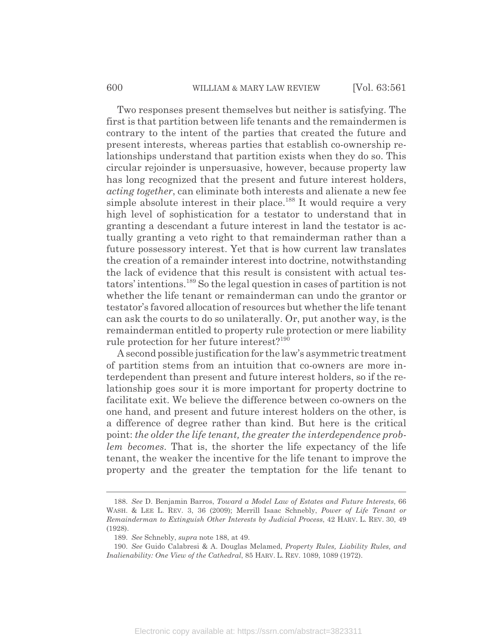Two responses present themselves but neither is satisfying. The first is that partition between life tenants and the remaindermen is contrary to the intent of the parties that created the future and present interests, whereas parties that establish co-ownership relationships understand that partition exists when they do so. This circular rejoinder is unpersuasive, however, because property law has long recognized that the present and future interest holders, *acting together*, can eliminate both interests and alienate a new fee simple absolute interest in their place.<sup>188</sup> It would require a very high level of sophistication for a testator to understand that in granting a descendant a future interest in land the testator is actually granting a veto right to that remainderman rather than a future possessory interest. Yet that is how current law translates the creation of a remainder interest into doctrine, notwithstanding the lack of evidence that this result is consistent with actual testators' intentions.189 So the legal question in cases of partition is not whether the life tenant or remainderman can undo the grantor or testator's favored allocation of resources but whether the life tenant can ask the courts to do so unilaterally. Or, put another way, is the remainderman entitled to property rule protection or mere liability rule protection for her future interest?<sup>190</sup>

A second possible justification for the law's asymmetric treatment of partition stems from an intuition that co-owners are more interdependent than present and future interest holders, so if the relationship goes sour it is more important for property doctrine to facilitate exit. We believe the difference between co-owners on the one hand, and present and future interest holders on the other, is a difference of degree rather than kind. But here is the critical point: *the older the life tenant, the greater the interdependence problem becomes*. That is, the shorter the life expectancy of the life tenant, the weaker the incentive for the life tenant to improve the property and the greater the temptation for the life tenant to

<sup>188.</sup> *See* D. Benjamin Barros, *Toward a Model Law of Estates and Future Interests*, 66 WASH.&LEE L. REV. 3, 36 (2009); Merrill Isaac Schnebly, *Power of Life Tenant or Remainderman to Extinguish Other Interests by Judicial Process*, 42 HARV. L. REV. 30, 49 (1928).

<sup>189.</sup> *See* Schnebly, *supra* note 188, at 49.

<sup>190.</sup> *See* Guido Calabresi & A. Douglas Melamed, *Property Rules, Liability Rules, and Inalienability: One View of the Cathedral*, 85 HARV. L. REV. 1089, 1089 (1972).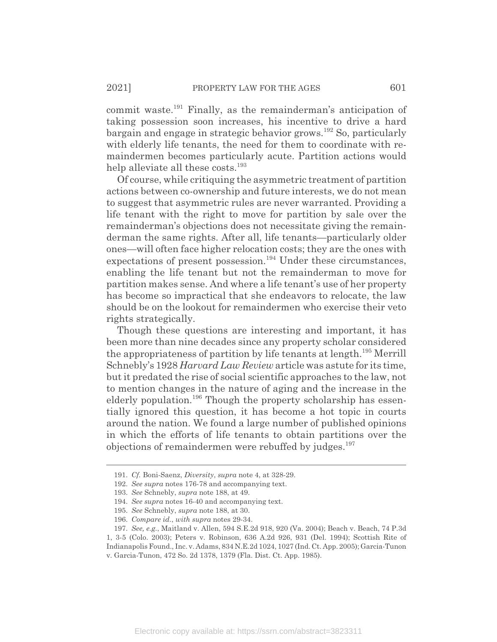commit waste.<sup>191</sup> Finally, as the remainderman's anticipation of taking possession soon increases, his incentive to drive a hard bargain and engage in strategic behavior grows.192 So, particularly with elderly life tenants, the need for them to coordinate with remaindermen becomes particularly acute. Partition actions would help alleviate all these costs.<sup>193</sup>

Of course, while critiquing the asymmetric treatment of partition actions between co-ownership and future interests, we do not mean to suggest that asymmetric rules are never warranted. Providing a life tenant with the right to move for partition by sale over the remainderman's objections does not necessitate giving the remainderman the same rights. After all, life tenants—particularly older ones—will often face higher relocation costs; they are the ones with expectations of present possession.<sup>194</sup> Under these circumstances, enabling the life tenant but not the remainderman to move for partition makes sense. And where a life tenant's use of her property has become so impractical that she endeavors to relocate, the law should be on the lookout for remaindermen who exercise their veto rights strategically.

Though these questions are interesting and important, it has been more than nine decades since any property scholar considered the appropriateness of partition by life tenants at length.<sup>195</sup> Merrill Schnebly's 1928 *Harvard Law Review* article was astute for its time, but it predated the rise of social scientific approaches to the law, not to mention changes in the nature of aging and the increase in the elderly population.<sup>196</sup> Though the property scholarship has essentially ignored this question, it has become a hot topic in courts around the nation. We found a large number of published opinions in which the efforts of life tenants to obtain partitions over the objections of remaindermen were rebuffed by judges.<sup>197</sup>

<sup>191.</sup> *Cf.* Boni-Saenz, *Diversity*, *supra* note 4, at 328-29.

<sup>192.</sup> *See supra* notes 176-78 and accompanying text.

<sup>193.</sup> *See* Schnebly, *supra* note 188, at 49.

<sup>194.</sup> *See supra* notes 16-40 and accompanying text.

<sup>195.</sup> *See* Schnebly, *supra* note 188, at 30.

<sup>196.</sup> *Compare id.*, *with supra* notes 29-34.

<sup>197.</sup> *See, e.g.*, Maitland v. Allen, 594 S.E.2d 918, 920 (Va. 2004); Beach v. Beach, 74 P.3d 1, 3-5 (Colo. 2003); Peters v. Robinson, 636 A.2d 926, 931 (Del. 1994); Scottish Rite of Indianapolis Found., Inc. v. Adams, 834 N.E.2d 1024, 1027 (Ind. Ct. App. 2005); Garcia-Tunon v. Garcia-Tunon, 472 So. 2d 1378, 1379 (Fla. Dist. Ct. App. 1985).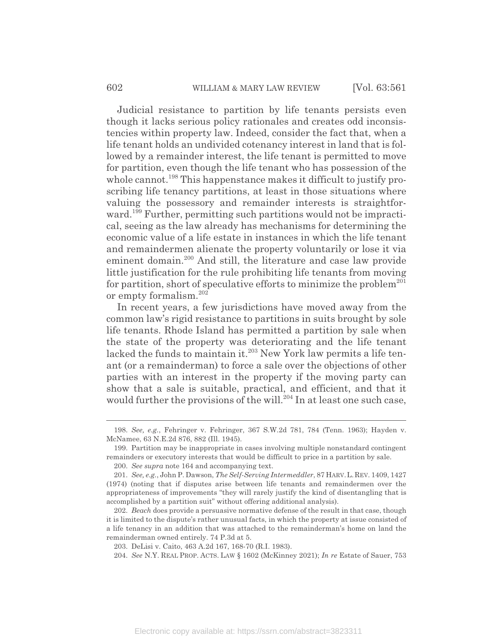Judicial resistance to partition by life tenants persists even though it lacks serious policy rationales and creates odd inconsistencies within property law. Indeed, consider the fact that, when a life tenant holds an undivided cotenancy interest in land that is followed by a remainder interest, the life tenant is permitted to move for partition, even though the life tenant who has possession of the whole cannot.<sup>198</sup> This happenstance makes it difficult to justify proscribing life tenancy partitions, at least in those situations where valuing the possessory and remainder interests is straightforward.<sup>199</sup> Further, permitting such partitions would not be impractical, seeing as the law already has mechanisms for determining the economic value of a life estate in instances in which the life tenant and remaindermen alienate the property voluntarily or lose it via eminent domain.<sup>200</sup> And still, the literature and case law provide little justification for the rule prohibiting life tenants from moving for partition, short of speculative efforts to minimize the problem<sup>201</sup> or empty formalism.<sup>202</sup>

In recent years, a few jurisdictions have moved away from the common law's rigid resistance to partitions in suits brought by sole life tenants. Rhode Island has permitted a partition by sale when the state of the property was deteriorating and the life tenant lacked the funds to maintain it.<sup>203</sup> New York law permits a life tenant (or a remainderman) to force a sale over the objections of other parties with an interest in the property if the moving party can show that a sale is suitable, practical, and efficient, and that it would further the provisions of the will.<sup>204</sup> In at least one such case,

<sup>198.</sup> *See, e.g.*, Fehringer v. Fehringer, 367 S.W.2d 781, 784 (Tenn. 1963); Hayden v. McNamee, 63 N.E.2d 876, 882 (Ill. 1945).

<sup>199.</sup> Partition may be inappropriate in cases involving multiple nonstandard contingent remainders or executory interests that would be difficult to price in a partition by sale.

<sup>200.</sup> *See supra* note 164 and accompanying text.

<sup>201.</sup> *See, e.g.*, John P. Dawson, *The Self-Serving Intermeddler*, 87 HARV.L.REV. 1409, 1427 (1974) (noting that if disputes arise between life tenants and remaindermen over the appropriateness of improvements "they will rarely justify the kind of disentangling that is accomplished by a partition suit" without offering additional analysis).

<sup>202.</sup> *Beach* does provide a persuasive normative defense of the result in that case, though it is limited to the dispute's rather unusual facts, in which the property at issue consisted of a life tenancy in an addition that was attached to the remainderman's home on land the remainderman owned entirely. 74 P.3d at 5.

<sup>203.</sup> DeLisi v. Caito, 463 A.2d 167, 168-70 (R.I. 1983).

<sup>204.</sup> *See* N.Y. REAL PROP. ACTS. LAW § 1602 (McKinney 2021); *In re* Estate of Sauer, 753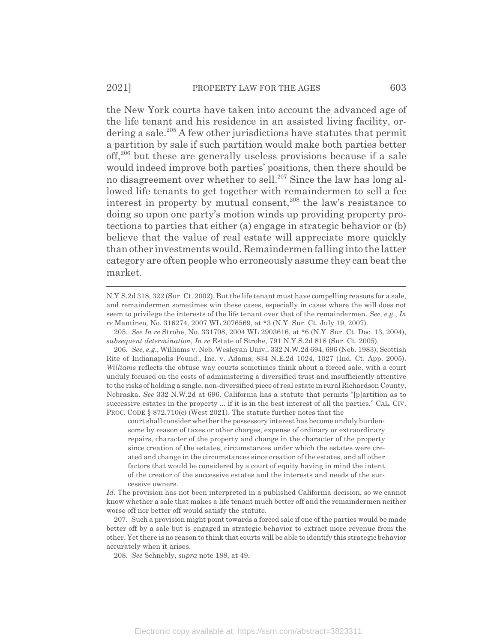the New York courts have taken into account the advanced age of the life tenant and his residence in an assisted living facility, ordering a sale.<sup>205</sup> A few other jurisdictions have statutes that permit a partition by sale if such partition would make both parties better off,206 but these are generally useless provisions because if a sale would indeed improve both parties' positions, then there should be no disagreement over whether to sell.<sup>207</sup> Since the law has long allowed life tenants to get together with remaindermen to sell a fee interest in property by mutual consent, $208$  the law's resistance to doing so upon one party's motion winds up providing property protections to parties that either (a) engage in strategic behavior or (b) believe that the value of real estate will appreciate more quickly than other investments would. Remaindermen falling into the latter category are often people who erroneously assume they can beat the market.

208. *See* Schnebly, *supra* note 188, at 49.

N.Y.S.2d 318, 322 (Sur. Ct. 2002). But the life tenant must have compelling reasons for a sale, and remaindermen sometimes win these cases, especially in cases where the will does not seem to privilege the interests of the life tenant over that of the remaindermen. *See, e.g.*, *In re* Mantineo, No. 316274, 2007 WL 2076569, at \*3 (N.Y. Sur. Ct. July 19, 2007).

<sup>205.</sup> *See In re* Strohe, No. 331708, 2004 WL 2903616, at \*6 (N.Y. Sur. Ct. Dec. 13, 2004), *subsequent determination*, *In re* Estate of Strohe, 791 N.Y.S.2d 818 (Sur. Ct. 2005).

<sup>206.</sup> *See, e.g.*, Williams v. Neb. Wesleyan Univ., 332 N.W.2d 694, 696 (Neb. 1983); Scottish Rite of Indianapolis Found., Inc. v. Adams, 834 N.E.2d 1024, 1027 (Ind. Ct. App. 2005). *Williams* reflects the obtuse way courts sometimes think about a forced sale, with a court unduly focused on the costs of administering a diversified trust and insufficiently attentive to the risks of holding a single, non-diversified piece of real estate in rural Richardson County, Nebraska. *See* 332 N.W.2d at 696. California has a statute that permits "[p]artition as to successive estates in the property ... if it is in the best interest of all the parties." CAL. CIV. PROC. CODE § 872.710(c) (West 2021). The statute further notes that the

court shall consider whether the possessory interest has become unduly burdensome by reason of taxes or other charges, expense of ordinary or extraordinary repairs, character of the property and change in the character of the property since creation of the estates, circumstances under which the estates were created and change in the circumstances since creation of the estates, and all other factors that would be considered by a court of equity having in mind the intent of the creator of the successive estates and the interests and needs of the successive owners.

*Id.* The provision has not been interpreted in a published California decision, so we cannot know whether a sale that makes a life tenant much better off and the remaindermen neither worse off nor better off would satisfy the statute.

<sup>207.</sup> Such a provision might point towards a forced sale if one of the parties would be made better off by a sale but is engaged in strategic behavior to extract more revenue from the other. Yet there is no reason to think that courts will be able to identify this strategic behavior accurately when it arises.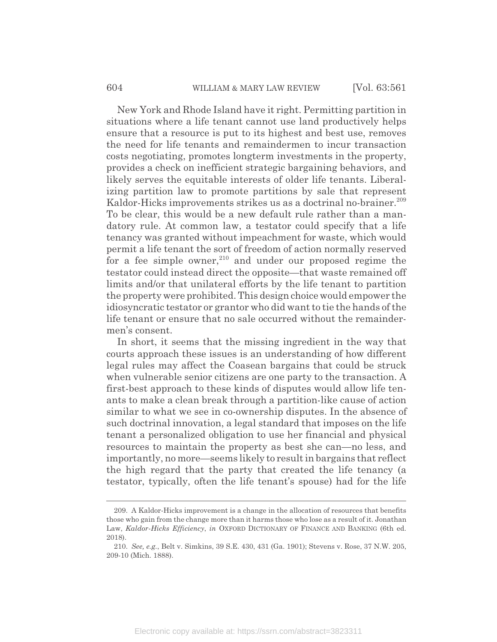New York and Rhode Island have it right. Permitting partition in situations where a life tenant cannot use land productively helps ensure that a resource is put to its highest and best use, removes the need for life tenants and remaindermen to incur transaction costs negotiating, promotes longterm investments in the property, provides a check on inefficient strategic bargaining behaviors, and likely serves the equitable interests of older life tenants. Liberalizing partition law to promote partitions by sale that represent Kaldor-Hicks improvements strikes us as a doctrinal no-brainer.<sup>209</sup> To be clear, this would be a new default rule rather than a mandatory rule. At common law, a testator could specify that a life tenancy was granted without impeachment for waste, which would permit a life tenant the sort of freedom of action normally reserved for a fee simple owner, $210$  and under our proposed regime the testator could instead direct the opposite—that waste remained off limits and/or that unilateral efforts by the life tenant to partition the property were prohibited. This design choice would empower the idiosyncratic testator or grantor who did want to tie the hands of the life tenant or ensure that no sale occurred without the remaindermen's consent.

In short, it seems that the missing ingredient in the way that courts approach these issues is an understanding of how different legal rules may affect the Coasean bargains that could be struck when vulnerable senior citizens are one party to the transaction. A first-best approach to these kinds of disputes would allow life tenants to make a clean break through a partition-like cause of action similar to what we see in co-ownership disputes. In the absence of such doctrinal innovation, a legal standard that imposes on the life tenant a personalized obligation to use her financial and physical resources to maintain the property as best she can—no less, and importantly, no more—seems likely to result in bargains that reflect the high regard that the party that created the life tenancy (a testator, typically, often the life tenant's spouse) had for the life

<sup>209.</sup> A Kaldor-Hicks improvement is a change in the allocation of resources that benefits those who gain from the change more than it harms those who lose as a result of it. Jonathan Law, *Kaldor-Hicks Efficiency*, *in* OXFORD DICTIONARY OF FINANCE AND BANKING (6th ed. 2018).

<sup>210.</sup> *See, e.g.*, Belt v. Simkins, 39 S.E. 430, 431 (Ga. 1901); Stevens v. Rose, 37 N.W. 205, 209-10 (Mich. 1888).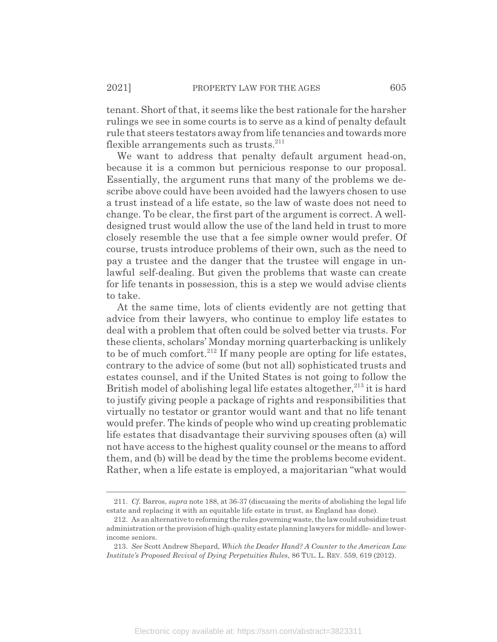tenant. Short of that, it seems like the best rationale for the harsher rulings we see in some courts is to serve as a kind of penalty default rule that steers testators away from life tenancies and towards more flexible arrangements such as trusts. $^{211}$ 

We want to address that penalty default argument head-on, because it is a common but pernicious response to our proposal. Essentially, the argument runs that many of the problems we describe above could have been avoided had the lawyers chosen to use a trust instead of a life estate, so the law of waste does not need to change. To be clear, the first part of the argument is correct. A welldesigned trust would allow the use of the land held in trust to more closely resemble the use that a fee simple owner would prefer. Of course, trusts introduce problems of their own, such as the need to pay a trustee and the danger that the trustee will engage in unlawful self-dealing. But given the problems that waste can create for life tenants in possession, this is a step we would advise clients to take.

At the same time, lots of clients evidently are not getting that advice from their lawyers, who continue to employ life estates to deal with a problem that often could be solved better via trusts. For these clients, scholars' Monday morning quarterbacking is unlikely to be of much comfort.<sup>212</sup> If many people are opting for life estates, contrary to the advice of some (but not all) sophisticated trusts and estates counsel, and if the United States is not going to follow the British model of abolishing legal life estates altogether, $^{213}$  it is hard to justify giving people a package of rights and responsibilities that virtually no testator or grantor would want and that no life tenant would prefer. The kinds of people who wind up creating problematic life estates that disadvantage their surviving spouses often (a) will not have access to the highest quality counsel or the means to afford them, and (b) will be dead by the time the problems become evident. Rather, when a life estate is employed, a majoritarian "what would

<sup>211.</sup> *Cf.* Barros, *supra* note 188, at 36-37 (discussing the merits of abolishing the legal life estate and replacing it with an equitable life estate in trust, as England has done).

<sup>212.</sup> As an alternative to reforming the rules governing waste, the law could subsidize trust administration or the provision of high-quality estate planning lawyers for middle- and lowerincome seniors.

<sup>213.</sup> *See* Scott Andrew Shepard, *Which the Deader Hand? A Counter to the American Law Institute's Proposed Revival of Dying Perpetuities Rules*, 86 TUL. L. REV. 559, 619 (2012).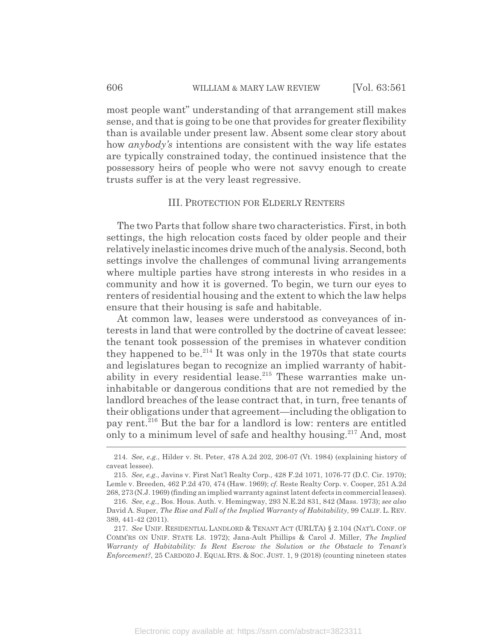most people want" understanding of that arrangement still makes sense, and that is going to be one that provides for greater flexibility than is available under present law. Absent some clear story about how *anybody's* intentions are consistent with the way life estates are typically constrained today, the continued insistence that the possessory heirs of people who were not savvy enough to create trusts suffer is at the very least regressive.

## III. PROTECTION FOR ELDERLY RENTERS

The two Parts that follow share two characteristics. First, in both settings, the high relocation costs faced by older people and their relatively inelastic incomes drive much of the analysis. Second, both settings involve the challenges of communal living arrangements where multiple parties have strong interests in who resides in a community and how it is governed. To begin, we turn our eyes to renters of residential housing and the extent to which the law helps ensure that their housing is safe and habitable.

At common law, leases were understood as conveyances of interests in land that were controlled by the doctrine of caveat lessee: the tenant took possession of the premises in whatever condition they happened to be. $^{214}$  It was only in the 1970s that state courts and legislatures began to recognize an implied warranty of habitability in every residential lease.<sup>215</sup> These warranties make uninhabitable or dangerous conditions that are not remedied by the landlord breaches of the lease contract that, in turn, free tenants of their obligations under that agreement—including the obligation to pay rent.216 But the bar for a landlord is low: renters are entitled only to a minimum level of safe and healthy housing.217 And, most

<sup>214.</sup> *See, e.g.*, Hilder v. St. Peter, 478 A.2d 202, 206-07 (Vt. 1984) (explaining history of caveat lessee).

<sup>215.</sup> *See, e.g.*, Javins v. First Nat'l Realty Corp., 428 F.2d 1071, 1076-77 (D.C. Cir. 1970); Lemle v. Breeden, 462 P.2d 470, 474 (Haw. 1969); *cf.* Reste Realty Corp. v. Cooper, 251 A.2d 268, 273 (N.J. 1969) (finding an implied warranty against latent defects in commercial leases).

<sup>216.</sup> *See, e.g.*, Bos. Hous. Auth. v. Hemingway, 293 N.E.2d 831, 842 (Mass. 1973); *see also* David A. Super, *The Rise and Fall of the Implied Warranty of Habitability*, 99 CALIF. L. REV. 389, 441-42 (2011).

<sup>217.</sup> *See* UNIF. RESIDENTIAL LANDLORD & TENANT ACT (URLTA) § 2.104 (NAT'L CONF. OF COMM'RS ON UNIF. STATE LS. 1972); Jana-Ault Phillips & Carol J. Miller, *The Implied Warranty of Habitability: Is Rent Escrow the Solution or the Obstacle to Tenant's Enforcement?*, 25 CARDOZO J. EQUAL RTS.&SOC. JUST. 1, 9 (2018) (counting nineteen states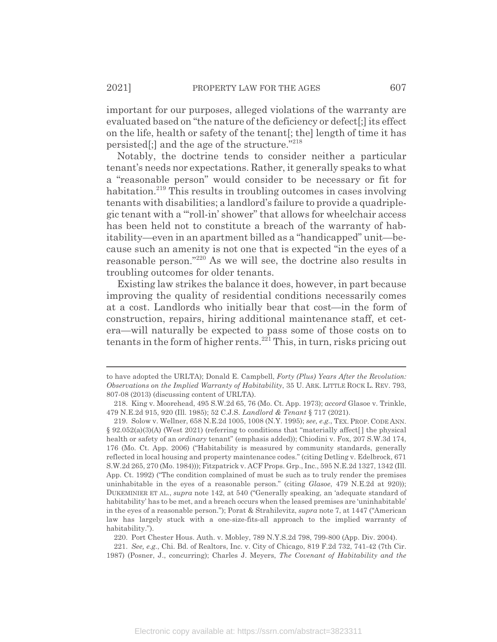important for our purposes, alleged violations of the warranty are evaluated based on "the nature of the deficiency or defect[;] its effect on the life, health or safety of the tenant[; the] length of time it has persisted[;] and the age of the structure."218

Notably, the doctrine tends to consider neither a particular tenant's needs nor expectations. Rather, it generally speaks to what a "reasonable person" would consider to be necessary or fit for habitation.<sup>219</sup> This results in troubling outcomes in cases involving tenants with disabilities; a landlord's failure to provide a quadriplegic tenant with a "'roll-in' shower" that allows for wheelchair access has been held not to constitute a breach of the warranty of habitability—even in an apartment billed as a "handicapped" unit—because such an amenity is not one that is expected "in the eyes of a reasonable person."220 As we will see, the doctrine also results in troubling outcomes for older tenants.

Existing law strikes the balance it does, however, in part because improving the quality of residential conditions necessarily comes at a cost. Landlords who initially bear that cost—in the form of construction, repairs, hiring additional maintenance staff, et cetera—will naturally be expected to pass some of those costs on to tenants in the form of higher rents. $^{221}$  This, in turn, risks pricing out

220. Port Chester Hous. Auth. v. Mobley, 789 N.Y.S.2d 798, 799-800 (App. Div. 2004).

221. *See, e.g.*, Chi. Bd. of Realtors, Inc. v. City of Chicago, 819 F.2d 732, 741-42 (7th Cir. 1987) (Posner, J., concurring); Charles J. Meyers, *The Covenant of Habitability and the*

to have adopted the URLTA); Donald E. Campbell, *Forty (Plus) Years After the Revolution: Observations on the Implied Warranty of Habitability*, 35 U. ARK. LITTLE ROCK L. REV. 793, 807-08 (2013) (discussing content of URLTA).

<sup>218.</sup> King v. Moorehead, 495 S.W.2d 65, 76 (Mo. Ct. App. 1973); *accord* Glasoe v. Trinkle, 479 N.E.2d 915, 920 (Ill. 1985); 52 C.J.S. *Landlord & Tenant* § 717 (2021).

<sup>219.</sup> Solow v. Wellner, 658 N.E.2d 1005, 1008 (N.Y. 1995); *see, e.g.*, TEX. PROP. CODE ANN.  $\S$  92.052(a)(3)(A) (West 2021) (referring to conditions that "materially affect. The physical health or safety of an *ordinary* tenant" (emphasis added)); Chiodini v. Fox, 207 S.W.3d 174, 176 (Mo. Ct. App. 2006) ("Habitability is measured by community standards, generally reflected in local housing and property maintenance codes." (citing Detling v. Edelbrock, 671 S.W.2d 265, 270 (Mo. 1984))); Fitzpatrick v. ACF Props. Grp., Inc., 595 N.E.2d 1327, 1342 (Ill. App. Ct. 1992) ("The condition complained of must be such as to truly render the premises uninhabitable in the eyes of a reasonable person." (citing *Glasoe*, 479 N.E.2d at 920)); DUKEMINIER ET AL., *supra* note 142, at 540 ("Generally speaking, an 'adequate standard of habitability' has to be met, and a breach occurs when the leased premises are 'uninhabitable' in the eyes of a reasonable person."); Porat & Strahilevitz, *supra* note 7, at 1447 ("American law has largely stuck with a one-size-fits-all approach to the implied warranty of habitability.").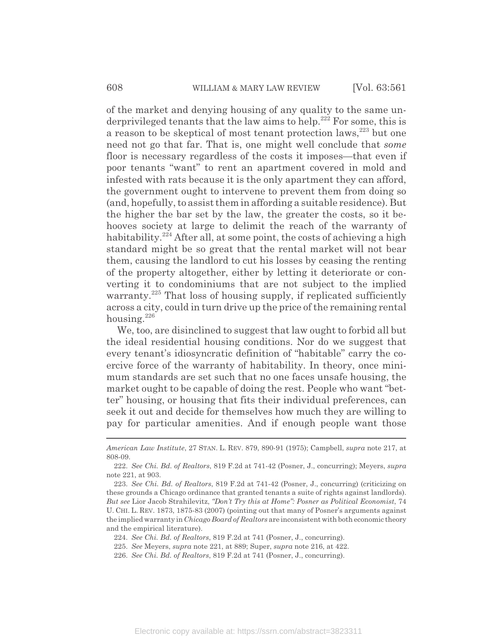of the market and denying housing of any quality to the same underprivileged tenants that the law aims to help.<sup>222</sup> For some, this is a reason to be skeptical of most tenant protection laws,<sup>223</sup> but one need not go that far. That is, one might well conclude that *some* floor is necessary regardless of the costs it imposes—that even if poor tenants "want" to rent an apartment covered in mold and infested with rats because it is the only apartment they can afford, the government ought to intervene to prevent them from doing so (and, hopefully, to assist them in affording a suitable residence). But the higher the bar set by the law, the greater the costs, so it behooves society at large to delimit the reach of the warranty of habitability.<sup>224</sup> After all, at some point, the costs of achieving a high standard might be so great that the rental market will not bear them, causing the landlord to cut his losses by ceasing the renting of the property altogether, either by letting it deteriorate or converting it to condominiums that are not subject to the implied warranty.<sup>225</sup> That loss of housing supply, if replicated sufficiently across a city, could in turn drive up the price of the remaining rental housing.<sup>226</sup>

We, too, are disinclined to suggest that law ought to forbid all but the ideal residential housing conditions. Nor do we suggest that every tenant's idiosyncratic definition of "habitable" carry the coercive force of the warranty of habitability. In theory, once minimum standards are set such that no one faces unsafe housing, the market ought to be capable of doing the rest. People who want "better" housing, or housing that fits their individual preferences, can seek it out and decide for themselves how much they are willing to pay for particular amenities. And if enough people want those

*American Law Institute*, 27 STAN. L. REV. 879, 890-91 (1975); Campbell, *supra* note 217, at 808-09.

<sup>222.</sup> *See Chi. Bd. of Realtors*, 819 F.2d at 741-42 (Posner, J., concurring); Meyers, *supra* note 221, at 903.

<sup>223.</sup> *See Chi. Bd. of Realtors*, 819 F.2d at 741-42 (Posner, J., concurring) (criticizing on these grounds a Chicago ordinance that granted tenants a suite of rights against landlords). *But see* Lior Jacob Strahilevitz, *"Don't Try this at Home": Posner as Political Economist*, 74 U. CHI. L. REV. 1873, 1875-83 (2007) (pointing out that many of Posner's arguments against the implied warranty in *Chicago Board of Realtors* are inconsistent with both economic theory and the empirical literature).

<sup>224.</sup> *See Chi. Bd. of Realtors*, 819 F.2d at 741 (Posner, J., concurring).

<sup>225.</sup> *See* Meyers, *supra* note 221, at 889; Super, *supra* note 216, at 422.

<sup>226.</sup> *See Chi. Bd. of Realtors*, 819 F.2d at 741 (Posner, J., concurring).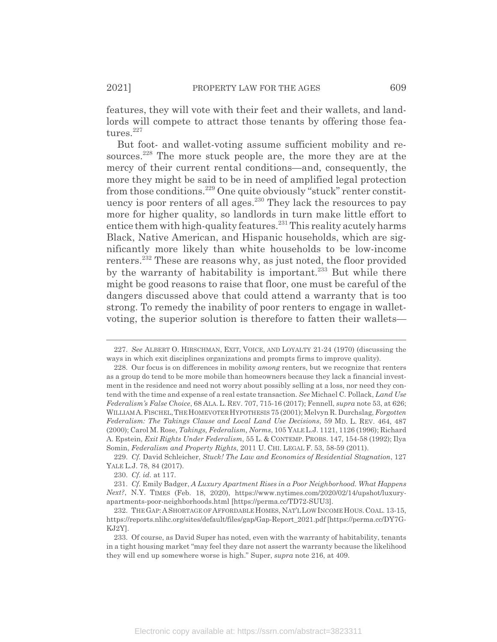features, they will vote with their feet and their wallets, and landlords will compete to attract those tenants by offering those features.<sup>227</sup>

But foot- and wallet-voting assume sufficient mobility and resources.<sup>228</sup> The more stuck people are, the more they are at the mercy of their current rental conditions—and, consequently, the more they might be said to be in need of amplified legal protection from those conditions.229 One quite obviously "stuck" renter constituency is poor renters of all ages.<sup>230</sup> They lack the resources to pay more for higher quality, so landlords in turn make little effort to entice them with high-quality features. $231$  This reality acutely harms Black, Native American, and Hispanic households, which are significantly more likely than white households to be low-income renters.<sup>232</sup> These are reasons why, as just noted, the floor provided by the warranty of habitability is important.<sup>233</sup> But while there might be good reasons to raise that floor, one must be careful of the dangers discussed above that could attend a warranty that is too strong. To remedy the inability of poor renters to engage in walletvoting, the superior solution is therefore to fatten their wallets—

<sup>227.</sup> *See* ALBERT O. HIRSCHMAN, EXIT, VOICE, AND LOYALTY 21-24 (1970) (discussing the ways in which exit disciplines organizations and prompts firms to improve quality).

<sup>228.</sup> Our focus is on differences in mobility *among* renters, but we recognize that renters as a group do tend to be more mobile than homeowners because they lack a financial investment in the residence and need not worry about possibly selling at a loss, nor need they contend with the time and expense of a real estate transaction. *See* Michael C. Pollack, *Land Use Federalism's False Choice*, 68 ALA. L. REV. 707, 715-16 (2017); Fennell, *supra* note 53, at 626; WILLIAMA.FISCHEL,THE HOMEVOTER HYPOTHESIS 75 (2001); Melvyn R. Durchslag, *Forgotten Federalism: The Takings Clause and Local Land Use Decisions*, 59 MD. L. REV. 464, 487 (2000); Carol M. Rose, *Takings, Federalism, Norms*, 105 YALE L.J. 1121, 1126 (1996); Richard A. Epstein, *Exit Rights Under Federalism*, 55 L. & CONTEMP. PROBS. 147, 154-58 (1992); Ilya Somin, *Federalism and Property Rights*, 2011 U. CHI. LEGAL F. 53, 58-59 (2011).

<sup>229.</sup> *Cf.* David Schleicher, *Stuck! The Law and Economics of Residential Stagnation*, 127 YALE L.J. 78, 84 (2017).

<sup>230.</sup> *Cf. id.* at 117.

<sup>231.</sup> *Cf.* Emily Badger, *A Luxury Apartment Rises in a Poor Neighborhood. What Happens Next?*, N.Y. TIMES (Feb. 18, 2020), https://www.nytimes.com/2020/02/14/upshot/luxuryapartments-poor-neighborhoods.html [https://perma.cc/TD72-SUU3].

<sup>232.</sup> THE GAP:ASHORTAGE OF AFFORDABLE HOMES, NAT'LLOWINCOME HOUS.COAL. 13-15, https://reports.nlihc.org/sites/default/files/gap/Gap-Report\_2021.pdf [https://perma.cc/DY7G-KJ2Y].

<sup>233.</sup> Of course, as David Super has noted, even with the warranty of habitability, tenants in a tight housing market "may feel they dare not assert the warranty because the likelihood they will end up somewhere worse is high." Super, *supra* note 216, at 409.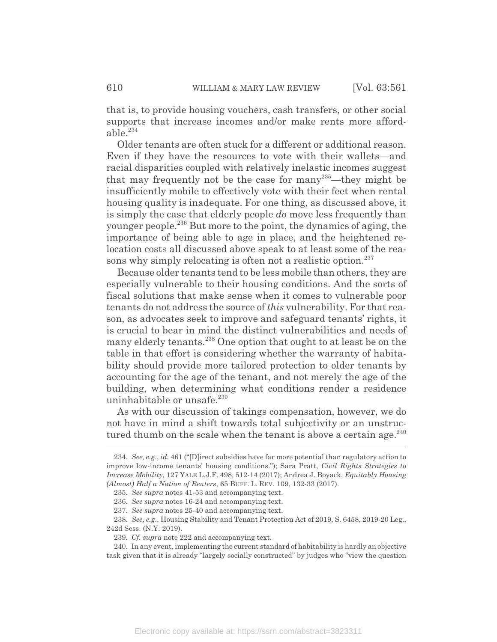that is, to provide housing vouchers, cash transfers, or other social supports that increase incomes and/or make rents more affordable $^{234}$ 

Older tenants are often stuck for a different or additional reason. Even if they have the resources to vote with their wallets—and racial disparities coupled with relatively inelastic incomes suggest that may frequently not be the case for many<sup>235</sup>—they might be insufficiently mobile to effectively vote with their feet when rental housing quality is inadequate. For one thing, as discussed above, it is simply the case that elderly people *do* move less frequently than younger people.236 But more to the point, the dynamics of aging, the importance of being able to age in place, and the heightened relocation costs all discussed above speak to at least some of the reasons why simply relocating is often not a realistic option. $^{237}$ 

Because older tenants tend to be less mobile than others, they are especially vulnerable to their housing conditions. And the sorts of fiscal solutions that make sense when it comes to vulnerable poor tenants do not address the source of *this* vulnerability. For that reason, as advocates seek to improve and safeguard tenants' rights, it is crucial to bear in mind the distinct vulnerabilities and needs of many elderly tenants.<sup>238</sup> One option that ought to at least be on the table in that effort is considering whether the warranty of habitability should provide more tailored protection to older tenants by accounting for the age of the tenant, and not merely the age of the building, when determining what conditions render a residence uninhabitable or unsafe.<sup>239</sup>

As with our discussion of takings compensation, however, we do not have in mind a shift towards total subjectivity or an unstructured thumb on the scale when the tenant is above a certain age. $240$ 

<sup>234.</sup> *See, e.g.*, *id.* 461 ("[D]irect subsidies have far more potential than regulatory action to improve low-income tenants' housing conditions."); Sara Pratt, *Civil Rights Strategies to Increase Mobility*, 127 YALE L.J.F. 498, 512-14 (2017); Andrea J. Boyack, *Equitably Housing (Almost) Half a Nation of Renters*, 65 BUFF. L. REV. 109, 132-33 (2017).

<sup>235.</sup> *See supra* notes 41-53 and accompanying text.

<sup>236.</sup> *See supra* notes 16-24 and accompanying text.

<sup>237.</sup> *See supra* notes 25-40 and accompanying text.

<sup>238.</sup> *See, e.g.*, Housing Stability and Tenant Protection Act of 2019, S. 6458, 2019-20 Leg., 242d Sess. (N.Y. 2019).

<sup>239.</sup> *Cf. supra* note 222 and accompanying text.

<sup>240.</sup> In any event, implementing the current standard of habitability is hardly an objective task given that it is already "largely socially constructed" by judges who "view the question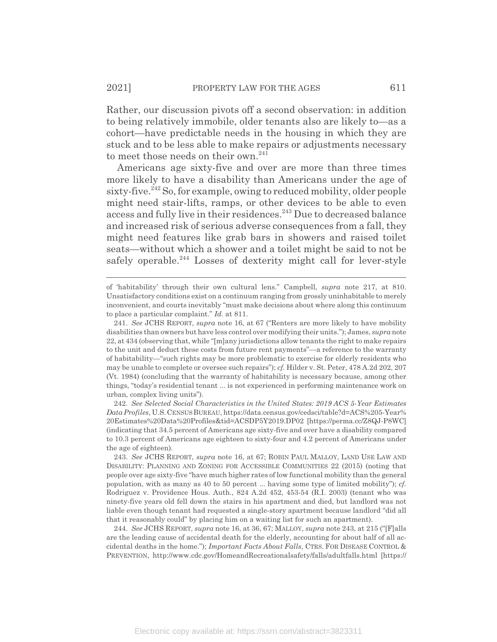Rather, our discussion pivots off a second observation: in addition to being relatively immobile, older tenants also are likely to—as a cohort—have predictable needs in the housing in which they are stuck and to be less able to make repairs or adjustments necessary to meet those needs on their own.<sup>241</sup>

Americans age sixty-five and over are more than three times more likely to have a disability than Americans under the age of sixty-five.<sup>242</sup> So, for example, owing to reduced mobility, older people might need stair-lifts, ramps, or other devices to be able to even access and fully live in their residences.<sup>243</sup> Due to decreased balance and increased risk of serious adverse consequences from a fall, they might need features like grab bars in showers and raised toilet seats—without which a shower and a toilet might be said to not be safely operable.<sup>244</sup> Losses of dexterity might call for lever-style

of 'habitability' through their own cultural lens." Campbell, *supra* note 217, at 810. Unsatisfactory conditions exist on a continuum ranging from grossly uninhabitable to merely inconvenient, and courts inevitably "must make decisions about where along this continuum to place a particular complaint." *Id.* at 811.

<sup>241.</sup> *See* JCHS REPORT, *supra* note 16, at 67 ("Renters are more likely to have mobility disabilities than owners but have less control over modifying their units."); James, *supra* note 22, at 434 (observing that, while "[m]any jurisdictions allow tenants the right to make repairs to the unit and deduct these costs from future rent payments"—a reference to the warranty of habitability—"such rights may be more problematic to exercise for elderly residents who may be unable to complete or oversee such repairs"); *cf.* Hilder v. St. Peter, 478 A.2d 202, 207 (Vt. 1984) (concluding that the warranty of habitability is necessary because, among other things, "today's residential tenant ... is not experienced in performing maintenance work on urban, complex living units").

<sup>242.</sup> *See Selected Social Characteristics in the United States: 2019 ACS 5-Year Estimates Data Profiles*, U.S.CENSUS BUREAU, https://data.census.gov/cedsci/table?d=ACS%205-Year% 20Estimates%20Data%20Profiles&tid=ACSDP5Y2019.DP02 [https://perma.cc/Z8QJ-P8WC] (indicating that 34.5 percent of Americans age sixty-five and over have a disability compared to 10.3 percent of Americans age eighteen to sixty-four and 4.2 percent of Americans under the age of eighteen).

<sup>243.</sup> *See* JCHS REPORT, *supra* note 16, at 67; ROBIN PAUL MALLOY, LAND USE LAW AND DISABILITY: PLANNING AND ZONING FOR ACCESSIBLE COMMUNITIES 22 (2015) (noting that people over age sixty-five "have much higher rates of low functional mobility than the general population, with as many as 40 to 50 percent ... having some type of limited mobility"); *cf.* Rodriguez v. Providence Hous. Auth., 824 A.2d 452, 453-54 (R.I. 2003) (tenant who was ninety-five years old fell down the stairs in his apartment and died, but landlord was not liable even though tenant had requested a single-story apartment because landlord "did all that it reasonably could" by placing him on a waiting list for such an apartment).

<sup>244.</sup> *See* JCHS REPORT, *supra* note 16, at 36, 67; MALLOY, *supra* note 243, at 215 ("[F]alls are the leading cause of accidental death for the elderly, accounting for about half of all accidental deaths in the home."); *Important Facts About Falls*, CTRS. FOR DISEASE CONTROL & PREVENTION, http://www.cdc.gov/HomeandRecreationalsafety/falls/adultfalls.html [https://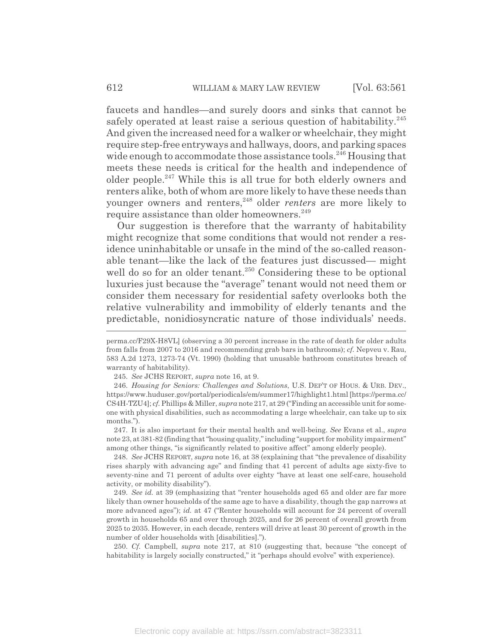faucets and handles—and surely doors and sinks that cannot be safely operated at least raise a serious question of habitability.<sup>245</sup> And given the increased need for a walker or wheelchair, they might require step-free entryways and hallways, doors, and parking spaces wide enough to accommodate those assistance tools.<sup>246</sup> Housing that meets these needs is critical for the health and independence of older people.<sup>247</sup> While this is all true for both elderly owners and renters alike, both of whom are more likely to have these needs than younger owners and renters,<sup>248</sup> older *renters* are more likely to require assistance than older homeowners.<sup>249</sup>

Our suggestion is therefore that the warranty of habitability might recognize that some conditions that would not render a residence uninhabitable or unsafe in the mind of the so-called reasonable tenant—like the lack of the features just discussed— might well do so for an older tenant.<sup>250</sup> Considering these to be optional luxuries just because the "average" tenant would not need them or consider them necessary for residential safety overlooks both the relative vulnerability and immobility of elderly tenants and the predictable, nonidiosyncratic nature of those individuals' needs.

247. It is also important for their mental health and well-being. *See* Evans et al., *supra* note 23, at 381-82 (finding that "housing quality," including "support for mobility impairment" among other things, "is significantly related to positive affect" among elderly people).

248. *See* JCHS REPORT, *supra* note 16, at 38 (explaining that "the prevalence of disability rises sharply with advancing age" and finding that 41 percent of adults age sixty-five to seventy-nine and 71 percent of adults over eighty "have at least one self-care, household activity, or mobility disability").

249. *See id.* at 39 (emphasizing that "renter households aged 65 and older are far more likely than owner households of the same age to have a disability, though the gap narrows at more advanced ages"); *id.* at 47 ("Renter households will account for 24 percent of overall growth in households 65 and over through 2025, and for 26 percent of overall growth from 2025 to 2035. However, in each decade, renters will drive at least 30 percent of growth in the number of older households with [disabilities].").

250. *Cf.* Campbell, *supra* note 217, at 810 (suggesting that, because "the concept of habitability is largely socially constructed," it "perhaps should evolve" with experience).

perma.cc/F29X-H8VL] (observing a 30 percent increase in the rate of death for older adults from falls from 2007 to 2016 and recommending grab bars in bathrooms); *cf.* Nepveu v. Rau, 583 A.2d 1273, 1273-74 (Vt. 1990) (holding that unusable bathroom constitutes breach of warranty of habitability).

<sup>245.</sup> *See* JCHS REPORT, *supra* note 16, at 9.

<sup>246.</sup> *Housing for Seniors: Challenges and Solutions*, U.S. DEP'T OF HOUS.&URB. DEV., https://www.huduser.gov/portal/periodicals/em/summer17/highlight1.html [https://perma.cc/ CS4H-TZU4]; *cf.*Phillips & Miller, *supra* note 217, at 29 ("Finding an accessible unit for someone with physical disabilities, such as accommodating a large wheelchair, can take up to six months.").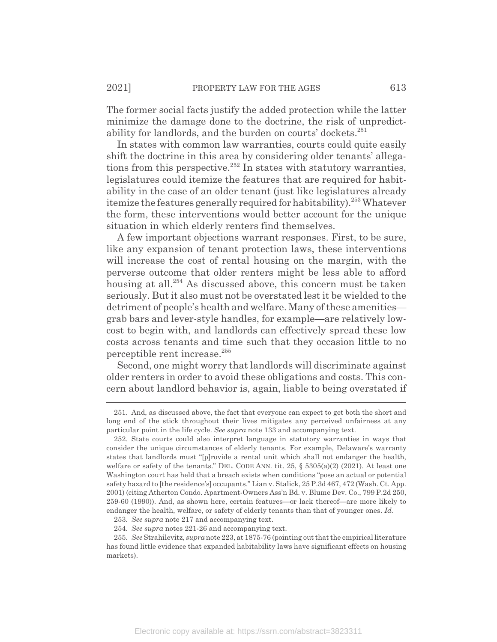The former social facts justify the added protection while the latter minimize the damage done to the doctrine, the risk of unpredictability for landlords, and the burden on courts' dockets.<sup>251</sup>

In states with common law warranties, courts could quite easily shift the doctrine in this area by considering older tenants' allegations from this perspective.<sup>252</sup> In states with statutory warranties, legislatures could itemize the features that are required for habitability in the case of an older tenant (just like legislatures already itemize the features generally required for habitability).<sup>253</sup> Whatever the form, these interventions would better account for the unique situation in which elderly renters find themselves.

A few important objections warrant responses. First, to be sure, like any expansion of tenant protection laws, these interventions will increase the cost of rental housing on the margin, with the perverse outcome that older renters might be less able to afford housing at all.<sup>254</sup> As discussed above, this concern must be taken seriously. But it also must not be overstated lest it be wielded to the detriment of people's health and welfare. Many of these amenities grab bars and lever-style handles, for example—are relatively lowcost to begin with, and landlords can effectively spread these low costs across tenants and time such that they occasion little to no perceptible rent increase.255

Second, one might worry that landlords will discriminate against older renters in order to avoid these obligations and costs. This concern about landlord behavior is, again, liable to being overstated if

<sup>251.</sup> And, as discussed above, the fact that everyone can expect to get both the short and long end of the stick throughout their lives mitigates any perceived unfairness at any particular point in the life cycle. *See supra* note 133 and accompanying text.

<sup>252.</sup> State courts could also interpret language in statutory warranties in ways that consider the unique circumstances of elderly tenants. For example, Delaware's warranty states that landlords must "[p]rovide a rental unit which shall not endanger the health, welfare or safety of the tenants." DEL. CODE ANN. tit. 25,  $\S$  5305(a)(2) (2021). At least one Washington court has held that a breach exists when conditions "pose an actual or potential safety hazard to [the residence's] occupants." Lian v. Stalick, 25 P.3d 467, 472 (Wash. Ct. App. 2001) (citing Atherton Condo. Apartment-Owners Ass'n Bd. v. Blume Dev. Co., 799 P.2d 250, 259-60 (1990)). And, as shown here, certain features—or lack thereof—are more likely to endanger the health, welfare, or safety of elderly tenants than that of younger ones. *Id.*

<sup>253.</sup> *See supra* note 217 and accompanying text.

<sup>254.</sup> *See supra* notes 221-26 and accompanying text.

<sup>255.</sup> *See* Strahilevitz, *supra* note 223, at 1875-76 (pointing out that the empirical literature has found little evidence that expanded habitability laws have significant effects on housing markets).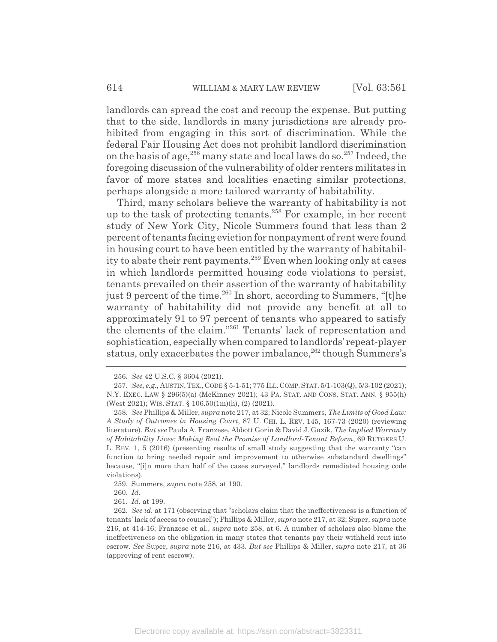landlords can spread the cost and recoup the expense. But putting that to the side, landlords in many jurisdictions are already prohibited from engaging in this sort of discrimination. While the federal Fair Housing Act does not prohibit landlord discrimination on the basis of age,  $256$  many state and local laws do so.  $257$  Indeed, the foregoing discussion of the vulnerability of older renters militates in favor of more states and localities enacting similar protections, perhaps alongside a more tailored warranty of habitability.

Third, many scholars believe the warranty of habitability is not up to the task of protecting tenants.258 For example, in her recent study of New York City, Nicole Summers found that less than 2 percent of tenants facing eviction for nonpayment of rent were found in housing court to have been entitled by the warranty of habitability to abate their rent payments.<sup>259</sup> Even when looking only at cases in which landlords permitted housing code violations to persist, tenants prevailed on their assertion of the warranty of habitability just 9 percent of the time.<sup>260</sup> In short, according to Summers, "[t]he warranty of habitability did not provide any benefit at all to approximately 91 to 97 percent of tenants who appeared to satisfy the elements of the claim."261 Tenants' lack of representation and sophistication, especially when compared to landlords' repeat-player status, only exacerbates the power imbalance,  $262$  though Summers's

<sup>256.</sup> *See* 42 U.S.C. § 3604 (2021).

<sup>257.</sup> *See, e.g.*, AUSTIN,TEX.,CODE § 5-1-51; 775 ILL.COMP.STAT. 5/1-103(Q), 5/3-102 (2021); N.Y. EXEC. LAW § 296(5)(a) (McKinney 2021); 43 PA. STAT. AND CONS. STAT. ANN. § 955(h) (West 2021); WIS. STAT. § 106.50(1m)(h), (2) (2021).

<sup>258.</sup> *See* Phillips & Miller, *supra* note 217, at 32; Nicole Summers, *The Limits of Good Law: A Study of Outcomes in Housing Court*, 87 U. CHI. L. REV. 145, 167-73 (2020) (reviewing literature). *But see* Paula A. Franzese, Abbott Gorin & David J. Guzik, *The Implied Warranty of Habitability Lives: Making Real the Promise of Landlord-Tenant Reform*, 69 RUTGERS U. L. REV. 1, 5 (2016) (presenting results of small study suggesting that the warranty "can function to bring needed repair and improvement to otherwise substandard dwellings" because, "[i]n more than half of the cases surveyed," landlords remediated housing code violations).

<sup>259.</sup> Summers, *supra* note 258, at 190.

<sup>260.</sup> *Id.*

<sup>261.</sup> *Id.* at 199.

<sup>262.</sup> *See id.* at 171 (observing that "scholars claim that the ineffectiveness is a function of tenants' lack of access to counsel"); Phillips & Miller, *supra* note 217, at 32; Super, *supra* note 216, at 414-16; Franzese et al., *supra* note 258, at 6. A number of scholars also blame the ineffectiveness on the obligation in many states that tenants pay their withheld rent into escrow. *See* Super, *supra* note 216, at 433. *But see* Phillips & Miller, *supra* note 217, at 36 (approving of rent escrow).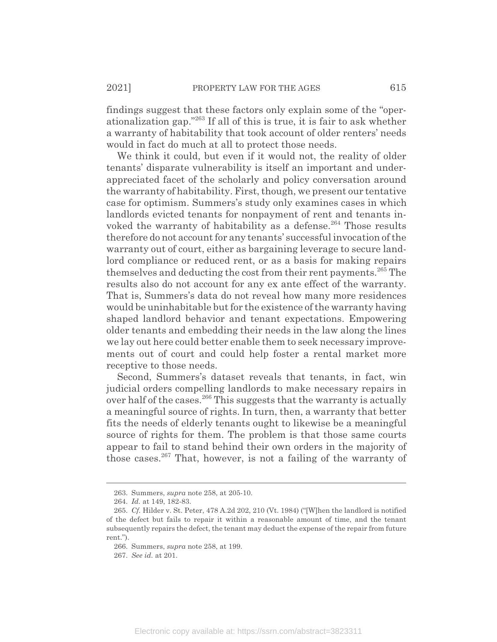findings suggest that these factors only explain some of the "operationalization gap."263 If all of this is true, it is fair to ask whether a warranty of habitability that took account of older renters' needs would in fact do much at all to protect those needs.

We think it could, but even if it would not, the reality of older tenants' disparate vulnerability is itself an important and underappreciated facet of the scholarly and policy conversation around the warranty of habitability. First, though, we present our tentative case for optimism. Summers's study only examines cases in which landlords evicted tenants for nonpayment of rent and tenants invoked the warranty of habitability as a defense.<sup>264</sup> Those results therefore do not account for any tenants' successful invocation of the warranty out of court, either as bargaining leverage to secure landlord compliance or reduced rent, or as a basis for making repairs themselves and deducting the cost from their rent payments.<sup>265</sup> The results also do not account for any ex ante effect of the warranty. That is, Summers's data do not reveal how many more residences would be uninhabitable but for the existence of the warranty having shaped landlord behavior and tenant expectations. Empowering older tenants and embedding their needs in the law along the lines we lay out here could better enable them to seek necessary improvements out of court and could help foster a rental market more receptive to those needs.

Second, Summers's dataset reveals that tenants, in fact, win judicial orders compelling landlords to make necessary repairs in over half of the cases.<sup>266</sup> This suggests that the warranty is actually a meaningful source of rights. In turn, then, a warranty that better fits the needs of elderly tenants ought to likewise be a meaningful source of rights for them. The problem is that those same courts appear to fail to stand behind their own orders in the majority of those cases.<sup>267</sup> That, however, is not a failing of the warranty of

<sup>263.</sup> Summers, *supra* note 258, at 205-10.

<sup>264.</sup> *Id.* at 149, 182-83.

<sup>265.</sup> *Cf.* Hilder v. St. Peter, 478 A.2d 202, 210 (Vt. 1984) ("[W]hen the landlord is notified of the defect but fails to repair it within a reasonable amount of time, and the tenant subsequently repairs the defect, the tenant may deduct the expense of the repair from future rent.").

<sup>266.</sup> Summers, *supra* note 258, at 199.

<sup>267.</sup> *See id.* at 201.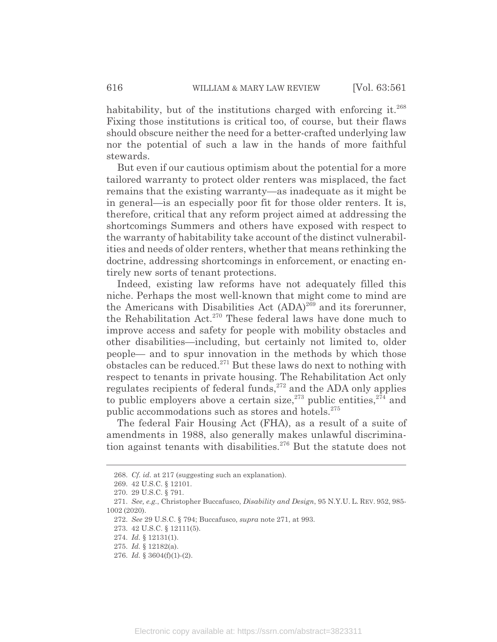habitability, but of the institutions charged with enforcing it. $268$ Fixing those institutions is critical too, of course, but their flaws should obscure neither the need for a better-crafted underlying law nor the potential of such a law in the hands of more faithful stewards.

But even if our cautious optimism about the potential for a more tailored warranty to protect older renters was misplaced, the fact remains that the existing warranty—as inadequate as it might be in general—is an especially poor fit for those older renters. It is, therefore, critical that any reform project aimed at addressing the shortcomings Summers and others have exposed with respect to the warranty of habitability take account of the distinct vulnerabilities and needs of older renters, whether that means rethinking the doctrine, addressing shortcomings in enforcement, or enacting entirely new sorts of tenant protections.

Indeed, existing law reforms have not adequately filled this niche. Perhaps the most well-known that might come to mind are the Americans with Disabilities Act  $(ADA)^{269}$  and its forerunner, the Rehabilitation Act.<sup>270</sup> These federal laws have done much to improve access and safety for people with mobility obstacles and other disabilities—including, but certainly not limited to, older people— and to spur innovation in the methods by which those obstacles can be reduced.<sup>271</sup> But these laws do next to nothing with respect to tenants in private housing. The Rehabilitation Act only regulates recipients of federal funds,<sup>272</sup> and the ADA only applies to public employers above a certain size,<sup>273</sup> public entities,  $274$  and public accommodations such as stores and hotels.<sup>275</sup>

The federal Fair Housing Act (FHA), as a result of a suite of amendments in 1988, also generally makes unlawful discrimination against tenants with disabilities.<sup>276</sup> But the statute does not

<sup>268.</sup> *Cf. id.* at 217 (suggesting such an explanation).

<sup>269. 42</sup> U.S.C. § 12101.

<sup>270. 29</sup> U.S.C. § 791.

<sup>271.</sup> *See, e.g.*, Christopher Buccafusco, *Disability and Design*, 95 N.Y.U. L. REV. 952, 985- 1002 (2020).

<sup>272.</sup> *See* 29 U.S.C. § 794; Buccafusco, *supra* note 271, at 993.

<sup>273. 42</sup> U.S.C. § 12111(5).

<sup>274.</sup> *Id.* § 12131(1).

<sup>275.</sup> *Id.* § 12182(a).

<sup>276.</sup> *Id.* § 3604(f)(1)-(2).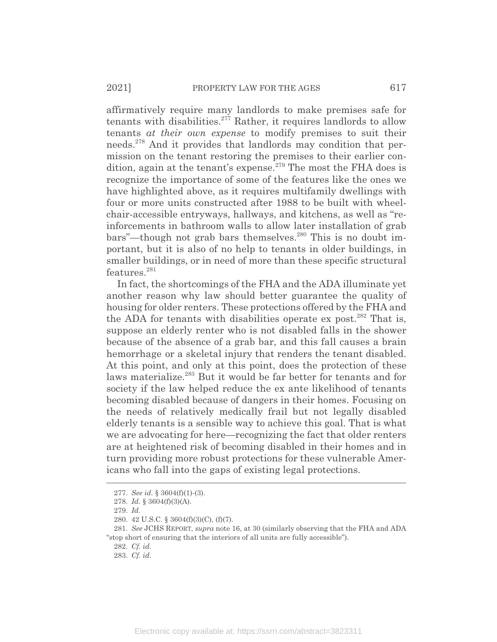affirmatively require many landlords to make premises safe for tenants with disabilities.<sup>277</sup> Rather, it requires landlords to allow tenants *at their own expense* to modify premises to suit their needs.278 And it provides that landlords may condition that permission on the tenant restoring the premises to their earlier condition, again at the tenant's expense.<sup>279</sup> The most the FHA does is recognize the importance of some of the features like the ones we have highlighted above, as it requires multifamily dwellings with four or more units constructed after 1988 to be built with wheelchair-accessible entryways, hallways, and kitchens, as well as "reinforcements in bathroom walls to allow later installation of grab bars"—though not grab bars themselves. $^{280}$  This is no doubt important, but it is also of no help to tenants in older buildings, in smaller buildings, or in need of more than these specific structural features.<sup>281</sup>

In fact, the shortcomings of the FHA and the ADA illuminate yet another reason why law should better guarantee the quality of housing for older renters. These protections offered by the FHA and the ADA for tenants with disabilities operate ex post.<sup>282</sup> That is, suppose an elderly renter who is not disabled falls in the shower because of the absence of a grab bar, and this fall causes a brain hemorrhage or a skeletal injury that renders the tenant disabled. At this point, and only at this point, does the protection of these laws materialize.<sup>283</sup> But it would be far better for tenants and for society if the law helped reduce the ex ante likelihood of tenants becoming disabled because of dangers in their homes. Focusing on the needs of relatively medically frail but not legally disabled elderly tenants is a sensible way to achieve this goal. That is what we are advocating for here—recognizing the fact that older renters are at heightened risk of becoming disabled in their homes and in turn providing more robust protections for these vulnerable Americans who fall into the gaps of existing legal protections.

<sup>277.</sup> *See id.* § 3604(f)(1)-(3).

<sup>278.</sup> *Id.* § 3604(f)(3)(A).

<sup>279.</sup> *Id.*

<sup>280. 42</sup> U.S.C. § 3604(f)(3)(C), (f)(7).

<sup>281.</sup> *See* JCHS REPORT, *supra* note 16, at 30 (similarly observing that the FHA and ADA "stop short of ensuring that the interiors of all units are fully accessible").

<sup>282.</sup> *Cf. id.*

<sup>283.</sup> *Cf. id.*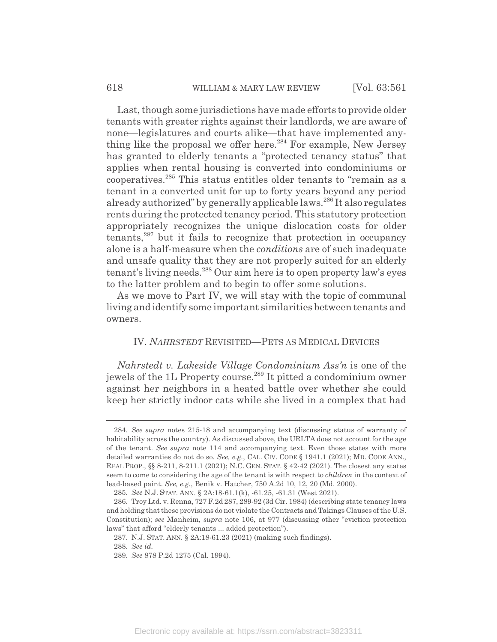Last, though some jurisdictions have made efforts to provide older tenants with greater rights against their landlords, we are aware of none—legislatures and courts alike—that have implemented anything like the proposal we offer here.<sup>284</sup> For example, New Jersey has granted to elderly tenants a "protected tenancy status" that applies when rental housing is converted into condominiums or cooperatives.285 This status entitles older tenants to "remain as a tenant in a converted unit for up to forty years beyond any period already authorized" by generally applicable laws.<sup>286</sup> It also regulates rents during the protected tenancy period. This statutory protection appropriately recognizes the unique dislocation costs for older  $t$ enants, $287$  but it fails to recognize that protection in occupancy alone is a half-measure when the *conditions* are of such inadequate and unsafe quality that they are not properly suited for an elderly tenant's living needs.<sup>288</sup> Our aim here is to open property law's eyes to the latter problem and to begin to offer some solutions.

As we move to Part IV, we will stay with the topic of communal living and identify some important similarities between tenants and owners.

## IV. *NAHRSTEDT* REVISITED—PETS AS MEDICAL DEVICES

*Nahrstedt v. Lakeside Village Condominium Ass'n* is one of the jewels of the 1L Property course.<sup>289</sup> It pitted a condominium owner against her neighbors in a heated battle over whether she could keep her strictly indoor cats while she lived in a complex that had

<sup>284.</sup> *See supra* notes 215-18 and accompanying text (discussing status of warranty of habitability across the country). As discussed above, the URLTA does not account for the age of the tenant. *See supra* note 114 and accompanying text. Even those states with more detailed warranties do not do so. *See, e.g.*, CAL. CIV. CODE § 1941.1 (2021); MD. CODE ANN., REAL PROP., §§ 8-211, 8-211.1 (2021); N.C. GEN. STAT. § 42-42 (2021). The closest any states seem to come to considering the age of the tenant is with respect to *children* in the context of lead-based paint. *See, e.g.*, Benik v. Hatcher, 750 A.2d 10, 12, 20 (Md. 2000).

<sup>285.</sup> *See* N.J. STAT. ANN. § 2A:18-61.1(k), -61.25, -61.31 (West 2021).

<sup>286.</sup> Troy Ltd. v. Renna, 727 F.2d 287, 289-92 (3d Cir. 1984) (describing state tenancy laws and holding that these provisions do not violate the Contracts and Takings Clauses of the U.S. Constitution); *see* Manheim, *supra* note 106, at 977 (discussing other "eviction protection laws" that afford "elderly tenants ... added protection").

<sup>287.</sup> N.J. STAT. ANN. § 2A:18-61.23 (2021) (making such findings).

<sup>288.</sup> *See id.*

<sup>289.</sup> *See* 878 P.2d 1275 (Cal. 1994).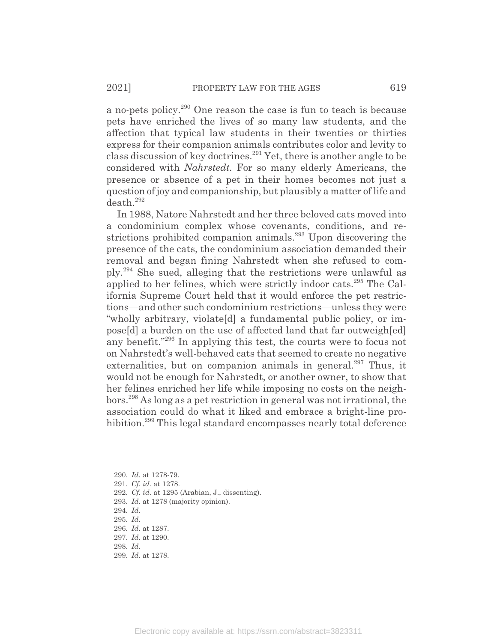a no-pets policy.290 One reason the case is fun to teach is because pets have enriched the lives of so many law students, and the affection that typical law students in their twenties or thirties express for their companion animals contributes color and levity to class discussion of key doctrines.291 Yet, there is another angle to be considered with *Nahrstedt.* For so many elderly Americans, the presence or absence of a pet in their homes becomes not just a question of joy and companionship, but plausibly a matter of life and death.<sup>292</sup>

In 1988, Natore Nahrstedt and her three beloved cats moved into a condominium complex whose covenants, conditions, and restrictions prohibited companion animals.<sup>293</sup> Upon discovering the presence of the cats, the condominium association demanded their removal and began fining Nahrstedt when she refused to comply.294 She sued, alleging that the restrictions were unlawful as applied to her felines, which were strictly indoor cats.295 The California Supreme Court held that it would enforce the pet restrictions—and other such condominium restrictions—unless they were "wholly arbitrary, violate[d] a fundamental public policy, or impose[d] a burden on the use of affected land that far outweigh[ed] any benefit."296 In applying this test, the courts were to focus not on Nahrstedt's well-behaved cats that seemed to create no negative externalities, but on companion animals in general.<sup>297</sup> Thus, it would not be enough for Nahrstedt, or another owner, to show that her felines enriched her life while imposing no costs on the neighbors.298 As long as a pet restriction in general was not irrational, the association could do what it liked and embrace a bright-line prohibition.<sup>299</sup> This legal standard encompasses nearly total deference

<sup>290.</sup> *Id.* at 1278-79.

<sup>291.</sup> *Cf. id.* at 1278.

<sup>292.</sup> *Cf. id.* at 1295 (Arabian, J., dissenting).

<sup>293.</sup> *Id.* at 1278 (majority opinion).

<sup>294.</sup> *Id.*

<sup>295.</sup> *Id.*

<sup>296.</sup> *Id.* at 1287.

<sup>297.</sup> *Id.* at 1290.

<sup>298.</sup> *Id.*

<sup>299.</sup> *Id.* at 1278.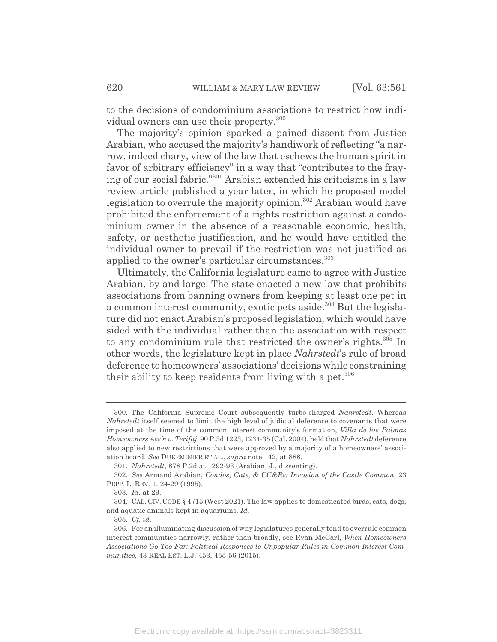to the decisions of condominium associations to restrict how individual owners can use their property.300

The majority's opinion sparked a pained dissent from Justice Arabian, who accused the majority's handiwork of reflecting "a narrow, indeed chary, view of the law that eschews the human spirit in favor of arbitrary efficiency" in a way that "contributes to the fraying of our social fabric."301 Arabian extended his criticisms in a law review article published a year later, in which he proposed model legislation to overrule the majority opinion.<sup>302</sup> Arabian would have prohibited the enforcement of a rights restriction against a condominium owner in the absence of a reasonable economic, health, safety, or aesthetic justification, and he would have entitled the individual owner to prevail if the restriction was not justified as applied to the owner's particular circumstances.<sup>303</sup>

Ultimately, the California legislature came to agree with Justice Arabian, by and large. The state enacted a new law that prohibits associations from banning owners from keeping at least one pet in a common interest community, exotic pets aside.<sup>304</sup> But the legislature did not enact Arabian's proposed legislation, which would have sided with the individual rather than the association with respect to any condominium rule that restricted the owner's rights.<sup>305</sup> In other words, the legislature kept in place *Nahrstedt*'s rule of broad deference to homeowners' associations' decisions while constraining their ability to keep residents from living with a pet. $306$ 

<sup>300.</sup> The California Supreme Court subsequently turbo-charged *Nahrstedt*. Whereas *Nahrstedt* itself seemed to limit the high level of judicial deference to covenants that were imposed at the time of the common interest community's formation, *Villa de las Palmas Homeowners Ass'n v. Terifaj*, 90 P.3d 1223, 1234-35 (Cal. 2004), held that *Nahrstedt* deference also applied to new restrictions that were approved by a majority of a homeowners' association board. *See* DUKEMINIER ET AL., *supra* note 142, at 888.

<sup>301.</sup> *Nahrstedt*, 878 P.2d at 1292-93 (Arabian, J., dissenting).

<sup>302.</sup> *See* Armand Arabian, *Condos, Cats, & CC&Rs: Invasion of the Castle Common*, 23 PEPP. L. REV. 1, 24-29 (1995).

<sup>303.</sup> *Id.* at 29.

<sup>304.</sup> CAL. CIV. CODE § 4715 (West 2021). The law applies to domesticated birds, cats, dogs, and aquatic animals kept in aquariums. *Id.*

<sup>305.</sup> *Cf. id.*

<sup>306.</sup> For an illuminating discussion of why legislatures generally tend to overrule common interest communities narrowly, rather than broadly, see Ryan McCarl, *When Homeowners Associations Go Too Far: Political Responses to Unpopular Rules in Common Interest Communities*, 43 REAL EST. L.J. 453, 455-56 (2015).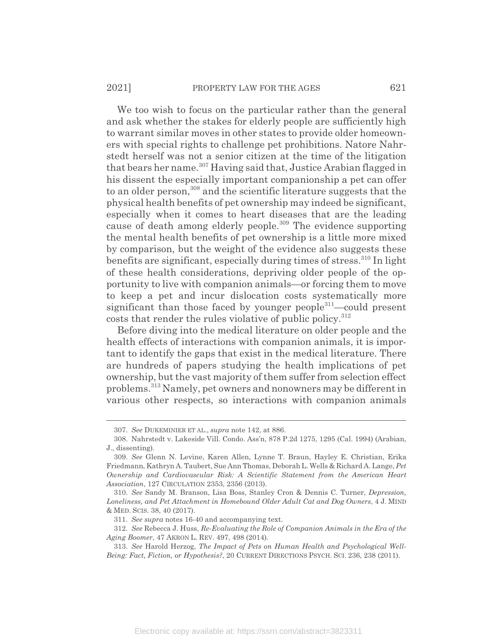We too wish to focus on the particular rather than the general and ask whether the stakes for elderly people are sufficiently high to warrant similar moves in other states to provide older homeowners with special rights to challenge pet prohibitions. Natore Nahrstedt herself was not a senior citizen at the time of the litigation that bears her name.<sup>307</sup> Having said that, Justice Arabian flagged in his dissent the especially important companionship a pet can offer to an older person,<sup>308</sup> and the scientific literature suggests that the physical health benefits of pet ownership may indeed be significant, especially when it comes to heart diseases that are the leading cause of death among elderly people.<sup>309</sup> The evidence supporting the mental health benefits of pet ownership is a little more mixed by comparison, but the weight of the evidence also suggests these benefits are significant, especially during times of stress.<sup>310</sup> In light of these health considerations, depriving older people of the opportunity to live with companion animals—or forcing them to move to keep a pet and incur dislocation costs systematically more significant than those faced by younger people<sup>311</sup>—could present costs that render the rules violative of public policy.<sup>312</sup>

Before diving into the medical literature on older people and the health effects of interactions with companion animals, it is important to identify the gaps that exist in the medical literature. There are hundreds of papers studying the health implications of pet ownership, but the vast majority of them suffer from selection effect problems.313 Namely, pet owners and nonowners may be different in various other respects, so interactions with companion animals

<sup>307.</sup> *See* DUKEMINIER ET AL., *supra* note 142, at 886.

<sup>308.</sup> Nahrstedt v. Lakeside Vill. Condo. Ass'n, 878 P.2d 1275, 1295 (Cal. 1994) (Arabian, J., dissenting).

<sup>309.</sup> *See* Glenn N. Levine, Karen Allen, Lynne T. Braun, Hayley E. Christian, Erika Friedmann, Kathryn A. Taubert, Sue Ann Thomas, Deborah L. Wells & Richard A. Lange, *Pet Ownership and Cardiovascular Risk: A Scientific Statement from the American Heart Association*, 127 CIRCULATION 2353, 2356 (2013).

<sup>310.</sup> *See* Sandy M. Branson, Lisa Boss, Stanley Cron & Dennis C. Turner, *Depression, Loneliness, and Pet Attachment in Homebound Older Adult Cat and Dog Owners*, 4 J. MIND & MED. SCIS. 38, 40 (2017).

<sup>311.</sup> *See supra* notes 16-40 and accompanying text.

<sup>312.</sup> *See* Rebecca J. Huss, *Re-Evaluating the Role of Companion Animals in the Era of the Aging Boomer*, 47 AKRON L. REV. 497, 498 (2014).

<sup>313.</sup> *See* Harold Herzog, *The Impact of Pets on Human Health and Psychological Well-Being: Fact, Fiction, or Hypothesis?*, 20 CURRENT DIRECTIONS PSYCH. SCI. 236, 238 (2011).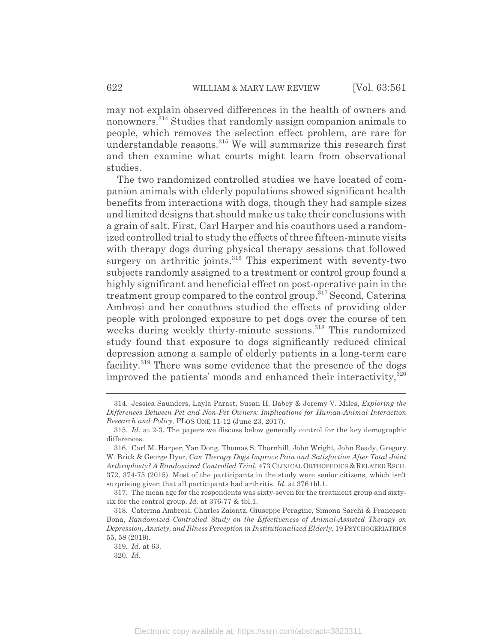may not explain observed differences in the health of owners and nonowners.314 Studies that randomly assign companion animals to people, which removes the selection effect problem, are rare for understandable reasons.315 We will summarize this research first and then examine what courts might learn from observational studies.

The two randomized controlled studies we have located of companion animals with elderly populations showed significant health benefits from interactions with dogs, though they had sample sizes and limited designs that should make us take their conclusions with a grain of salt. First, Carl Harper and his coauthors used a randomized controlled trial to study the effects of three fifteen-minute visits with therapy dogs during physical therapy sessions that followed surgery on arthritic joints.<sup>316</sup> This experiment with seventy-two subjects randomly assigned to a treatment or control group found a highly significant and beneficial effect on post-operative pain in the treatment group compared to the control group.317 Second, Caterina Ambrosi and her coauthors studied the effects of providing older people with prolonged exposure to pet dogs over the course of ten weeks during weekly thirty-minute sessions.<sup>318</sup> This randomized study found that exposure to dogs significantly reduced clinical depression among a sample of elderly patients in a long-term care facility.<sup>319</sup> There was some evidence that the presence of the dogs improved the patients' moods and enhanced their interactivity, $320$ 

<sup>314.</sup> Jessica Saunders, Layla Parast, Susan H. Babey & Jeremy V. Miles, *Exploring the Differences Between Pet and Non-Pet Owners: Implications for Human-Animal Interaction Research and Policy*, PLOS ONE 11-12 (June 23, 2017).

<sup>315.</sup> *Id.* at 2-3. The papers we discuss below generally control for the key demographic differences.

<sup>316.</sup> Carl M. Harper, Yan Dong, Thomas S. Thornhill, John Wright, John Ready, Gregory W. Brick & George Dyer, *Can Therapy Dogs Improve Pain and Satisfaction After Total Joint Arthroplasty? A Randomized Controlled Trial*, 473 CLINICAL ORTHOPEDICS & RELATED RSCH. 372, 374-75 (2015). Most of the participants in the study were senior citizens, which isn't surprising given that all participants had arthritis. *Id.* at 376 tbl.1.

<sup>317.</sup> The mean age for the respondents was sixty-seven for the treatment group and sixtysix for the control group. *Id.* at 376-77 & tbl.1.

<sup>318.</sup> Caterina Ambrosi, Charles Zaiontz, Giuseppe Peragine, Simona Sarchi & Francesca Bona, *Randomized Controlled Study on the Effectiveness of Animal-Assisted Therapy on Depression, Anxiety, and Illness Perception in Institutionalized Elderly*, 19 PSYCHOGERIATRICS 55, 58 (2019).

<sup>319.</sup> *Id.* at 63.

<sup>320.</sup> *Id.*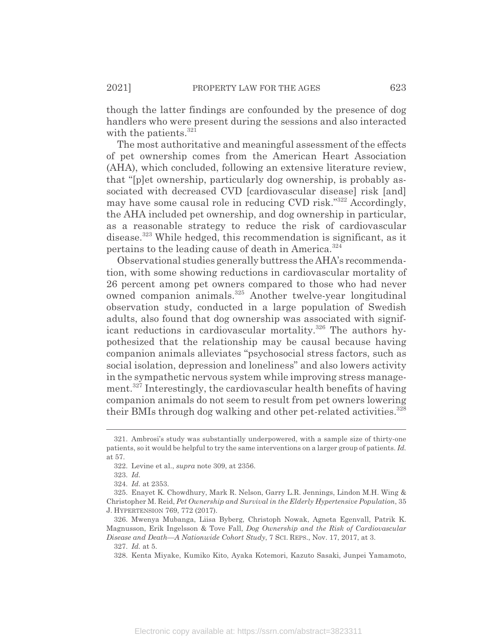though the latter findings are confounded by the presence of dog handlers who were present during the sessions and also interacted with the patients.<sup>321</sup>

The most authoritative and meaningful assessment of the effects of pet ownership comes from the American Heart Association (AHA), which concluded, following an extensive literature review, that "[p]et ownership, particularly dog ownership, is probably associated with decreased CVD [cardiovascular disease] risk [and] may have some causal role in reducing CVD risk."322 Accordingly, the AHA included pet ownership, and dog ownership in particular, as a reasonable strategy to reduce the risk of cardiovascular disease.<sup>323</sup> While hedged, this recommendation is significant, as it pertains to the leading cause of death in America.<sup>324</sup>

Observational studies generally buttress the AHA's recommendation, with some showing reductions in cardiovascular mortality of 26 percent among pet owners compared to those who had never owned companion animals.325 Another twelve-year longitudinal observation study, conducted in a large population of Swedish adults, also found that dog ownership was associated with significant reductions in cardiovascular mortality.<sup>326</sup> The authors hypothesized that the relationship may be causal because having companion animals alleviates "psychosocial stress factors, such as social isolation, depression and loneliness" and also lowers activity in the sympathetic nervous system while improving stress management.<sup>327</sup> Interestingly, the cardiovascular health benefits of having companion animals do not seem to result from pet owners lowering their BMIs through dog walking and other pet-related activities.<sup>328</sup>

<sup>321.</sup> Ambrosi's study was substantially underpowered, with a sample size of thirty-one patients, so it would be helpful to try the same interventions on a larger group of patients. *Id.* at 57.

<sup>322.</sup> Levine et al., *supra* note 309, at 2356.

<sup>323.</sup> *Id.*

<sup>324.</sup> *Id.* at 2353.

<sup>325.</sup> Enayet K. Chowdhury, Mark R. Nelson, Garry L.R. Jennings, Lindon M.H. Wing & Christopher M. Reid, *Pet Ownership and Survival in the Elderly Hypertensive Population*, 35 J. HYPERTENSION 769, 772 (2017).

<sup>326.</sup> Mwenya Mubanga, Liisa Byberg, Christoph Nowak, Agneta Egenvall, Patrik K. Magnusson, Erik Ingelsson & Tove Fall, *Dog Ownership and the Risk of Cardiovascular Disease and Death—A Nationwide Cohort Study*, 7 SCI. REPS., Nov. 17, 2017, at 3.

<sup>327.</sup> *Id.* at 5.

<sup>328.</sup> Kenta Miyake, Kumiko Kito, Ayaka Kotemori, Kazuto Sasaki, Junpei Yamamoto,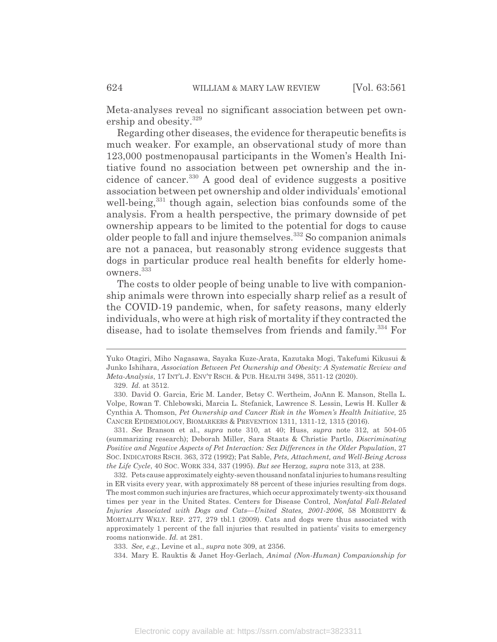Meta-analyses reveal no significant association between pet ownership and obesity.<sup>329</sup>

Regarding other diseases, the evidence for therapeutic benefits is much weaker. For example, an observational study of more than 123,000 postmenopausal participants in the Women's Health Initiative found no association between pet ownership and the incidence of cancer.330 A good deal of evidence suggests a positive association between pet ownership and older individuals' emotional well-being,<sup>331</sup> though again, selection bias confounds some of the analysis. From a health perspective, the primary downside of pet ownership appears to be limited to the potential for dogs to cause older people to fall and injure themselves.332 So companion animals are not a panacea, but reasonably strong evidence suggests that dogs in particular produce real health benefits for elderly homeowners.333

The costs to older people of being unable to live with companionship animals were thrown into especially sharp relief as a result of the COVID-19 pandemic, when, for safety reasons, many elderly individuals, who were at high risk of mortality if they contracted the disease, had to isolate themselves from friends and family.<sup>334</sup> For

331. *See* Branson et al., *supra* note 310, at 40; Huss, *supra* note 312, at 504-05 (summarizing research); Deborah Miller, Sara Staats & Christie Partlo, *Discriminating Positive and Negative Aspects of Pet Interaction: Sex Differences in the Older Population, 27* SOC. INDICATORS RSCH. 363, 372 (1992); Pat Sable, *Pets, Attachment, and Well-Being Across the Life Cycle*, 40 SOC. WORK 334, 337 (1995). *But see* Herzog, *supra* note 313, at 238.

332. Pets cause approximately eighty-seven thousand nonfatal injuries to humans resulting in ER visits every year, with approximately 88 percent of these injuries resulting from dogs. The most common such injuries are fractures, which occur approximately twenty-six thousand times per year in the United States. Centers for Disease Control, *Nonfatal Fall-Related Injuries Associated with Dogs and Cats—United States, 2001-2006*, 58 MORBIDITY & MORTALITY WKLY. REP. 277, 279 tbl.1 (2009). Cats and dogs were thus associated with approximately 1 percent of the fall injuries that resulted in patients' visits to emergency rooms nationwide. *Id.* at 281.

Yuko Otagiri, Miho Nagasawa, Sayaka Kuze-Arata, Kazutaka Mogi, Takefumi Kikusui & Junko Ishihara, *Association Between Pet Ownership and Obesity: A Systematic Review and Meta-Analysis*, 17 INT'L J. ENV'T RSCH.&PUB. HEALTH 3498, 3511-12 (2020).

<sup>329.</sup> *Id.* at 3512.

<sup>330.</sup> David O. Garcia, Eric M. Lander, Betsy C. Wertheim, JoAnn E. Manson, Stella L. Volpe, Rowan T. Chlebowski, Marcia L. Stefanick, Lawrence S. Lessin, Lewis H. Kuller & Cynthia A. Thomson, *Pet Ownership and Cancer Risk in the Women's Health Initiative*, 25 CANCER EPIDEMIOLOGY, BIOMARKERS & PREVENTION 1311, 1311-12, 1315 (2016).

<sup>333.</sup> *See, e.g.*, Levine et al., *supra* note 309, at 2356.

<sup>334.</sup> Mary E. Rauktis & Janet Hoy-Gerlach, *Animal (Non-Human) Companionship for*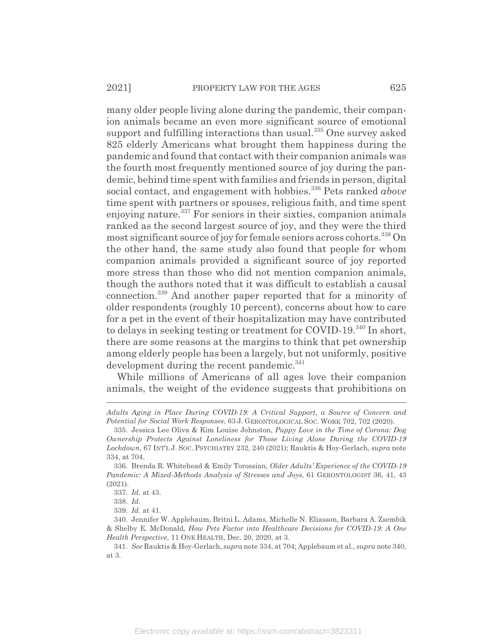many older people living alone during the pandemic, their companion animals became an even more significant source of emotional support and fulfilling interactions than usual.<sup>335</sup> One survey asked 825 elderly Americans what brought them happiness during the pandemic and found that contact with their companion animals was the fourth most frequently mentioned source of joy during the pandemic, behind time spent with families and friends in person, digital social contact, and engagement with hobbies.<sup>336</sup> Pets ranked *above* time spent with partners or spouses, religious faith, and time spent enjoying nature.<sup>337</sup> For seniors in their sixties, companion animals ranked as the second largest source of joy, and they were the third most significant source of joy for female seniors across cohorts.<sup>338</sup> On the other hand, the same study also found that people for whom companion animals provided a significant source of joy reported more stress than those who did not mention companion animals, though the authors noted that it was difficult to establish a causal connection.339 And another paper reported that for a minority of older respondents (roughly 10 percent), concerns about how to care for a pet in the event of their hospitalization may have contributed to delays in seeking testing or treatment for COVID-19.<sup>340</sup> In short, there are some reasons at the margins to think that pet ownership among elderly people has been a largely, but not uniformly, positive development during the recent pandemic.<sup>341</sup>

While millions of Americans of all ages love their companion animals, the weight of the evidence suggests that prohibitions on

*Adults Aging in Place During COVID-19: A Critical Support, a Source of Concern and Potential for Social Work Responses*, 63 J. GERONTOLOGICAL SOC. WORK 702, 702 (2020).

<sup>335.</sup> Jessica Lee Oliva & Kim Louise Johnston, *Puppy Love in the Time of Corona: Dog Ownership Protects Against Loneliness for Those Living Alone During the COVID-19 Lockdown*, 67 INT'L J. SOC. PSYCHIATRY 232, 240 (2021); Rauktis & Hoy-Gerlach, *supra* note 334, at 704.

<sup>336.</sup> Brenda R. Whitehead & Emily Torossian, *Older Adults' Experience of the COVID-19 Pandemic: A Mixed-Methods Analysis of Stresses and Joys*, 61 GERONTOLOGIST 36, 41, 43 (2021).

<sup>337.</sup> *Id.* at 43.

<sup>338.</sup> *Id.*

<sup>339.</sup> *Id.* at 41.

<sup>340.</sup> Jennifer W. Applebaum, Britni L. Adams, Michelle N. Eliasson, Barbara A. Zsembik & Shelby E. McDonald*, How Pets Factor into Healthcare Decisions for COVID-19: A One Health Perspective*, 11 ONE HEALTH, Dec. 20, 2020, at 3.

<sup>341.</sup> *See* Rauktis & Hoy-Gerlach, *supra* note 334, at 704; Applebaum et al., *supra* note 340, at 3.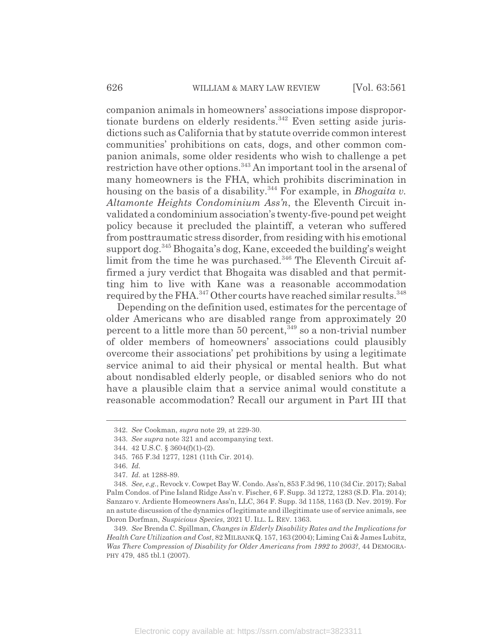companion animals in homeowners' associations impose disproportionate burdens on elderly residents.<sup>342</sup> Even setting aside jurisdictions such as California that by statute override common interest communities' prohibitions on cats, dogs, and other common companion animals, some older residents who wish to challenge a pet restriction have other options.<sup>343</sup> An important tool in the arsenal of many homeowners is the FHA, which prohibits discrimination in housing on the basis of a disability.344 For example, in *Bhogaita v. Altamonte Heights Condominium Ass'n*, the Eleventh Circuit invalidated a condominium association's twenty-five-pound pet weight policy because it precluded the plaintiff, a veteran who suffered from posttraumatic stress disorder, from residing with his emotional support dog.345 Bhogaita's dog, Kane, exceeded the building's weight limit from the time he was purchased.<sup>346</sup> The Eleventh Circuit affirmed a jury verdict that Bhogaita was disabled and that permitting him to live with Kane was a reasonable accommodation required by the FHA.<sup>347</sup> Other courts have reached similar results.<sup>348</sup>

Depending on the definition used, estimates for the percentage of older Americans who are disabled range from approximately 20 percent to a little more than 50 percent,  $349$  so a non-trivial number of older members of homeowners' associations could plausibly overcome their associations' pet prohibitions by using a legitimate service animal to aid their physical or mental health. But what about nondisabled elderly people, or disabled seniors who do not have a plausible claim that a service animal would constitute a reasonable accommodation? Recall our argument in Part III that

<sup>342.</sup> *See* Cookman, *supra* note 29, at 229-30.

<sup>343.</sup> *See supra* note 321 and accompanying text.

<sup>344. 42</sup> U.S.C. § 3604(f)(1)-(2).

<sup>345. 765</sup> F.3d 1277, 1281 (11th Cir. 2014).

<sup>346.</sup> *Id.*

<sup>347.</sup> *Id.* at 1288-89.

<sup>348.</sup> *See, e.g.*, Revock v. Cowpet Bay W. Condo. Ass'n, 853 F.3d 96, 110 (3d Cir. 2017); Sabal Palm Condos. of Pine Island Ridge Ass'n v. Fischer, 6 F. Supp. 3d 1272, 1283 (S.D. Fla. 2014); Sanzaro v. Ardiente Homeowners Ass'n, LLC, 364 F. Supp. 3d 1158, 1163 (D. Nev. 2019). For an astute discussion of the dynamics of legitimate and illegitimate use of service animals, see Doron Dorfman, *Suspicious Species*, 2021 U. ILL. L. REV. 1363.

<sup>349.</sup> *See* Brenda C. Spillman, *Changes in Elderly Disability Rates and the Implications for Health Care Utilization and Cost*, 82 MILBANK Q. 157, 163 (2004); Liming Cai & James Lubitz, *Was There Compression of Disability for Older Americans from 1992 to 2003?*, 44 DEMOGRA-PHY 479, 485 tbl.1 (2007).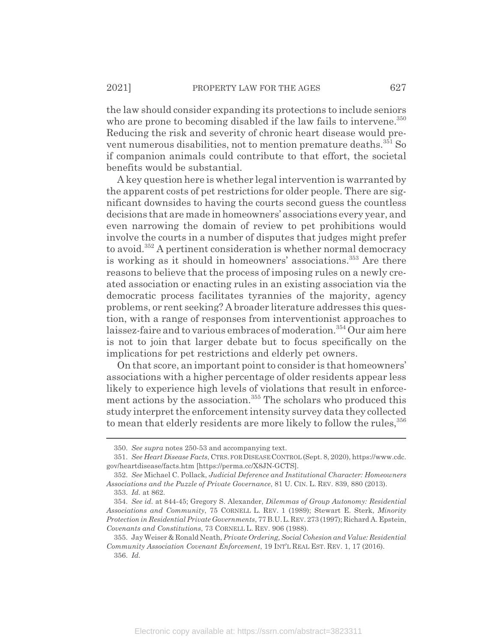the law should consider expanding its protections to include seniors who are prone to becoming disabled if the law fails to intervene.<sup>350</sup> Reducing the risk and severity of chronic heart disease would prevent numerous disabilities, not to mention premature deaths.<sup>351</sup> So if companion animals could contribute to that effort, the societal benefits would be substantial.

A key question here is whether legal intervention is warranted by the apparent costs of pet restrictions for older people. There are significant downsides to having the courts second guess the countless decisions that are made in homeowners' associations every year, and even narrowing the domain of review to pet prohibitions would involve the courts in a number of disputes that judges might prefer to avoid.352 A pertinent consideration is whether normal democracy is working as it should in homeowners' associations.<sup>353</sup> Are there reasons to believe that the process of imposing rules on a newly created association or enacting rules in an existing association via the democratic process facilitates tyrannies of the majority, agency problems, or rent seeking? A broader literature addresses this question, with a range of responses from interventionist approaches to laissez-faire and to various embraces of moderation.<sup>354</sup> Our aim here is not to join that larger debate but to focus specifically on the implications for pet restrictions and elderly pet owners.

On that score, an important point to consider is that homeowners' associations with a higher percentage of older residents appear less likely to experience high levels of violations that result in enforcement actions by the association.<sup>355</sup> The scholars who produced this study interpret the enforcement intensity survey data they collected to mean that elderly residents are more likely to follow the rules,  $356$ 

<sup>350.</sup> *See supra* notes 250-53 and accompanying text.

<sup>351.</sup> *See Heart Disease Facts*, CTRS. FOR DISEASE CONTROL (Sept. 8, 2020), https://www.cdc. gov/heartdisease/facts.htm [https://perma.cc/X8JN-GCTS].

<sup>352.</sup> *See* Michael C. Pollack, *Judicial Deference and Institutional Character: Homeowners Associations and the Puzzle of Private Governance*, 81 U. CIN. L. REV. 839, 880 (2013).

<sup>353.</sup> *Id.* at 862.

<sup>354.</sup> *See id.* at 844-45; Gregory S. Alexander, *Dilemmas of Group Autonomy: Residential Associations and Community*, 75 CORNELL L. REV. 1 (1989); Stewart E. Sterk, *Minority Protection in Residential Private Governments*, 77 B.U.L.REV. 273 (1997); Richard A. Epstein, *Covenants and Constitutions*, 73 CORNELL L. REV. 906 (1988).

<sup>355.</sup> Jay Weiser & Ronald Neath, *Private Ordering, Social Cohesion and Value: Residential Community Association Covenant Enforcement*, 19 INT'L REAL EST. REV. 1, 17 (2016). 356. *Id.*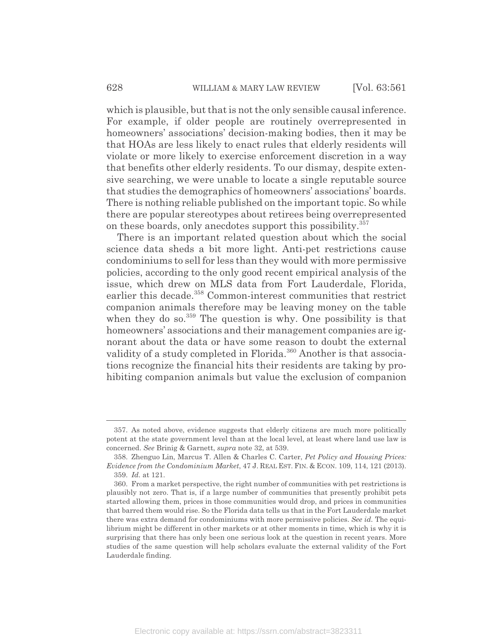which is plausible, but that is not the only sensible causal inference. For example, if older people are routinely overrepresented in homeowners' associations' decision-making bodies, then it may be that HOAs are less likely to enact rules that elderly residents will violate or more likely to exercise enforcement discretion in a way that benefits other elderly residents. To our dismay, despite extensive searching, we were unable to locate a single reputable source that studies the demographics of homeowners' associations' boards. There is nothing reliable published on the important topic. So while there are popular stereotypes about retirees being overrepresented on these boards, only anecdotes support this possibility.<sup>357</sup>

There is an important related question about which the social science data sheds a bit more light. Anti-pet restrictions cause condominiums to sell for less than they would with more permissive policies, according to the only good recent empirical analysis of the issue, which drew on MLS data from Fort Lauderdale, Florida, earlier this decade.<sup>358</sup> Common-interest communities that restrict companion animals therefore may be leaving money on the table when they do so. $359$  The question is why. One possibility is that homeowners' associations and their management companies are ignorant about the data or have some reason to doubt the external validity of a study completed in Florida.<sup>360</sup> Another is that associations recognize the financial hits their residents are taking by prohibiting companion animals but value the exclusion of companion

<sup>357.</sup> As noted above, evidence suggests that elderly citizens are much more politically potent at the state government level than at the local level, at least where land use law is concerned. *See* Brinig & Garnett, *supra* note 32, at 539.

<sup>358.</sup> Zhenguo Lin, Marcus T. Allen & Charles C. Carter, *Pet Policy and Housing Prices: Evidence from the Condominium Market*, 47 J. REAL EST. FIN.&ECON. 109, 114, 121 (2013). 359. *Id.* at 121.

<sup>360.</sup> From a market perspective, the right number of communities with pet restrictions is plausibly not zero. That is, if a large number of communities that presently prohibit pets started allowing them, prices in those communities would drop, and prices in communities that barred them would rise. So the Florida data tells us that in the Fort Lauderdale market there was extra demand for condominiums with more permissive policies. *See id.* The equilibrium might be different in other markets or at other moments in time, which is why it is surprising that there has only been one serious look at the question in recent years. More studies of the same question will help scholars evaluate the external validity of the Fort Lauderdale finding.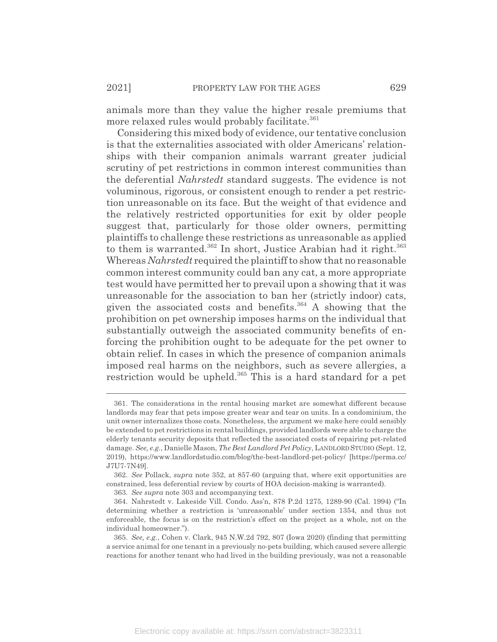animals more than they value the higher resale premiums that more relaxed rules would probably facilitate.<sup>361</sup>

Considering this mixed body of evidence, our tentative conclusion is that the externalities associated with older Americans' relationships with their companion animals warrant greater judicial scrutiny of pet restrictions in common interest communities than the deferential *Nahrstedt* standard suggests. The evidence is not voluminous, rigorous, or consistent enough to render a pet restriction unreasonable on its face. But the weight of that evidence and the relatively restricted opportunities for exit by older people suggest that, particularly for those older owners, permitting plaintiffs to challenge these restrictions as unreasonable as applied to them is warranted.<sup>362</sup> In short, Justice Arabian had it right.<sup>363</sup> Whereas *Nahrstedt* required the plaintiff to show that no reasonable common interest community could ban any cat, a more appropriate test would have permitted her to prevail upon a showing that it was unreasonable for the association to ban her (strictly indoor) cats, given the associated costs and benefits. $364$  A showing that the prohibition on pet ownership imposes harms on the individual that substantially outweigh the associated community benefits of enforcing the prohibition ought to be adequate for the pet owner to obtain relief. In cases in which the presence of companion animals imposed real harms on the neighbors, such as severe allergies, a restriction would be upheld.<sup>365</sup> This is a hard standard for a pet

<sup>361.</sup> The considerations in the rental housing market are somewhat different because landlords may fear that pets impose greater wear and tear on units. In a condominium, the unit owner internalizes those costs. Nonetheless, the argument we make here could sensibly be extended to pet restrictions in rental buildings, provided landlords were able to charge the elderly tenants security deposits that reflected the associated costs of repairing pet-related damage. *See, e.g.*, Danielle Mason, *The Best Landlord Pet Policy*, LANDLORD STUDIO (Sept. 12, 2019), https://www.landlordstudio.com/blog/the-best-landlord-pet-policy/ [https://perma.cc/ J7U7-7N49].

<sup>362.</sup> *See* Pollack, *supra* note 352, at 857-60 (arguing that, where exit opportunities are constrained, less deferential review by courts of HOA decision-making is warranted).

<sup>363.</sup> *See supra* note 303 and accompanying text.

<sup>364.</sup> Nahrstedt v. Lakeside Vill. Condo. Ass'n, 878 P.2d 1275, 1289-90 (Cal. 1994) ("In determining whether a restriction is 'unreasonable' under section 1354, and thus not enforceable, the focus is on the restriction's effect on the project as a whole, not on the individual homeowner.").

<sup>365.</sup> *See, e.g.*, Cohen v. Clark, 945 N.W.2d 792, 807 (Iowa 2020) (finding that permitting a service animal for one tenant in a previously no-pets building, which caused severe allergic reactions for another tenant who had lived in the building previously, was not a reasonable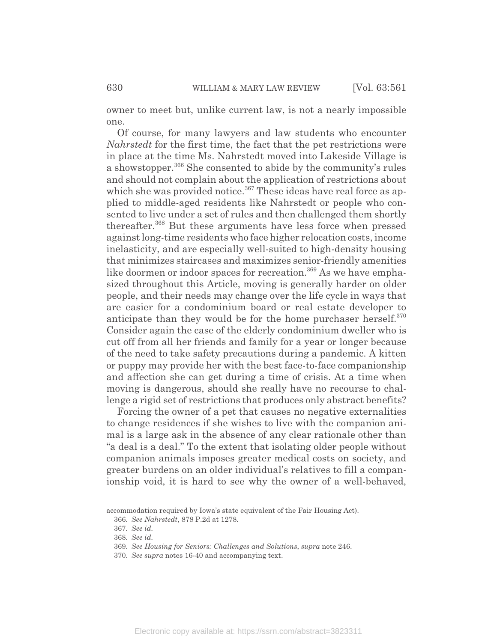owner to meet but, unlike current law, is not a nearly impossible one.

Of course, for many lawyers and law students who encounter *Nahrstedt* for the first time, the fact that the pet restrictions were in place at the time Ms. Nahrstedt moved into Lakeside Village is a showstopper.366 She consented to abide by the community's rules and should not complain about the application of restrictions about which she was provided notice.<sup>367</sup> These ideas have real force as applied to middle-aged residents like Nahrstedt or people who consented to live under a set of rules and then challenged them shortly thereafter.368 But these arguments have less force when pressed against long-time residents who face higher relocation costs, income inelasticity, and are especially well-suited to high-density housing that minimizes staircases and maximizes senior-friendly amenities like doormen or indoor spaces for recreation.<sup>369</sup> As we have emphasized throughout this Article, moving is generally harder on older people, and their needs may change over the life cycle in ways that are easier for a condominium board or real estate developer to anticipate than they would be for the home purchaser herself.<sup>370</sup> Consider again the case of the elderly condominium dweller who is cut off from all her friends and family for a year or longer because of the need to take safety precautions during a pandemic. A kitten or puppy may provide her with the best face-to-face companionship and affection she can get during a time of crisis. At a time when moving is dangerous, should she really have no recourse to challenge a rigid set of restrictions that produces only abstract benefits?

Forcing the owner of a pet that causes no negative externalities to change residences if she wishes to live with the companion animal is a large ask in the absence of any clear rationale other than "a deal is a deal." To the extent that isolating older people without companion animals imposes greater medical costs on society, and greater burdens on an older individual's relatives to fill a companionship void, it is hard to see why the owner of a well-behaved,

accommodation required by Iowa's state equivalent of the Fair Housing Act).

<sup>366.</sup> *See Nahrstedt*, 878 P.2d at 1278.

<sup>367.</sup> *See id.*

<sup>368.</sup> *See id.*

<sup>369.</sup> *See Housing for Seniors: Challenges and Solutions*, *supra* note 246.

<sup>370.</sup> *See supra* notes 16-40 and accompanying text.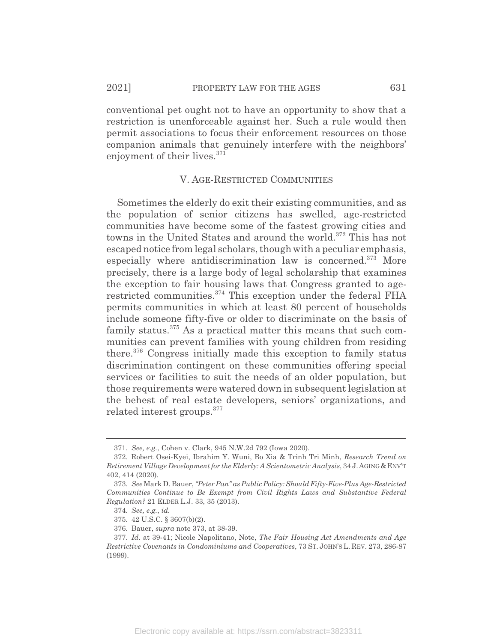enjoyment of their lives.<sup>371</sup>

conventional pet ought not to have an opportunity to show that a restriction is unenforceable against her. Such a rule would then permit associations to focus their enforcement resources on those

## V. AGE-RESTRICTED COMMUNITIES

companion animals that genuinely interfere with the neighbors'

Sometimes the elderly do exit their existing communities, and as the population of senior citizens has swelled, age-restricted communities have become some of the fastest growing cities and towns in the United States and around the world.<sup>372</sup> This has not escaped notice from legal scholars, though with a peculiar emphasis, especially where antidiscrimination law is concerned.<sup>373</sup> More precisely, there is a large body of legal scholarship that examines the exception to fair housing laws that Congress granted to agerestricted communities.374 This exception under the federal FHA permits communities in which at least 80 percent of households include someone fifty-five or older to discriminate on the basis of family status.375 As a practical matter this means that such communities can prevent families with young children from residing there.376 Congress initially made this exception to family status discrimination contingent on these communities offering special services or facilities to suit the needs of an older population, but those requirements were watered down in subsequent legislation at the behest of real estate developers, seniors' organizations, and related interest groups.377

<sup>371.</sup> *See, e.g.*, Cohen v. Clark, 945 N.W.2d 792 (Iowa 2020).

<sup>372.</sup> Robert Osei-Kyei, Ibrahim Y. Wuni, Bo Xia & Trinh Tri Minh, *Research Trend on Retirement Village Development for the Elderly: A Scientometric Analysis*, 34 J.AGING&ENV'T 402, 414 (2020).

<sup>373.</sup> *See* Mark D. Bauer, *"Peter Pan" as Public Policy: Should Fifty-Five-Plus Age-Restricted Communities Continue to Be Exempt from Civil Rights Laws and Substantive Federal Regulation?* 21 ELDER L.J. 33, 35 (2013).

<sup>374.</sup> *See, e.g.*, *id.*

<sup>375. 42</sup> U.S.C. § 3607(b)(2).

<sup>376.</sup> Bauer, *supra* note 373, at 38-39.

<sup>377.</sup> *Id.* at 39-41; Nicole Napolitano, Note, *The Fair Housing Act Amendments and Age Restrictive Covenants in Condominiums and Cooperatives*, 73 ST. JOHN'S L. REV. 273, 286-87 (1999).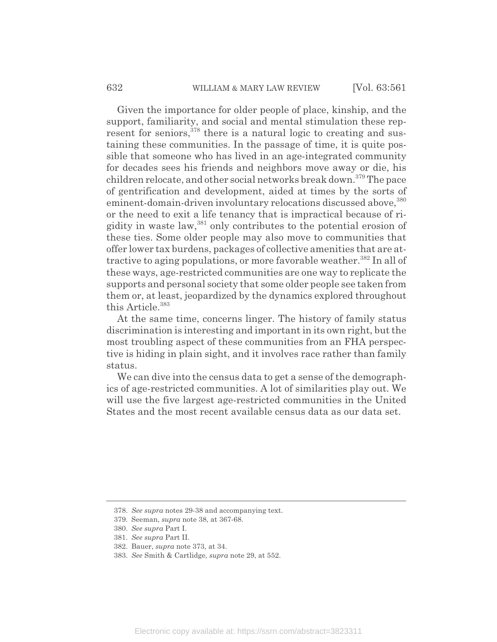Given the importance for older people of place, kinship, and the support, familiarity, and social and mental stimulation these represent for seniors,  $378$  there is a natural logic to creating and sustaining these communities. In the passage of time, it is quite possible that someone who has lived in an age-integrated community for decades sees his friends and neighbors move away or die, his children relocate, and other social networks break down.<sup>379</sup> The pace of gentrification and development, aided at times by the sorts of eminent-domain-driven involuntary relocations discussed above, 380 or the need to exit a life tenancy that is impractical because of rigidity in waste law,<sup>381</sup> only contributes to the potential erosion of these ties. Some older people may also move to communities that offer lower tax burdens, packages of collective amenities that are attractive to aging populations, or more favorable weather.<sup>382</sup> In all of these ways, age-restricted communities are one way to replicate the supports and personal society that some older people see taken from them or, at least, jeopardized by the dynamics explored throughout this Article.<sup>383</sup>

At the same time, concerns linger. The history of family status discrimination is interesting and important in its own right, but the most troubling aspect of these communities from an FHA perspective is hiding in plain sight, and it involves race rather than family status.

We can dive into the census data to get a sense of the demographics of age-restricted communities. A lot of similarities play out. We will use the five largest age-restricted communities in the United States and the most recent available census data as our data set.

<sup>378.</sup> *See supra* notes 29-38 and accompanying text.

<sup>379.</sup> Seeman, *supra* note 38, at 367-68.

<sup>380.</sup> *See supra* Part I.

<sup>381.</sup> *See supra* Part II.

<sup>382.</sup> Bauer, *supra* note 373, at 34.

<sup>383.</sup> *See* Smith & Cartlidge, *supra* note 29, at 552.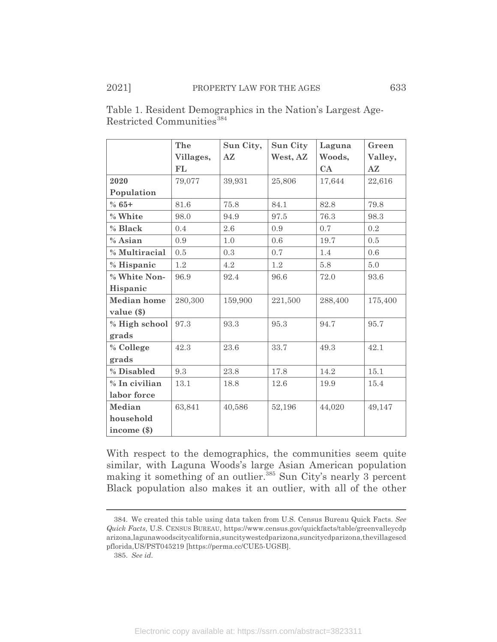|                    | The       | Sun City,     | Sun City | Laguna  | Green   |
|--------------------|-----------|---------------|----------|---------|---------|
|                    | Villages, | $A\mathbb{Z}$ | West, AZ | Woods,  | Valley, |
|                    | FL        |               |          | CA      | AZ      |
| 2020               | 79,077    | 39,931        | 25,806   | 17,644  | 22,616  |
| Population         |           |               |          |         |         |
| $% 65+$            | 81.6      | 75.8          | 84.1     | 82.8    | 79.8    |
| % White            | 98.0      | 94.9          | 97.5     | 76.3    | 98.3    |
| % Black            | 0.4       | 2.6           | 0.9      | 0.7     | 0.2     |
| % Asian            | 0.9       | 1.0           | 0.6      | 19.7    | 0.5     |
| % Multiracial      | 0.5       | 0.3           | 0.7      | 1.4     | 0.6     |
| % Hispanic         | 1.2       | 4.2           | 1.2      | 5.8     | 5.0     |
| % White Non-       | 96.9      | 92.4          | 96.6     | 72.0    | 93.6    |
| Hispanic           |           |               |          |         |         |
| <b>Median</b> home | 280,300   | 159,900       | 221,500  | 288,400 | 175,400 |
| value $(\$)$       |           |               |          |         |         |
| % High school      | 97.3      | 93.3          | 95.3     | 94.7    | 95.7    |
| grads              |           |               |          |         |         |
| % College          | 42.3      | 23.6          | 33.7     | 49.3    | 42.1    |
| grads              |           |               |          |         |         |
| % Disabled         | 9.3       | 23.8          | 17.8     | 14.2    | 15.1    |
| % In civilian      | 13.1      | 18.8          | 12.6     | 19.9    | 15.4    |
| labor force        |           |               |          |         |         |
| Median             | 63,841    | 40,586        | 52,196   | 44,020  | 49,147  |
| household          |           |               |          |         |         |
| income $(\$)$      |           |               |          |         |         |

Table 1. Resident Demographics in the Nation's Largest Age-Restricted Communities<sup>384</sup>

With respect to the demographics, the communities seem quite similar, with Laguna Woods's large Asian American population making it something of an outlier.<sup>385</sup> Sun City's nearly 3 percent Black population also makes it an outlier, with all of the other

<sup>384.</sup> We created this table using data taken from U.S. Census Bureau Quick Facts. *See Quick Facts*, U.S. CENSUS BUREAU, https://www.census.gov/quickfacts/table/greenvalleycdp arizona,lagunawoodscitycalifornia,suncitywestcdparizona,suncitycdparizona,thevillagescd pflorida,US/PST045219 [https://perma.cc/CUE5-UGSB].

<sup>385.</sup> *See id.*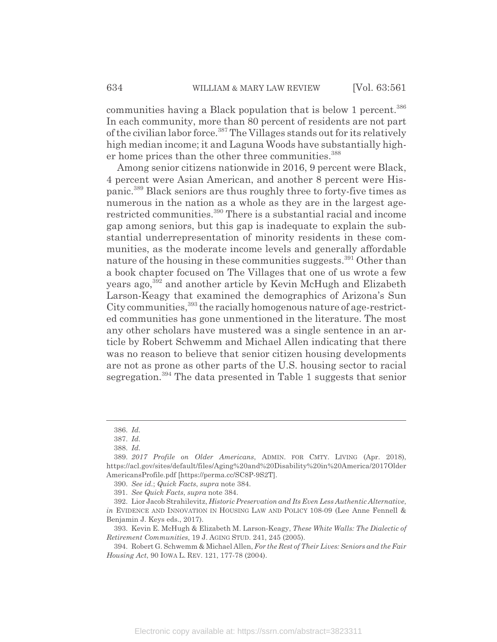communities having a Black population that is below 1 percent.<sup>386</sup> In each community, more than 80 percent of residents are not part of the civilian labor force.387 The Villages stands out for its relatively high median income; it and Laguna Woods have substantially higher home prices than the other three communities.<sup>388</sup>

Among senior citizens nationwide in 2016, 9 percent were Black, 4 percent were Asian American, and another 8 percent were Hispanic.389 Black seniors are thus roughly three to forty-five times as numerous in the nation as a whole as they are in the largest agerestricted communities.390 There is a substantial racial and income gap among seniors, but this gap is inadequate to explain the substantial underrepresentation of minority residents in these communities, as the moderate income levels and generally affordable nature of the housing in these communities suggests.<sup>391</sup> Other than a book chapter focused on The Villages that one of us wrote a few years ago,392 and another article by Kevin McHugh and Elizabeth Larson-Keagy that examined the demographics of Arizona's Sun City communities,<sup>393</sup> the racially homogenous nature of age-restricted communities has gone unmentioned in the literature. The most any other scholars have mustered was a single sentence in an article by Robert Schwemm and Michael Allen indicating that there was no reason to believe that senior citizen housing developments are not as prone as other parts of the U.S. housing sector to racial segregation.<sup>394</sup> The data presented in Table 1 suggests that senior

<sup>386.</sup> *Id.*

<sup>387.</sup> *Id.*

<sup>388.</sup> *Id.*

<sup>389.</sup> *2017 Profile on Older Americans*, ADMIN. FOR CMTY. LIVING (Apr. 2018), https://acl.gov/sites/default/files/Aging%20and%20Disability%20in%20America/2017Older AmericansProfile.pdf [https://perma.cc/SC8P-9S2T].

<sup>390.</sup> *See id.*; *Quick Facts*, *supra* note 384.

<sup>391.</sup> *See Quick Facts*, *supra* note 384.

<sup>392.</sup> Lior Jacob Strahilevitz, *Historic Preservation and Its Even Less Authentic Alternative*, *in* EVIDENCE AND INNOVATION IN HOUSING LAW AND POLICY 108-09 (Lee Anne Fennell & Benjamin J. Keys eds., 2017).

<sup>393.</sup> Kevin E. McHugh & Elizabeth M. Larson-Keagy, *These White Walls: The Dialectic of Retirement Communities*, 19 J. AGING STUD. 241, 245 (2005).

<sup>394.</sup> Robert G. Schwemm & Michael Allen, *For the Rest of Their Lives: Seniors and the Fair Housing Act*, 90 IOWA L. REV. 121, 177-78 (2004).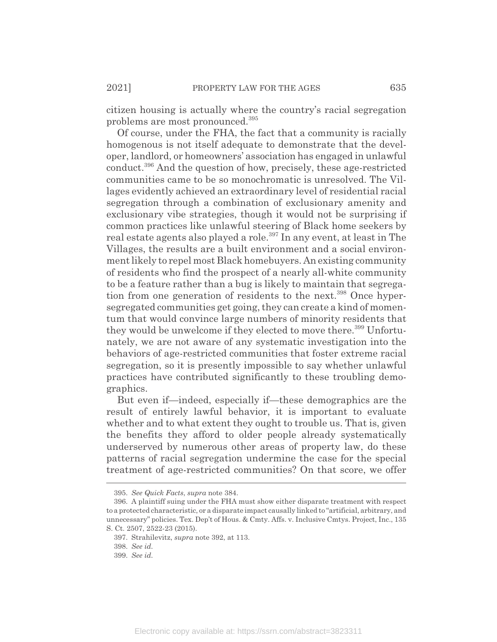citizen housing is actually where the country's racial segregation problems are most pronounced.395

Of course, under the FHA, the fact that a community is racially homogenous is not itself adequate to demonstrate that the developer, landlord, or homeowners' association has engaged in unlawful conduct.396 And the question of how, precisely, these age-restricted communities came to be so monochromatic is unresolved. The Villages evidently achieved an extraordinary level of residential racial segregation through a combination of exclusionary amenity and exclusionary vibe strategies, though it would not be surprising if common practices like unlawful steering of Black home seekers by real estate agents also played a role.<sup>397</sup> In any event, at least in The Villages, the results are a built environment and a social environment likely to repel most Black homebuyers. An existing community of residents who find the prospect of a nearly all-white community to be a feature rather than a bug is likely to maintain that segregation from one generation of residents to the next.<sup>398</sup> Once hypersegregated communities get going, they can create a kind of momentum that would convince large numbers of minority residents that they would be unwelcome if they elected to move there.<sup>399</sup> Unfortunately, we are not aware of any systematic investigation into the behaviors of age-restricted communities that foster extreme racial segregation, so it is presently impossible to say whether unlawful practices have contributed significantly to these troubling demographics.

But even if—indeed, especially if—these demographics are the result of entirely lawful behavior, it is important to evaluate whether and to what extent they ought to trouble us. That is, given the benefits they afford to older people already systematically underserved by numerous other areas of property law, do these patterns of racial segregation undermine the case for the special treatment of age-restricted communities? On that score, we offer

<sup>395.</sup> *See Quick Facts*, *supra* note 384.

<sup>396.</sup> A plaintiff suing under the FHA must show either disparate treatment with respect to a protected characteristic, or a disparate impact causally linked to "artificial, arbitrary, and unnecessary" policies. Tex. Dep't of Hous. & Cmty. Affs. v. Inclusive Cmtys. Project, Inc., 135 S. Ct. 2507, 2522-23 (2015).

<sup>397.</sup> Strahilevitz, *supra* note 392, at 113.

<sup>398.</sup> *See id.*

<sup>399.</sup> *See id.*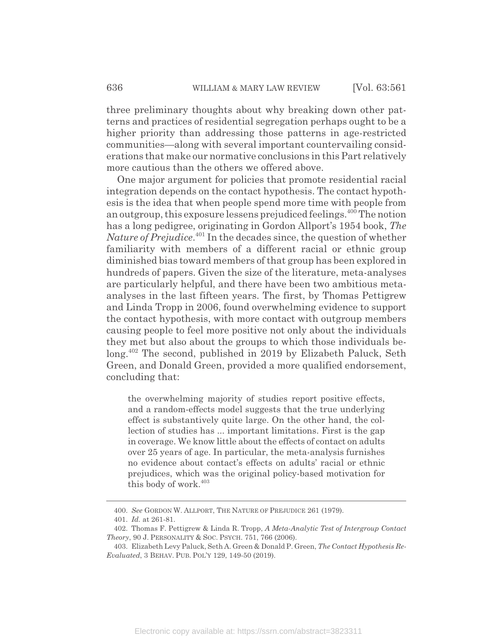three preliminary thoughts about why breaking down other patterns and practices of residential segregation perhaps ought to be a higher priority than addressing those patterns in age-restricted communities—along with several important countervailing considerations that make our normative conclusions in this Part relatively more cautious than the others we offered above.

One major argument for policies that promote residential racial integration depends on the contact hypothesis. The contact hypothesis is the idea that when people spend more time with people from an outgroup, this exposure lessens prejudiced feelings.<sup>400</sup> The notion has a long pedigree, originating in Gordon Allport's 1954 book, *The Nature of Prejudice*. 401 In the decades since, the question of whether familiarity with members of a different racial or ethnic group diminished bias toward members of that group has been explored in hundreds of papers. Given the size of the literature, meta-analyses are particularly helpful, and there have been two ambitious metaanalyses in the last fifteen years. The first, by Thomas Pettigrew and Linda Tropp in 2006, found overwhelming evidence to support the contact hypothesis, with more contact with outgroup members causing people to feel more positive not only about the individuals they met but also about the groups to which those individuals belong.<sup>402</sup> The second, published in 2019 by Elizabeth Paluck, Seth Green, and Donald Green, provided a more qualified endorsement, concluding that:

the overwhelming majority of studies report positive effects, and a random-effects model suggests that the true underlying effect is substantively quite large. On the other hand, the collection of studies has ... important limitations. First is the gap in coverage. We know little about the effects of contact on adults over 25 years of age. In particular, the meta-analysis furnishes no evidence about contact's effects on adults' racial or ethnic prejudices, which was the original policy-based motivation for this body of work.<sup>403</sup>

<sup>400.</sup> *See* GORDON W. ALLPORT, THE NATURE OF PREJUDICE 261 (1979).

<sup>401.</sup> *Id.* at 261-81.

<sup>402.</sup> Thomas F. Pettigrew & Linda R. Tropp, *A Meta-Analytic Test of Intergroup Contact Theory*, 90 J. PERSONALITY & SOC. PSYCH. 751, 766 (2006).

<sup>403.</sup> Elizabeth Levy Paluck, Seth A. Green & Donald P. Green, *The Contact Hypothesis Re-Evaluated*, 3 BEHAV. PUB. POL'Y 129, 149-50 (2019).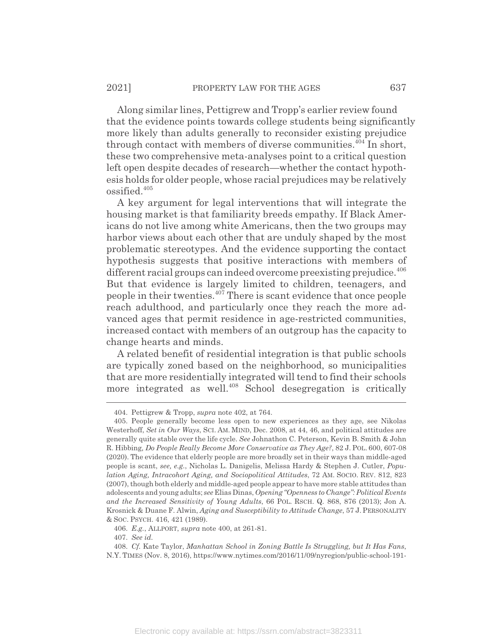Along similar lines, Pettigrew and Tropp's earlier review found that the evidence points towards college students being significantly more likely than adults generally to reconsider existing prejudice through contact with members of diverse communities.<sup>404</sup> In short, these two comprehensive meta-analyses point to a critical question left open despite decades of research—whether the contact hypothesis holds for older people, whose racial prejudices may be relatively ossified.<sup>405</sup>

A key argument for legal interventions that will integrate the housing market is that familiarity breeds empathy. If Black Americans do not live among white Americans, then the two groups may harbor views about each other that are unduly shaped by the most problematic stereotypes. And the evidence supporting the contact hypothesis suggests that positive interactions with members of different racial groups can indeed overcome preexisting prejudice.<sup>406</sup> But that evidence is largely limited to children, teenagers, and people in their twenties. $407$  There is scant evidence that once people reach adulthood, and particularly once they reach the more advanced ages that permit residence in age-restricted communities, increased contact with members of an outgroup has the capacity to change hearts and minds.

A related benefit of residential integration is that public schools are typically zoned based on the neighborhood, so municipalities that are more residentially integrated will tend to find their schools more integrated as well.<sup>408</sup> School desegregation is critically

<sup>404.</sup> Pettigrew & Tropp, *supra* note 402, at 764.

<sup>405.</sup> People generally become less open to new experiences as they age, see Nikolas Westerhoff, *Set in Our Ways*, SCI. AM. MIND, Dec. 2008, at 44, 46, and political attitudes are generally quite stable over the life cycle. *See* Johnathon C. Peterson, Kevin B. Smith & John R. Hibbing*, Do People Really Become More Conservative as They Age?*, 82 J. POL. 600, 607-08 (2020). The evidence that elderly people are more broadly set in their ways than middle-aged people is scant, *see, e.g.*, Nicholas L. Danigelis, Melissa Hardy & Stephen J. Cutler, *Population Aging, Intracohort Aging, and Sociopolitical Attitudes*, 72 AM. SOCIO. REV. 812, 823 (2007), though both elderly and middle-aged people appear to have more stable attitudes than adolescents and young adults; *see* Elias Dinas, *Opening "Openness to Change": Political Events and the Increased Sensitivity of Young Adults*, 66 POL. RSCH. Q. 868, 876 (2013); Jon A. Krosnick & Duane F. Alwin, *Aging and Susceptibility to Attitude Change*, 57 J.PERSONALITY & SOC. PSYCH. 416, 421 (1989).

<sup>406.</sup> *E.g.*, ALLPORT, *supra* note 400, at 261-81.

<sup>407.</sup> *See id.*

<sup>408.</sup> *Cf.* Kate Taylor, *Manhattan School in Zoning Battle Is Struggling, but It Has Fans*, N.Y. TIMES (Nov. 8, 2016), https://www.nytimes.com/2016/11/09/nyregion/public-school-191-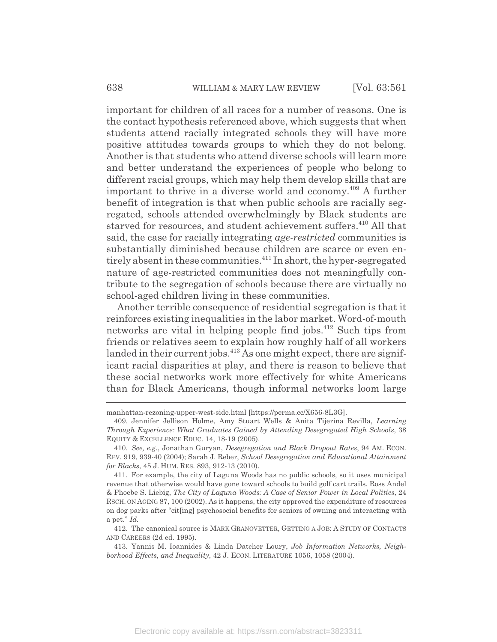important for children of all races for a number of reasons. One is the contact hypothesis referenced above, which suggests that when students attend racially integrated schools they will have more positive attitudes towards groups to which they do not belong. Another is that students who attend diverse schools will learn more and better understand the experiences of people who belong to different racial groups, which may help them develop skills that are important to thrive in a diverse world and economy.<sup>409</sup> A further benefit of integration is that when public schools are racially segregated, schools attended overwhelmingly by Black students are starved for resources, and student achievement suffers.<sup>410</sup> All that said, the case for racially integrating *age-restricted* communities is substantially diminished because children are scarce or even entirely absent in these communities.<sup>411</sup> In short, the hyper-segregated nature of age-restricted communities does not meaningfully contribute to the segregation of schools because there are virtually no school-aged children living in these communities.

Another terrible consequence of residential segregation is that it reinforces existing inequalities in the labor market. Word-of-mouth networks are vital in helping people find jobs.<sup>412</sup> Such tips from friends or relatives seem to explain how roughly half of all workers landed in their current jobs.<sup>413</sup> As one might expect, there are significant racial disparities at play, and there is reason to believe that these social networks work more effectively for white Americans than for Black Americans, though informal networks loom large

manhattan-rezoning-upper-west-side.html [https://perma.cc/X656-8L3G].

<sup>409.</sup> Jennifer Jellison Holme, Amy Stuart Wells & Anita Tijerina Revilla, *Learning Through Experience: What Graduates Gained by Attending Desegregated High Schools*, 38 EQUITY & EXCELLENCE EDUC. 14, 18-19 (2005).

<sup>410.</sup> *See, e.g.*, Jonathan Guryan, *Desegregation and Black Dropout Rates*, 94 AM. ECON. REV. 919, 939-40 (2004); Sarah J. Reber, *School Desegregation and Educational Attainment for Blacks*, 45 J. HUM. RES. 893, 912-13 (2010).

<sup>411.</sup> For example, the city of Laguna Woods has no public schools, so it uses municipal revenue that otherwise would have gone toward schools to build golf cart trails. Ross Andel & Phoebe S. Liebig, *The City of Laguna Woods: A Case of Senior Power in Local Politics*, 24 RSCH. ON AGING 87, 100 (2002). As it happens, the city approved the expenditure of resources on dog parks after "cit[ing] psychosocial benefits for seniors of owning and interacting with a pet." *Id.*

<sup>412.</sup> The canonical source is MARK GRANOVETTER, GETTING A JOB:ASTUDY OF CONTACTS AND CAREERS (2d ed. 1995).

<sup>413.</sup> Yannis M. Ioannides & Linda Datcher Loury, *Job Information Networks, Neighborhood Effects, and Inequality*, 42 J. ECON. LITERATURE 1056, 1058 (2004).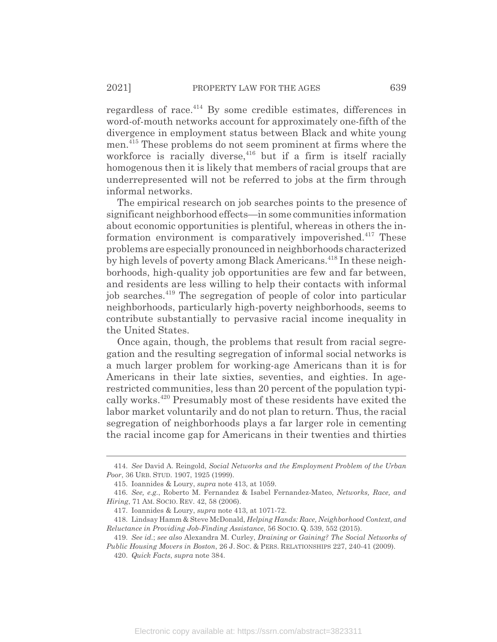regardless of race.<sup>414</sup> By some credible estimates, differences in word-of-mouth networks account for approximately one-fifth of the divergence in employment status between Black and white young men.415 These problems do not seem prominent at firms where the workforce is racially diverse,  $416$  but if a firm is itself racially homogenous then it is likely that members of racial groups that are underrepresented will not be referred to jobs at the firm through informal networks.

The empirical research on job searches points to the presence of significant neighborhood effects—in some communities information about economic opportunities is plentiful, whereas in others the information environment is comparatively impoverished. $417$  These problems are especially pronounced in neighborhoods characterized by high levels of poverty among Black Americans.<sup>418</sup> In these neighborhoods, high-quality job opportunities are few and far between, and residents are less willing to help their contacts with informal job searches.419 The segregation of people of color into particular neighborhoods, particularly high-poverty neighborhoods, seems to contribute substantially to pervasive racial income inequality in the United States.

Once again, though, the problems that result from racial segregation and the resulting segregation of informal social networks is a much larger problem for working-age Americans than it is for Americans in their late sixties, seventies, and eighties. In agerestricted communities, less than 20 percent of the population typically works.420 Presumably most of these residents have exited the labor market voluntarily and do not plan to return. Thus, the racial segregation of neighborhoods plays a far larger role in cementing the racial income gap for Americans in their twenties and thirties

<sup>414.</sup> *See* David A. Reingold, *Social Networks and the Employment Problem of the Urban Poor*, 36 URB. STUD. 1907, 1925 (1999).

<sup>415.</sup> Ioannides & Loury, *supra* note 413, at 1059.

<sup>416.</sup> *See, e.g.*, Roberto M. Fernandez & Isabel Fernandez-Mateo, *Networks, Race, and Hiring*, 71 AM. SOCIO. REV. 42, 58 (2006).

<sup>417.</sup> Ioannides & Loury, *supra* note 413, at 1071-72.

<sup>418.</sup> Lindsay Hamm & Steve McDonald, *Helping Hands: Race, Neighborhood Context, and Reluctance in Providing Job-Finding Assistance*, 56 SOCIO. Q. 539, 552 (2015).

<sup>419.</sup> *See id.*; *see also* Alexandra M. Curley, *Draining or Gaining? The Social Networks of Public Housing Movers in Boston*, 26 J. SOC.&PERS. RELATIONSHIPS 227, 240-41 (2009).

<sup>420.</sup> *Quick Facts*, *supra* note 384.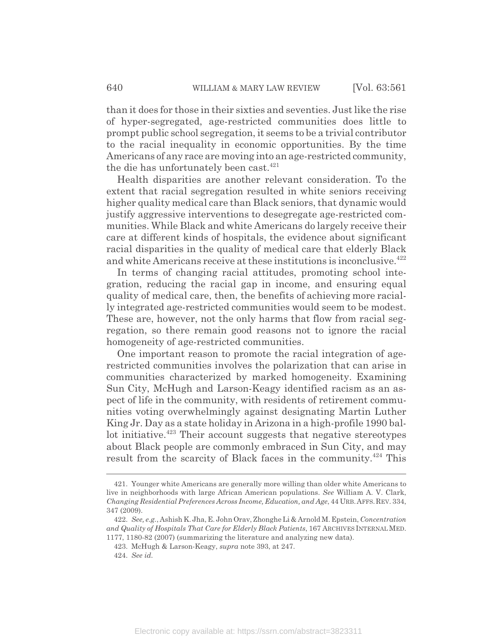than it does for those in their sixties and seventies. Just like the rise of hyper-segregated, age-restricted communities does little to prompt public school segregation, it seems to be a trivial contributor to the racial inequality in economic opportunities. By the time Americans of any race are moving into an age-restricted community, the die has unfortunately been cast.<sup>421</sup>

Health disparities are another relevant consideration. To the extent that racial segregation resulted in white seniors receiving higher quality medical care than Black seniors, that dynamic would justify aggressive interventions to desegregate age-restricted communities. While Black and white Americans do largely receive their care at different kinds of hospitals, the evidence about significant racial disparities in the quality of medical care that elderly Black and white Americans receive at these institutions is inconclusive.<sup>422</sup>

In terms of changing racial attitudes, promoting school integration, reducing the racial gap in income, and ensuring equal quality of medical care, then, the benefits of achieving more racially integrated age-restricted communities would seem to be modest. These are, however, not the only harms that flow from racial segregation, so there remain good reasons not to ignore the racial homogeneity of age-restricted communities.

One important reason to promote the racial integration of agerestricted communities involves the polarization that can arise in communities characterized by marked homogeneity. Examining Sun City, McHugh and Larson-Keagy identified racism as an aspect of life in the community, with residents of retirement communities voting overwhelmingly against designating Martin Luther King Jr. Day as a state holiday in Arizona in a high-profile 1990 ballot initiative.<sup>423</sup> Their account suggests that negative stereotypes about Black people are commonly embraced in Sun City, and may result from the scarcity of Black faces in the community.<sup>424</sup> This

<sup>421.</sup> Younger white Americans are generally more willing than older white Americans to live in neighborhoods with large African American populations. *See* William A. V. Clark, *Changing Residential Preferences Across Income, Education, and Age*, 44 URB.AFFS.REV. 334, 347 (2009).

<sup>422.</sup> *See, e.g.*, Ashish K. Jha, E. John Orav, Zhonghe Li & Arnold M. Epstein, *Concentration and Quality of Hospitals That Care for Elderly Black Patients*, 167 ARCHIVES INTERNAL MED. 1177, 1180-82 (2007) (summarizing the literature and analyzing new data).

<sup>423.</sup> McHugh & Larson-Keagy, *supra* note 393, at 247.

<sup>424.</sup> *See id.*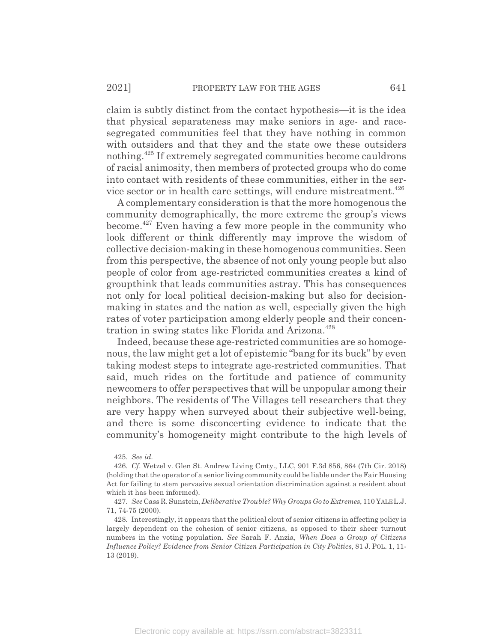claim is subtly distinct from the contact hypothesis—it is the idea that physical separateness may make seniors in age- and racesegregated communities feel that they have nothing in common with outsiders and that they and the state owe these outsiders nothing.<sup>425</sup> If extremely segregated communities become cauldrons of racial animosity, then members of protected groups who do come into contact with residents of these communities, either in the service sector or in health care settings, will endure mistreatment.<sup> $426$ </sup>

A complementary consideration is that the more homogenous the community demographically, the more extreme the group's views become.427 Even having a few more people in the community who look different or think differently may improve the wisdom of collective decision-making in these homogenous communities. Seen from this perspective, the absence of not only young people but also people of color from age-restricted communities creates a kind of groupthink that leads communities astray. This has consequences not only for local political decision-making but also for decisionmaking in states and the nation as well, especially given the high rates of voter participation among elderly people and their concentration in swing states like Florida and Arizona.<sup>428</sup>

Indeed, because these age-restricted communities are so homogenous, the law might get a lot of epistemic "bang for its buck" by even taking modest steps to integrate age-restricted communities. That said, much rides on the fortitude and patience of community newcomers to offer perspectives that will be unpopular among their neighbors. The residents of The Villages tell researchers that they are very happy when surveyed about their subjective well-being, and there is some disconcerting evidence to indicate that the community's homogeneity might contribute to the high levels of

<sup>425.</sup> *See id.*

<sup>426.</sup> *Cf*. Wetzel v. Glen St. Andrew Living Cmty., LLC, 901 F.3d 856, 864 (7th Cir. 2018) (holding that the operator of a senior living community could be liable under the Fair Housing Act for failing to stem pervasive sexual orientation discrimination against a resident about which it has been informed).

<sup>427.</sup> *See* Cass R. Sunstein, *Deliberative Trouble? Why Groups Go to Extremes*, 110 YALE L.J. 71, 74-75 (2000).

<sup>428.</sup> Interestingly, it appears that the political clout of senior citizens in affecting policy is largely dependent on the cohesion of senior citizens, as opposed to their sheer turnout numbers in the voting population. *See* Sarah F. Anzia, *When Does a Group of Citizens Influence Policy? Evidence from Senior Citizen Participation in City Politics*, 81 J. POL. 1, 11- 13 (2019).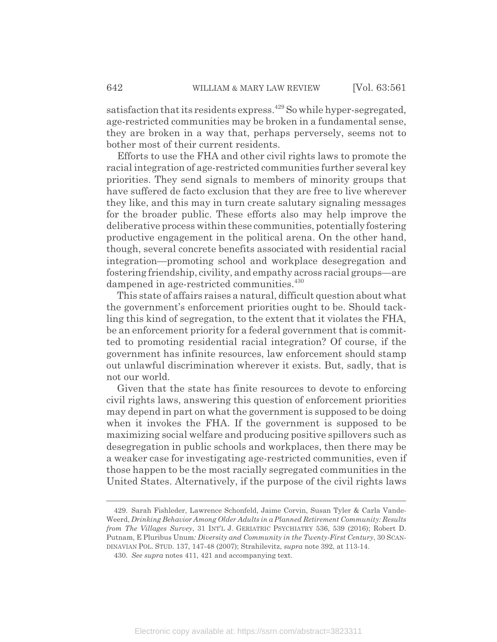satisfaction that its residents express.<sup>429</sup> So while hyper-segregated, age-restricted communities may be broken in a fundamental sense, they are broken in a way that, perhaps perversely, seems not to bother most of their current residents.

Efforts to use the FHA and other civil rights laws to promote the racial integration of age-restricted communities further several key priorities. They send signals to members of minority groups that have suffered de facto exclusion that they are free to live wherever they like, and this may in turn create salutary signaling messages for the broader public. These efforts also may help improve the deliberative process within these communities, potentially fostering productive engagement in the political arena. On the other hand, though, several concrete benefits associated with residential racial integration—promoting school and workplace desegregation and fostering friendship, civility, and empathy across racial groups—are dampened in age-restricted communities.<sup>430</sup>

This state of affairs raises a natural, difficult question about what the government's enforcement priorities ought to be. Should tackling this kind of segregation, to the extent that it violates the FHA, be an enforcement priority for a federal government that is committed to promoting residential racial integration? Of course, if the government has infinite resources, law enforcement should stamp out unlawful discrimination wherever it exists. But, sadly, that is not our world.

Given that the state has finite resources to devote to enforcing civil rights laws, answering this question of enforcement priorities may depend in part on what the government is supposed to be doing when it invokes the FHA. If the government is supposed to be maximizing social welfare and producing positive spillovers such as desegregation in public schools and workplaces, then there may be a weaker case for investigating age-restricted communities, even if those happen to be the most racially segregated communities in the United States. Alternatively, if the purpose of the civil rights laws

<sup>429.</sup> Sarah Fishleder, Lawrence Schonfeld, Jaime Corvin, Susan Tyler & Carla Vande-Weerd, *Drinking Behavior Among Older Adults in a Planned Retirement Community: Results from The Villages Survey*, 31 INT'L J. GERIATRIC PSYCHIATRY 536, 539 (2016); Robert D. Putnam, E Pluribus Unum*: Diversity and Community in the Twenty-First Century*, 30 SCAN-DINAVIAN POL. STUD. 137, 147-48 (2007); Strahilevitz, *supra* note 392, at 113-14.

<sup>430.</sup> *See supra* notes 411, 421 and accompanying text.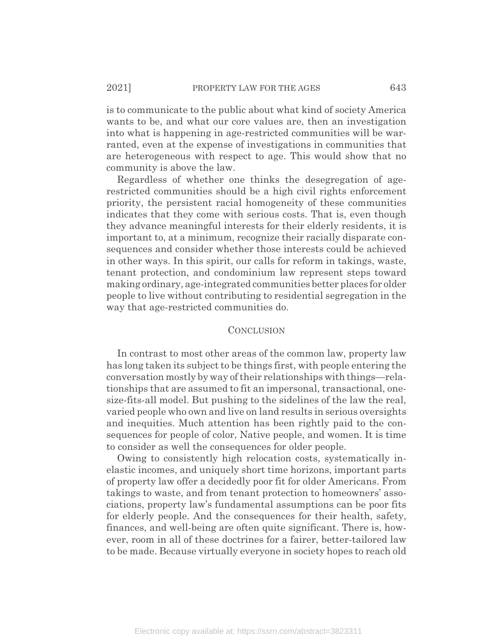is to communicate to the public about what kind of society America wants to be, and what our core values are, then an investigation into what is happening in age-restricted communities will be warranted, even at the expense of investigations in communities that are heterogeneous with respect to age. This would show that no community is above the law.

Regardless of whether one thinks the desegregation of agerestricted communities should be a high civil rights enforcement priority, the persistent racial homogeneity of these communities indicates that they come with serious costs. That is, even though they advance meaningful interests for their elderly residents, it is important to, at a minimum, recognize their racially disparate consequences and consider whether those interests could be achieved in other ways. In this spirit, our calls for reform in takings, waste, tenant protection, and condominium law represent steps toward making ordinary, age-integrated communities better places for older people to live without contributing to residential segregation in the way that age-restricted communities do.

## **CONCLUSION**

In contrast to most other areas of the common law, property law has long taken its subject to be things first, with people entering the conversation mostly by way of their relationships with things—relationships that are assumed to fit an impersonal, transactional, onesize-fits-all model. But pushing to the sidelines of the law the real, varied people who own and live on land results in serious oversights and inequities. Much attention has been rightly paid to the consequences for people of color, Native people, and women. It is time to consider as well the consequences for older people.

Owing to consistently high relocation costs, systematically inelastic incomes, and uniquely short time horizons, important parts of property law offer a decidedly poor fit for older Americans. From takings to waste, and from tenant protection to homeowners' associations, property law's fundamental assumptions can be poor fits for elderly people. And the consequences for their health, safety, finances, and well-being are often quite significant. There is, however, room in all of these doctrines for a fairer, better-tailored law to be made. Because virtually everyone in society hopes to reach old